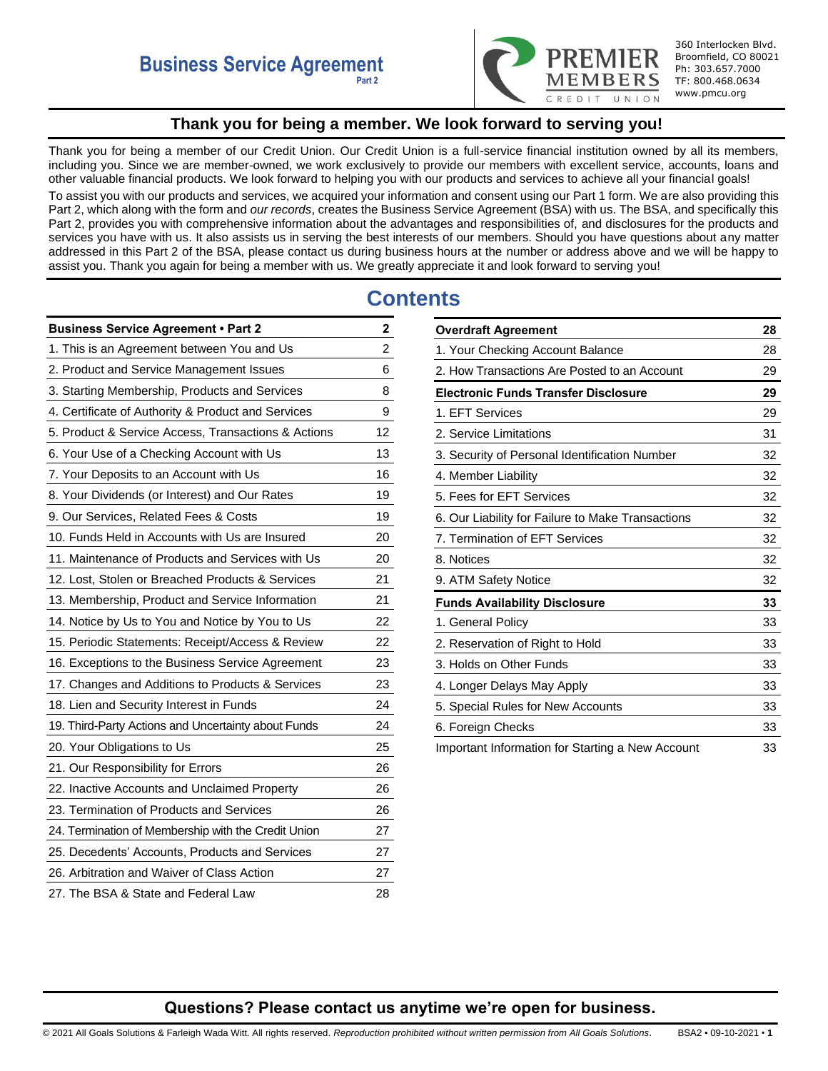

360 Interlocken Blvd. Broomfield, CO 80021 Ph: 303.657.7000 TF: 800.468.0634 www.pmcu.org

# **Thank you for being a member. We look forward to serving you!**

<span id="page-0-0"></span>Thank you for being a member of our Credit Union. Our Credit Union is a full-service financial institution owned by all its members, including you. Since we are member-owned, we work exclusively to provide our members with excellent service, accounts, loans and other valuable financial products. We look forward to helping you with our products and services to achieve all your financial goals! To assist you with our products and services, we acquired your information and consent using our Part 1 form. We are also providing this Part 2, which along with the form and *our records*, creates the Business Service Agreement (BSA) with us. The BSA, and specifically this Part 2, provides you with comprehensive information about the advantages and responsibilities of, and disclosures for the products and services you have with us. It also assists us in serving the best interests of our members. Should you have questions about any matter addressed in this Part 2 of the BSA, please contact us during business hours at the number or address above and we will be happy to assist you. Thank you again for being a member with us. We greatly appreciate it and look forward to serving you!

# **Contents**

| <b>Business Service Agreement . Part 2</b>          | 2              |
|-----------------------------------------------------|----------------|
| 1. This is an Agreement between You and Us          | $\overline{c}$ |
| 2. Product and Service Management Issues            | 6              |
| 3. Starting Membership, Products and Services       | 8              |
| 4. Certificate of Authority & Product and Services  | 9              |
| 5. Product & Service Access, Transactions & Actions | 12             |
| 6. Your Use of a Checking Account with Us           | 13             |
| 7. Your Deposits to an Account with Us              | 16             |
| 8. Your Dividends (or Interest) and Our Rates       | 19             |
| 9. Our Services, Related Fees & Costs               | 19             |
| 10. Funds Held in Accounts with Us are Insured      | 20             |
| 11. Maintenance of Products and Services with Us    | 20             |
| 12. Lost, Stolen or Breached Products & Services    | 21             |
| 13. Membership, Product and Service Information     | 21             |
| 14. Notice by Us to You and Notice by You to Us     | 22             |
| 15. Periodic Statements: Receipt/Access & Review    | 22             |
| 16. Exceptions to the Business Service Agreement    | 23             |
| 17. Changes and Additions to Products & Services    | 23             |
| 18. Lien and Security Interest in Funds             | 24             |
| 19. Third-Party Actions and Uncertainty about Funds | 24             |
| 20. Your Obligations to Us                          | 25             |
| 21. Our Responsibility for Errors                   | 26             |
| 22. Inactive Accounts and Unclaimed Property        | 26             |
| 23. Termination of Products and Services            | 26             |
| 24. Termination of Membership with the Credit Union | 27             |
| 25. Decedents' Accounts, Products and Services      | 27             |
| 26. Arbitration and Waiver of Class Action          | 27             |
| 27. The BSA & State and Federal Law                 | 28             |

| <b>Overdraft Agreement</b>                        | 28 |
|---------------------------------------------------|----|
| 1. Your Checking Account Balance                  | 28 |
| 2. How Transactions Are Posted to an Account      | 29 |
| Electronic Funds Transfer Disclosure              | 29 |
| 1. EFT Services                                   | 29 |
| 2. Service Limitations                            | 31 |
| 3. Security of Personal Identification Number     | 32 |
| 4. Member Liability                               | 32 |
| 5. Fees for EFT Services                          | 32 |
| 6. Our Liability for Failure to Make Transactions | 32 |
| 7. Termination of EFT Services                    | 32 |
| 8. Notices                                        | 32 |
| 9. ATM Safety Notice                              | 32 |
| <b>Funds Availability Disclosure</b>              | 33 |
| 1. General Policy                                 | 33 |
| 2. Reservation of Right to Hold                   | 33 |
| 3. Holds on Other Funds                           | 33 |
| 4. Longer Delays May Apply                        | 33 |
| 5. Special Rules for New Accounts                 | 33 |
| 6. Foreign Checks                                 | 33 |
| Important Information for Starting a New Account  | 33 |

# **Questions? Please contact us anytime we're open for business.**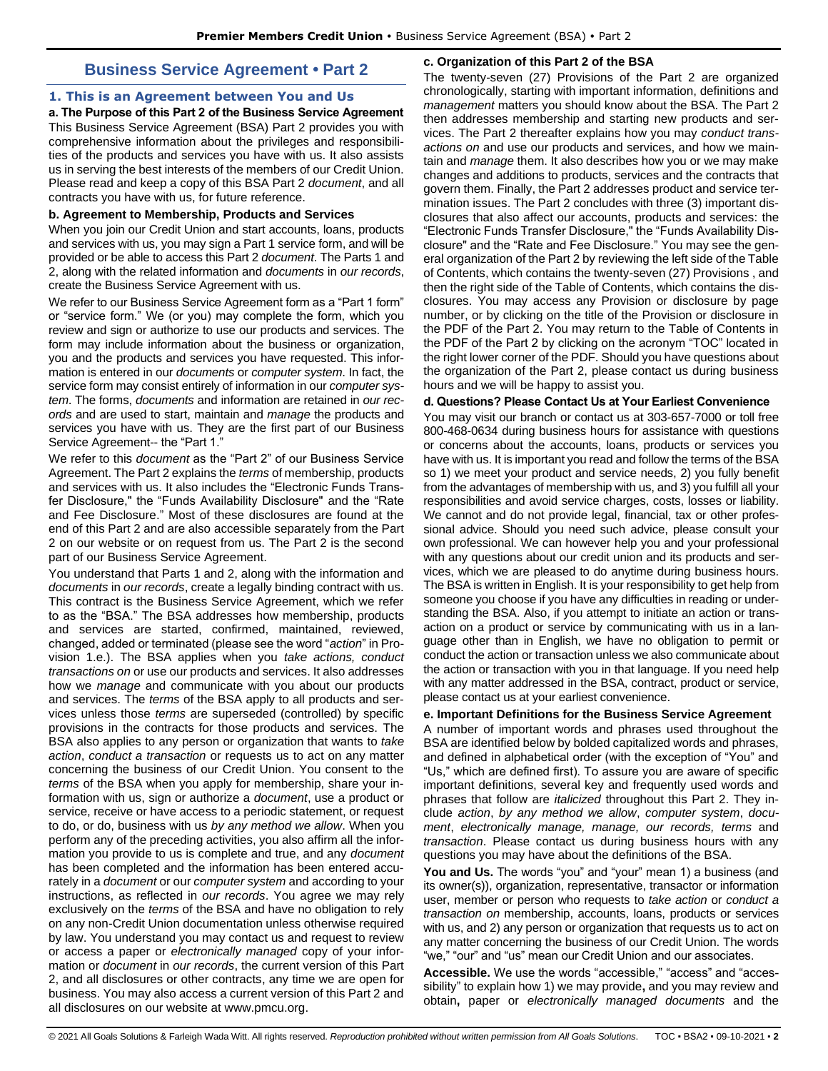# **Business Service Agreement • Part 2**

## <span id="page-1-1"></span><span id="page-1-0"></span>**1. This is an Agreement between You and Us**

**a. The Purpose of this Part 2 of the Business Service Agreement**  This Business Service Agreement (BSA) Part 2 provides you with comprehensive information about the privileges and responsibilities of the products and services you have with us. It also assists us in serving the best interests of the members of our Credit Union. Please read and keep a copy of this BSA Part 2 *document*, and all contracts you have with us, for future reference.

## **b. Agreement to Membership, Products and Services**

When you join our Credit Union and start accounts, loans, products and services with us, you may sign a Part 1 service form, and will be provided or be able to access this Part 2 *document*. The Parts 1 and 2, along with the related information and *documents* in *our records*, create the Business Service Agreement with us.

We refer to our Business Service Agreement form as a "Part 1 form" or "service form." We (or you) may complete the form, which you review and sign or authorize to use our products and services. The form may include information about the business or organization, you and the products and services you have requested. This information is entered in our *documents* or *computer system*. In fact, the service form may consist entirely of information in our *computer system*. The forms, *documents* and information are retained in *our records* and are used to start, maintain and *manage* the products and services you have with us. They are the first part of our Business Service Agreement-- the "Part 1."

We refer to this *document* as the "Part 2" of our Business Service Agreement. The Part 2 explains the *terms* of membership, products and services with us. It also includes the "Electronic Funds Transfer Disclosure," the "Funds Availability Disclosure" and the "Rate and Fee Disclosure." Most of these disclosures are found at the end of this Part 2 and are also accessible separately from the Part 2 on our website or on request from us. The Part 2 is the second part of our Business Service Agreement.

You understand that Parts 1 and 2, along with the information and *documents* in *our records*, create a legally binding contract with us. This contract is the Business Service Agreement, which we refer to as the "BSA." The BSA addresses how membership, products and services are started, confirmed, maintained, reviewed, changed, added or terminated (please see the word "*action*" in Provision 1.e.). The BSA applies when you *take actions, conduct transactions on* or use our products and services. It also addresses how we *manage* and communicate with you about our products and services. The *terms* of the BSA apply to all products and services unless those *terms* are superseded (controlled) by specific provisions in the contracts for those products and services. The BSA also applies to any person or organization that wants to *take action*, *conduct a transaction* or requests us to act on any matter concerning the business of our Credit Union. You consent to the *terms* of the BSA when you apply for membership, share your information with us, sign or authorize a *document*, use a product or service, receive or have access to a periodic statement, or request to do, or do, business with us *by any method we allow*. When you perform any of the preceding activities, you also affirm all the information you provide to us is complete and true, and any *document* has been completed and the information has been entered accurately in a *document* or our *computer system* and according to your instructions, as reflected in *our records*. You agree we may rely exclusively on the *terms* of the BSA and have no obligation to rely on any non-Credit Union documentation unless otherwise required by law. You understand you may contact us and request to review or access a paper or *electronically managed* copy of your information or *document* in *our records*, the current version of this Part 2, and all disclosures or other contracts, any time we are open for business. You may also access a current version of this Part 2 and all disclosures on our website at www.pmcu.org.

## **c. Organization of this Part 2 of the BSA**

The twenty-seven (27) Provisions of the Part 2 are organized chronologically, starting with important information, definitions and *management* matters you should know about the BSA. The Part 2 then addresses membership and starting new products and services. The Part 2 thereafter explains how you may *conduct transactions on* and use our products and services, and how we maintain and *manage* them. It also describes how you or we may make changes and additions to products, services and the contracts that govern them. Finally, the Part 2 addresses product and service termination issues. The Part 2 concludes with three (3) important disclosures that also affect our accounts, products and services: the "Electronic Funds Transfer Disclosure," the "Funds Availability Disclosure" and the "Rate and Fee Disclosure." You may see the general organization of the Part 2 by reviewing the left side of the Table of Contents, which contains the twenty-seven (27) Provisions , and then the right side of the Table of Contents, which contains the disclosures. You may access any Provision or disclosure by page number, or by clicking on the title of the Provision or disclosure in the PDF of the Part 2. You may return to the Table of Contents in the PDF of the Part 2 by clicking on the acronym "TOC" located in the right lower corner of the PDF. Should you have questions about the organization of the Part 2, please contact us during business hours and we will be happy to assist you.

## **d. Questions? Please Contact Us at Your Earliest Convenience**

You may visit our branch or contact us at 303-657-7000 or toll free 800-468-0634 during business hours for assistance with questions or concerns about the accounts, loans, products or services you have with us. It is important you read and follow the terms of the BSA so 1) we meet your product and service needs, 2) you fully benefit from the advantages of membership with us, and 3) you fulfill all your responsibilities and avoid service charges, costs, losses or liability. We cannot and do not provide legal, financial, tax or other professional advice. Should you need such advice, please consult your own professional. We can however help you and your professional with any questions about our credit union and its products and services, which we are pleased to do anytime during business hours. The BSA is written in English. It is your responsibility to get help from someone you choose if you have any difficulties in reading or understanding the BSA. Also, if you attempt to initiate an action or transaction on a product or service by communicating with us in a language other than in English, we have no obligation to permit or conduct the action or transaction unless we also communicate about the action or transaction with you in that language. If you need help with any matter addressed in the BSA, contract, product or service, please contact us at your earliest convenience.

## **e. Important Definitions for the Business Service Agreement**

A number of important words and phrases used throughout the BSA are identified below by bolded capitalized words and phrases, and defined in alphabetical order (with the exception of "You" and "Us," which are defined first). To assure you are aware of specific important definitions, several key and frequently used words and phrases that follow are *italicized* throughout this Part 2. They include *action*, *by any method we allow*, *computer system*, *document*, *electronically manage, manage, our records, terms* and *transaction*. Please contact us during business hours with any questions you may have about the definitions of the BSA.

**You and Us.** The words "you" and "your" mean 1) a business (and its owner(s)), organization, representative, transactor or information user, member or person who requests to *take action* or *conduct a transaction on* membership, accounts, loans, products or services with us, and 2) any person or organization that requests us to act on any matter concerning the business of our Credit Union. The words "we," "our" and "us" mean our Credit Union and our associates.

**Accessible.** We use the words "accessible," "access" and "accessibility" to explain how 1) we may provide**,** and you may review and obtain**,** paper or *electronically managed documents* and the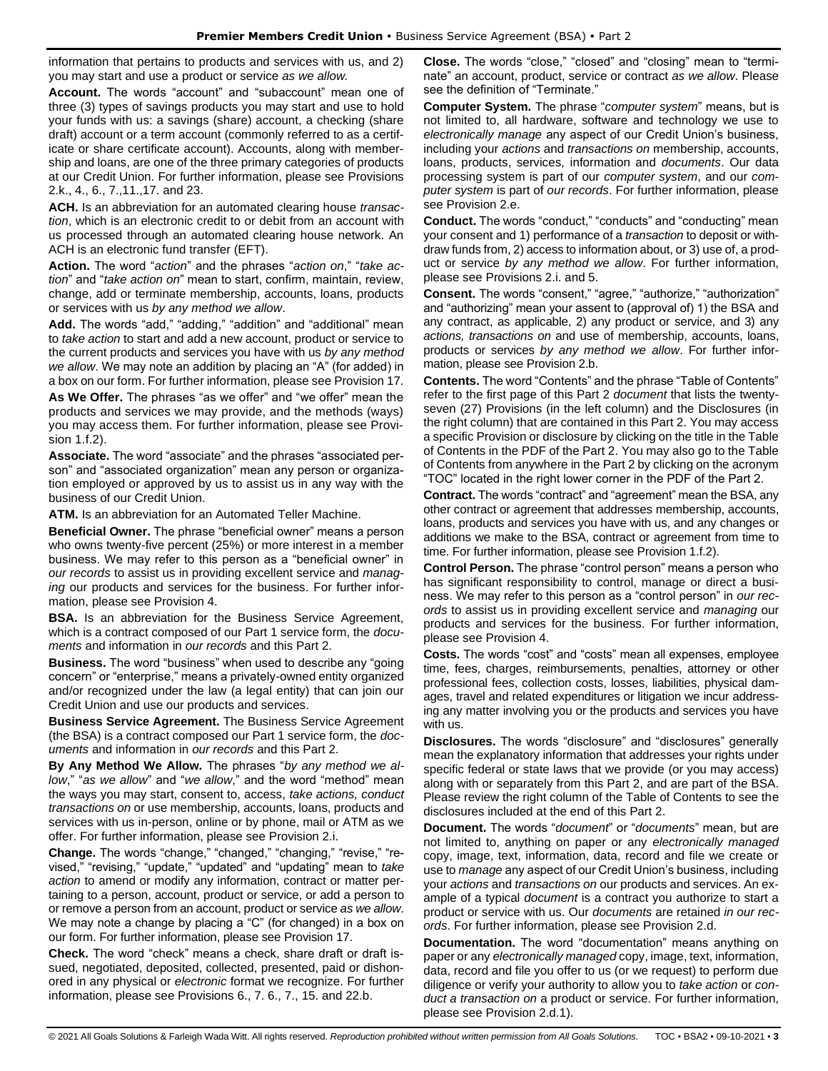information that pertains to products and services with us, and 2) you may start and use a product or service *as we allow.* 

**Account.** The words "account" and "subaccount" mean one of three (3) types of savings products you may start and use to hold your funds with us: a savings (share) account, a checking (share draft) account or a term account (commonly referred to as a certificate or share certificate account). Accounts, along with membership and loans, are one of the three primary categories of products at our Credit Union. For further information, please see Provisions 2.k., 4., 6., 7.,11.,17. and 23.

**ACH.** Is an abbreviation for an automated clearing house *transaction*, which is an electronic credit to or debit from an account with us processed through an automated clearing house network. An ACH is an electronic fund transfer (EFT).

**Action.** The word "*action*" and the phrases "*action on*," "*take action*" and "*take action on*" mean to start, confirm, maintain, review, change, add or terminate membership, accounts, loans, products or services with us *by any method we allow*.

**Add.** The words "add," "adding," "addition" and "additional" mean to *take action* to start and add a new account, product or service to the current products and services you have with us *by any method we allow*. We may note an addition by placing an "A" (for added) in a box on our form. For further information, please see Provision 17.

**As We Offer.** The phrases "as we offer" and "we offer" mean the products and services we may provide, and the methods (ways) you may access them. For further information, please see Provision 1.f.2).

**Associate.** The word "associate" and the phrases "associated person" and "associated organization" mean any person or organization employed or approved by us to assist us in any way with the business of our Credit Union.

**ATM.** Is an abbreviation for an Automated Teller Machine.

**Beneficial Owner.** The phrase "beneficial owner" means a person who owns twenty-five percent (25%) or more interest in a member business. We may refer to this person as a "beneficial owner" in *our records* to assist us in providing excellent service and *managing* our products and services for the business. For further information, please see Provision 4.

**BSA.** Is an abbreviation for the Business Service Agreement, which is a contract composed of our Part 1 service form, the *documents* and information in *our records* and this Part 2.

**Business.** The word "business" when used to describe any "going concern" or "enterprise," means a privately-owned entity organized and/or recognized under the law (a legal entity) that can join our Credit Union and use our products and services.

**Business Service Agreement.** The Business Service Agreement (the BSA) is a contract composed our Part 1 service form, the *documents* and information in *our records* and this Part 2.

**By Any Method We Allow.** The phrases "*by any method we allow*," "*as we allow*" and "*we allow*," and the word "method" mean the ways you may start, consent to, access, *take actions, conduct transactions on* or use membership, accounts, loans, products and services with us in-person, online or by phone, mail or ATM as we offer. For further information, please see Provision 2.i.

**Change.** The words "change," "changed," "changing," "revise," "revised," "revising," "update," "updated" and "updating" mean to *take action* to amend or modify any information, contract or matter pertaining to a person, account, product or service, or add a person to or remove a person from an account, product or service *as we allow*. We may note a change by placing a "C" (for changed) in a box on our form. For further information, please see Provision 17.

**Check.** The word "check" means a check, share draft or draft issued, negotiated, deposited, collected, presented, paid or dishonored in any physical or *electronic* format we recognize. For further information, please see Provisions 6., 7. 6., 7., 15. and 22.b.

**Close.** The words "close," "closed" and "closing" mean to "terminate" an account, product, service or contract *as we allow*. Please see the definition of "Terminate."

**Computer System.** The phrase "*computer system*" means, but is not limited to, all hardware, software and technology we use to *electronically manage* any aspect of our Credit Union's business, including your *actions* and *transactions on* membership, accounts, loans, products, services, information and *documents*. Our data processing system is part of our *computer system*, and our *computer system* is part of *our records*. For further information, please see Provision 2.e.

**Conduct.** The words "conduct," "conducts" and "conducting" mean your consent and 1) performance of a *transaction* to deposit or withdraw funds from, 2) access to information about, or 3) use of, a product or service *by any method we allow*. For further information, please see Provisions 2.i. and 5.

**Consent.** The words "consent," "agree," "authorize," "authorization" and "authorizing" mean your assent to (approval of) 1) the BSA and any contract, as applicable, 2) any product or service, and 3) any *actions, transactions on* and use of membership, accounts, loans, products or services *by any method we allow*. For further information, please see Provision 2.b.

**Contents.** The word "Contents" and the phrase "Table of Contents" refer to the first page of this Part 2 *document* that lists the twentyseven (27) Provisions (in the left column) and the Disclosures (in the right column) that are contained in this Part 2. You may access a specific Provision or disclosure by clicking on the title in the Table of Contents in the PDF of the Part 2. You may also go to the Table of Contents from anywhere in the Part 2 by clicking on the acronym "TOC" located in the right lower corner in the PDF of the Part 2.

**Contract.** The words "contract" and "agreement" mean the BSA, any other contract or agreement that addresses membership, accounts, loans, products and services you have with us, and any changes or additions we make to the BSA, contract or agreement from time to time. For further information, please see Provision 1.f.2).

**Control Person.** The phrase "control person" means a person who has significant responsibility to control, manage or direct a business. We may refer to this person as a "control person" in *our records* to assist us in providing excellent service and *managing* our products and services for the business. For further information, please see Provision 4.

**Costs.** The words "cost" and "costs" mean all expenses, employee time, fees, charges, reimbursements, penalties, attorney or other professional fees, collection costs, losses, liabilities, physical damages, travel and related expenditures or litigation we incur addressing any matter involving you or the products and services you have with us.

**Disclosures.** The words "disclosure" and "disclosures" generally mean the explanatory information that addresses your rights under specific federal or state laws that we provide (or you may access) along with or separately from this Part 2, and are part of the BSA. Please review the right column of the Table of Contents to see the disclosures included at the end of this Part 2.

**Document.** The words "*document*" or "*documents*" mean, but are not limited to, anything on paper or any *electronically managed*  copy, image, text, information, data, record and file we create or use to *manage* any aspect of our Credit Union's business, including your *actions* and *transactions on* our products and services. An example of a typical *document* is a contract you authorize to start a product or service with us. Our *documents* are retained *in our records*. For further information, please see Provision 2.d.

**Documentation.** The word "documentation" means anything on paper or any *electronically managed* copy, image, text, information, data, record and file you offer to us (or we request) to perform due diligence or verify your authority to allow you to *take action* or *conduct a transaction on* a product or service. For further information, please see Provision 2.d.1).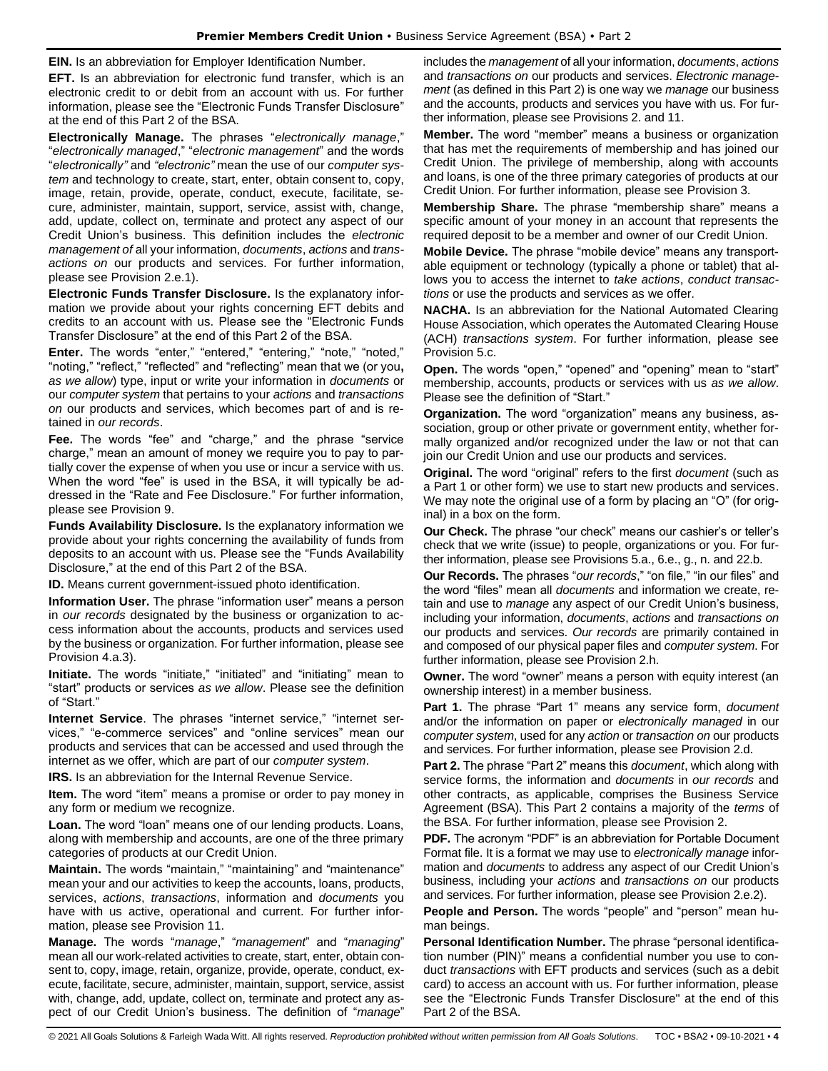**EIN.** Is an abbreviation for Employer Identification Number.

**EFT.** Is an abbreviation for electronic fund transfer, which is an electronic credit to or debit from an account with us. For further information, please see the "Electronic Funds Transfer Disclosure" at the end of this Part 2 of the BSA.

**Electronically Manage.** The phrases "*electronically manage*," "*electronically managed*," "*electronic management*" and the words "*electronically"* and *"electronic"* mean the use of our *computer system* and technology to create, start, enter, obtain consent to, copy, image, retain, provide, operate, conduct, execute, facilitate, secure, administer, maintain, support, service, assist with, change, add, update, collect on, terminate and protect any aspect of our Credit Union's business. This definition includes the *electronic management of* all your information, *documents*, *actions* and *transactions on* our products and services. For further information, please see Provision 2.e.1).

**Electronic Funds Transfer Disclosure.** Is the explanatory information we provide about your rights concerning EFT debits and credits to an account with us. Please see the "Electronic Funds Transfer Disclosure" at the end of this Part 2 of the BSA.

**Enter.** The words "enter," "entered," "entering," "note," "noted," "noting," "reflect," "reflected" and "reflecting" mean that we (or you**,** *as we allow*) type, input or write your information in *documents* or our *computer system* that pertains to your *actions* and *transactions on* our products and services, which becomes part of and is retained in *our records*.

**Fee.** The words "fee" and "charge," and the phrase "service charge," mean an amount of money we require you to pay to partially cover the expense of when you use or incur a service with us. When the word "fee" is used in the BSA, it will typically be addressed in the "Rate and Fee Disclosure." For further information, please see Provision 9.

**Funds Availability Disclosure.** Is the explanatory information we provide about your rights concerning the availability of funds from deposits to an account with us. Please see the "Funds Availability Disclosure," at the end of this Part 2 of the BSA.

**ID.** Means current government-issued photo identification.

**Information User.** The phrase "information user" means a person in *our records* designated by the business or organization to access information about the accounts, products and services used by the business or organization. For further information, please see Provision 4.a.3).

**Initiate.** The words "initiate," "initiated" and "initiating" mean to "start" products or services *as we allow*. Please see the definition of "Start."

**Internet Service**. The phrases "internet service," "internet services," "e-commerce services" and "online services" mean our products and services that can be accessed and used through the internet as we offer, which are part of our *computer system*.

**IRS.** Is an abbreviation for the Internal Revenue Service.

**Item.** The word "item" means a promise or order to pay money in any form or medium we recognize.

**Loan.** The word "loan" means one of our lending products. Loans, along with membership and accounts, are one of the three primary categories of products at our Credit Union.

**Maintain.** The words "maintain," "maintaining" and "maintenance" mean your and our activities to keep the accounts, loans, products, services, *actions*, *transactions*, information and *documents* you have with us active, operational and current. For further information, please see Provision 11.

**Manage.** The words "*manage*," "*management*" and "*managing*" mean all our work-related activities to create, start, enter, obtain consent to, copy, image, retain, organize, provide, operate, conduct, execute, facilitate, secure, administer, maintain, support, service, assist with, change, add, update, collect on, terminate and protect any aspect of our Credit Union's business. The definition of "*manage*"

includes the *management* of all your information, *documents*, *actions* and *transactions on* our products and services. *Electronic management* (as defined in this Part 2) is one way we *manage* our business and the accounts, products and services you have with us. For further information, please see Provisions 2. and 11.

**Member.** The word "member" means a business or organization that has met the requirements of membership and has joined our Credit Union. The privilege of membership, along with accounts and loans, is one of the three primary categories of products at our Credit Union. For further information, please see Provision 3.

**Membership Share.** The phrase "membership share" means a specific amount of your money in an account that represents the required deposit to be a member and owner of our Credit Union.

**Mobile Device.** The phrase "mobile device" means any transportable equipment or technology (typically a phone or tablet) that allows you to access the internet to *take actions*, *conduct transactions* or use the products and services as we offer.

**NACHA.** Is an abbreviation for the National Automated Clearing House Association, which operates the Automated Clearing House (ACH) *transactions system*. For further information, please see Provision 5.c.

**Open.** The words "open," "opened" and "opening" mean to "start" membership, accounts, products or services with us *as we allow*. Please see the definition of "Start."

**Organization.** The word "organization" means any business, association, group or other private or government entity, whether formally organized and/or recognized under the law or not that can join our Credit Union and use our products and services.

**Original.** The word "original" refers to the first *document* (such as a Part 1 or other form) we use to start new products and services. We may note the original use of a form by placing an "O" (for original) in a box on the form.

**Our Check.** The phrase "our check" means our cashier's or teller's check that we write (issue) to people, organizations or you. For further information, please see Provisions 5.a., 6.e., g., n. and 22.b.

**Our Records.** The phrases "*our records*," "on file," "in our files" and the word "files" mean all *documents* and information we create, retain and use to *manage* any aspect of our Credit Union's business, including your information, *documents*, *actions* and *transactions on* our products and services. *Our records* are primarily contained in and composed of our physical paper files and *computer system*. For further information, please see Provision 2.h.

**Owner.** The word "owner" means a person with equity interest (an ownership interest) in a member business.

**Part 1.** The phrase "Part 1" means any service form, *document* and/or the information on paper or *electronically managed* in our *computer system*, used for any *action* or *transaction on* our products and services. For further information, please see Provision 2.d.

**Part 2.** The phrase "Part 2" means this *document*, which along with service forms, the information and *documents* in *our records* and other contracts, as applicable, comprises the Business Service Agreement (BSA). This Part 2 contains a majority of the *terms* of the BSA. For further information, please see Provision 2.

**PDF.** The acronym "PDF" is an abbreviation for Portable Document Format file. It is a format we may use to *electronically manage* information and *documents* to address any aspect of our Credit Union's business, including your *actions* and *transactions on* our products and services. For further information, please see Provision 2.e.2).

**People and Person.** The words "people" and "person" mean human beings.

**Personal Identification Number.** The phrase "personal identification number (PIN)" means a confidential number you use to conduct *transactions* with EFT products and services (such as a debit card) to access an account with us. For further information, please see the "Electronic Funds Transfer Disclosure" at the end of this Part 2 of the BSA.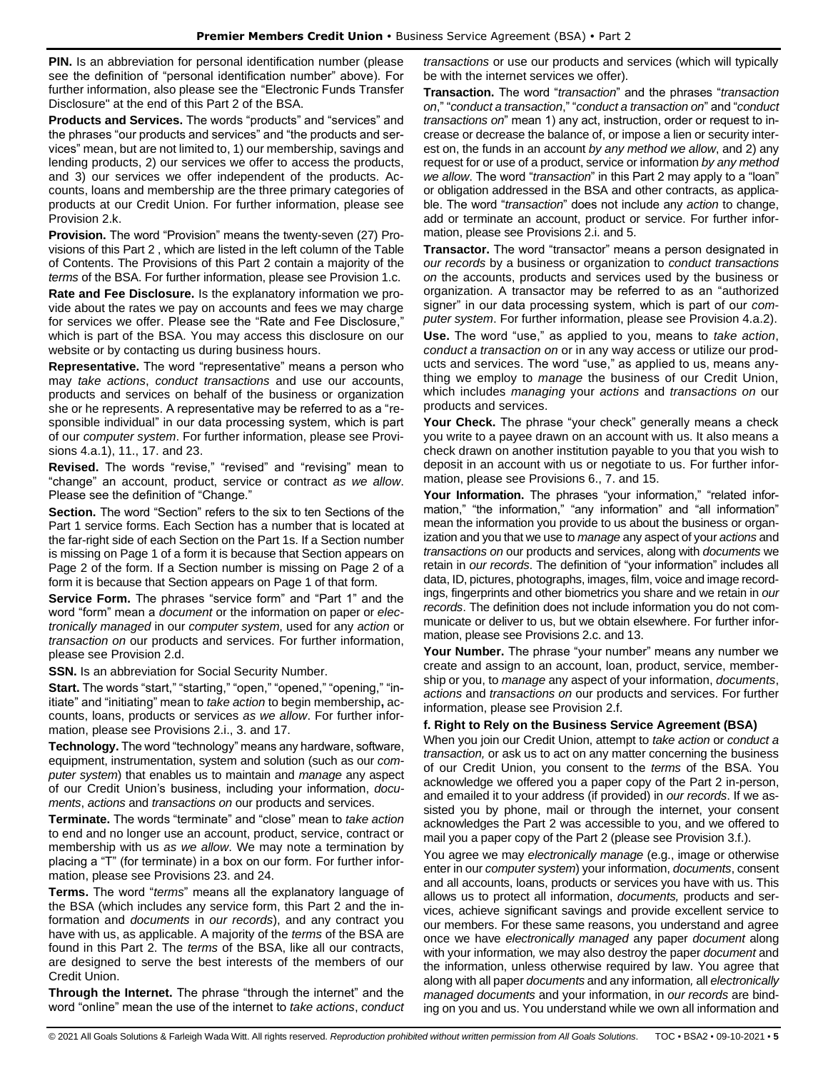**PIN.** Is an abbreviation for personal identification number (please) see the definition of "personal identification number" above). For further information, also please see the "Electronic Funds Transfer Disclosure" at the end of this Part 2 of the BSA.

**Products and Services.** The words "products" and "services" and the phrases "our products and services" and "the products and services" mean, but are not limited to, 1) our membership, savings and lending products, 2) our services we offer to access the products, and 3) our services we offer independent of the products. Accounts, loans and membership are the three primary categories of products at our Credit Union. For further information, please see Provision 2.k.

**Provision.** The word "Provision" means the twenty-seven (27) Provisions of this Part 2 , which are listed in the left column of the Table of Contents. The Provisions of this Part 2 contain a majority of the *terms* of the BSA. For further information, please see Provision 1.c.

**Rate and Fee Disclosure.** Is the explanatory information we provide about the rates we pay on accounts and fees we may charge for services we offer. Please see the "Rate and Fee Disclosure," which is part of the BSA. You may access this disclosure on our website or by contacting us during business hours.

**Representative.** The word "representative" means a person who may *take actions*, *conduct transactions* and use our accounts, products and services on behalf of the business or organization she or he represents. A representative may be referred to as a "responsible individual" in our data processing system, which is part of our *computer system*. For further information, please see Provisions 4.a.1), 11., 17. and 23.

**Revised.** The words "revise," "revised" and "revising" mean to "change" an account, product, service or contract *as we allow*. Please see the definition of "Change."

**Section.** The word "Section" refers to the six to ten Sections of the Part 1 service forms. Each Section has a number that is located at the far-right side of each Section on the Part 1s. If a Section number is missing on Page 1 of a form it is because that Section appears on Page 2 of the form. If a Section number is missing on Page 2 of a form it is because that Section appears on Page 1 of that form.

**Service Form.** The phrases "service form" and "Part 1" and the word "form" mean a *document* or the information on paper or *electronically managed* in our *computer system*, used for any *action* or *transaction on* our products and services. For further information, please see Provision 2.d.

**SSN.** Is an abbreviation for Social Security Number.

**Start.** The words "start," "starting," "open," "opened," "opening," "initiate" and "initiating" mean to *take action* to begin membership**,** accounts, loans, products or services *as we allow*. For further information, please see Provisions 2.i., 3. and 17.

**Technology.** The word "technology" means any hardware, software, equipment, instrumentation, system and solution (such as our *computer system*) that enables us to maintain and *manage* any aspect of our Credit Union's business, including your information, *documents*, *actions* and *transactions on* our products and services.

**Terminate.** The words "terminate" and "close" mean to *take action* to end and no longer use an account, product, service, contract or membership with us *as we allow*. We may note a termination by placing a "T" (for terminate) in a box on our form. For further information, please see Provisions 23. and 24.

**Terms.** The word "*terms*" means all the explanatory language of the BSA (which includes any service form, this Part 2 and the information and *documents* in *our records*), and any contract you have with us, as applicable. A majority of the *terms* of the BSA are found in this Part 2. The *terms* of the BSA, like all our contracts, are designed to serve the best interests of the members of our Credit Union.

**Through the Internet.** The phrase "through the internet" and the word "online" mean the use of the internet to *take actions*, *conduct* 

*transactions* or use our products and services (which will typically be with the internet services we offer).

**Transaction.** The word "*transaction*" and the phrases "*transaction on*," "*conduct a transaction*," "*conduct a transaction on*" and "*conduct transactions on*" mean 1) any act, instruction, order or request to increase or decrease the balance of, or impose a lien or security interest on, the funds in an account *by any method we allow*, and 2) any request for or use of a product, service or information *by any method we allow*. The word "*transaction*" in this Part 2 may apply to a "loan" or obligation addressed in the BSA and other contracts, as applicable. The word "*transaction*" does not include any *action* to change, add or terminate an account, product or service. For further information, please see Provisions 2.i. and 5.

**Transactor.** The word "transactor" means a person designated in *our records* by a business or organization to *conduct transactions on* the accounts, products and services used by the business or organization. A transactor may be referred to as an "authorized signer" in our data processing system, which is part of our *computer system*. For further information, please see Provision 4.a.2). **Use.** The word "use," as applied to you, means to *take action*,

*conduct a transaction on* or in any way access or utilize our products and services. The word "use," as applied to us, means anything we employ to *manage* the business of our Credit Union, which includes *managing* your *actions* and *transactions on* our products and services.

**Your Check.** The phrase "your check" generally means a check you write to a payee drawn on an account with us. It also means a check drawn on another institution payable to you that you wish to deposit in an account with us or negotiate to us. For further information, please see Provisions 6., 7. and 15.

**Your Information.** The phrases "your information," "related information," "the information," "any information" and "all information" mean the information you provide to us about the business or organization and you that we use to *manage* any aspect of your *actions* and *transactions on* our products and services, along with *documents* we retain in *our records*. The definition of "your information" includes all data, ID, pictures, photographs, images, film, voice and image recordings, fingerprints and other biometrics you share and we retain in *our records*. The definition does not include information you do not communicate or deliver to us, but we obtain elsewhere. For further information, please see Provisions 2.c. and 13.

**Your Number.** The phrase "your number" means any number we create and assign to an account, loan, product, service, membership or you, to *manage* any aspect of your information, *documents*, *actions* and *transactions on* our products and services. For further information, please see Provision 2.f.

## **f. Right to Rely on the Business Service Agreement (BSA)**

When you join our Credit Union, attempt to *take action* or *conduct a transaction,* or ask us to act on any matter concerning the business of our Credit Union, you consent to the *terms* of the BSA. You acknowledge we offered you a paper copy of the Part 2 in-person, and emailed it to your address (if provided) in *our records*. If we assisted you by phone, mail or through the internet, your consent acknowledges the Part 2 was accessible to you, and we offered to mail you a paper copy of the Part 2 (please see Provision 3.f.).

You agree we may *electronically manage* (e.g., image or otherwise enter in our *computer system*) your information, *documents*, consent and all accounts, loans, products or services you have with us. This allows us to protect all information, *documents,* products and services, achieve significant savings and provide excellent service to our members. For these same reasons, you understand and agree once we have *electronically managed* any paper *document* along with your information*,* we may also destroy the paper *document* and the information, unless otherwise required by law. You agree that along with all paper *documents* and any information*,* all *electronically managed documents* and your information, in *our records* are binding on you and us. You understand while we own all information and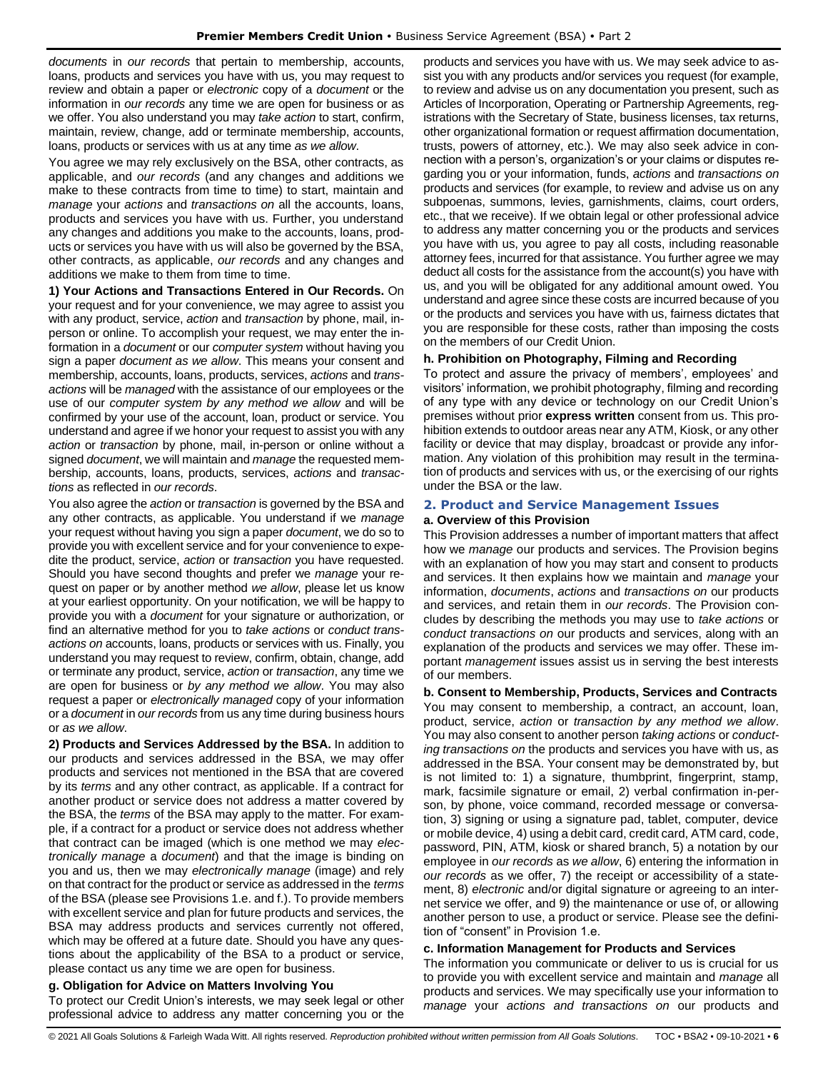*documents* in *our records* that pertain to membership, accounts, loans, products and services you have with us, you may request to review and obtain a paper or *electronic* copy of a *document* or the information in *our records* any time we are open for business or as we offer. You also understand you may *take action* to start, confirm, maintain, review, change, add or terminate membership, accounts, loans, products or services with us at any time *as we allow*.

You agree we may rely exclusively on the BSA, other contracts, as applicable, and *our records* (and any changes and additions we make to these contracts from time to time) to start, maintain and *manage* your *actions* and *transactions on* all the accounts, loans, products and services you have with us. Further, you understand any changes and additions you make to the accounts, loans, products or services you have with us will also be governed by the BSA, other contracts, as applicable, *our records* and any changes and additions we make to them from time to time.

**1) Your Actions and Transactions Entered in Our Records.** On your request and for your convenience, we may agree to assist you with any product, service, *action* and *transaction* by phone, mail, inperson or online. To accomplish your request, we may enter the information in a *document* or our *computer system* without having you sign a paper *document as we allow*. This means your consent and membership, accounts, loans, products, services, *actions* and *transactions* will be *managed* with the assistance of our employees or the use of our *computer system by any method we allow* and will be confirmed by your use of the account, loan, product or service. You understand and agree if we honor your request to assist you with any *action* or *transaction* by phone, mail, in-person or online without a signed *document*, we will maintain and *manage* the requested membership, accounts, loans, products, services, *actions* and *transactions* as reflected in *our records*.

You also agree the *action* or *transaction* is governed by the BSA and any other contracts, as applicable. You understand if we *manage* your request without having you sign a paper *document*, we do so to provide you with excellent service and for your convenience to expedite the product, service, *action* or *transaction* you have requested. Should you have second thoughts and prefer we *manage* your request on paper or by another method *we allow*, please let us know at your earliest opportunity. On your notification, we will be happy to provide you with a *document* for your signature or authorization, or find an alternative method for you to *take actions* or *conduct transactions on* accounts, loans, products or services with us. Finally, you understand you may request to review, confirm, obtain, change, add or terminate any product, service, *action* or *transaction*, any time we are open for business or *by any method we allow*. You may also request a paper or *electronically managed* copy of your information or a *document* in *our records* from us any time during business hours or *as we allow*.

**2) Products and Services Addressed by the BSA.** In addition to our products and services addressed in the BSA, we may offer products and services not mentioned in the BSA that are covered by its *terms* and any other contract, as applicable. If a contract for another product or service does not address a matter covered by the BSA, the *terms* of the BSA may apply to the matter. For example, if a contract for a product or service does not address whether that contract can be imaged (which is one method we may *electronically manage* a *document*) and that the image is binding on you and us, then we may *electronically manage* (image) and rely on that contract for the product or service as addressed in the *terms* of the BSA (please see Provisions 1.e. and f.). To provide members with excellent service and plan for future products and services, the BSA may address products and services currently not offered, which may be offered at a future date. Should you have any questions about the applicability of the BSA to a product or service, please contact us any time we are open for business.

## **g. Obligation for Advice on Matters Involving You**

To protect our Credit Union's interests, we may seek legal or other professional advice to address any matter concerning you or the

products and services you have with us. We may seek advice to assist you with any products and/or services you request (for example, to review and advise us on any documentation you present, such as Articles of Incorporation, Operating or Partnership Agreements, registrations with the Secretary of State, business licenses, tax returns, other organizational formation or request affirmation documentation, trusts, powers of attorney, etc.). We may also seek advice in connection with a person's, organization's or your claims or disputes regarding you or your information, funds, *actions* and *transactions on* products and services (for example, to review and advise us on any subpoenas, summons, levies, garnishments, claims, court orders, etc., that we receive). If we obtain legal or other professional advice to address any matter concerning you or the products and services you have with us, you agree to pay all costs, including reasonable attorney fees, incurred for that assistance. You further agree we may deduct all costs for the assistance from the account(s) you have with us, and you will be obligated for any additional amount owed. You understand and agree since these costs are incurred because of you or the products and services you have with us, fairness dictates that you are responsible for these costs, rather than imposing the costs on the members of our Credit Union.

## **h. Prohibition on Photography, Filming and Recording**

To protect and assure the privacy of members', employees' and visitors' information, we prohibit photography, filming and recording of any type with any device or technology on our Credit Union's premises without prior **express written** consent from us. This prohibition extends to outdoor areas near any ATM, Kiosk, or any other facility or device that may display, broadcast or provide any information. Any violation of this prohibition may result in the termination of products and services with us, or the exercising of our rights under the BSA or the law.

## <span id="page-5-0"></span>**2. Product and Service Management Issues**

#### **a. Overview of this Provision**

This Provision addresses a number of important matters that affect how we *manage* our products and services. The Provision begins with an explanation of how you may start and consent to products and services. It then explains how we maintain and *manage* your information, *documents*, *actions* and *transactions on* our products and services, and retain them in *our records*. The Provision concludes by describing the methods you may use to *take actions* or *conduct transactions on* our products and services, along with an explanation of the products and services we may offer. These important *management* issues assist us in serving the best interests of our members.

**b. Consent to Membership, Products, Services and Contracts** You may consent to membership, a contract, an account, loan, product, service, *action* or *transaction by any method we allow*. You may also consent to another person *taking actions* or *conducting transactions on* the products and services you have with us, as addressed in the BSA. Your consent may be demonstrated by, but is not limited to: 1) a signature, thumbprint, fingerprint, stamp, mark, facsimile signature or email, 2) verbal confirmation in-person, by phone, voice command, recorded message or conversation, 3) signing or using a signature pad, tablet, computer, device or mobile device, 4) using a debit card, credit card, ATM card, code, password, PIN, ATM, kiosk or shared branch, 5) a notation by our employee in *our records* as *we allow*, 6) entering the information in *our records* as we offer, 7) the receipt or accessibility of a statement, 8) *electronic* and/or digital signature or agreeing to an internet service we offer, and 9) the maintenance or use of, or allowing another person to use, a product or service. Please see the definition of "consent" in Provision 1.e.

#### **c. Information Management for Products and Services**

The information you communicate or deliver to us is crucial for us to provide you with excellent service and maintain and *manage* all products and services. We may specifically use your information to *manage* your *actions and transactions on* our products and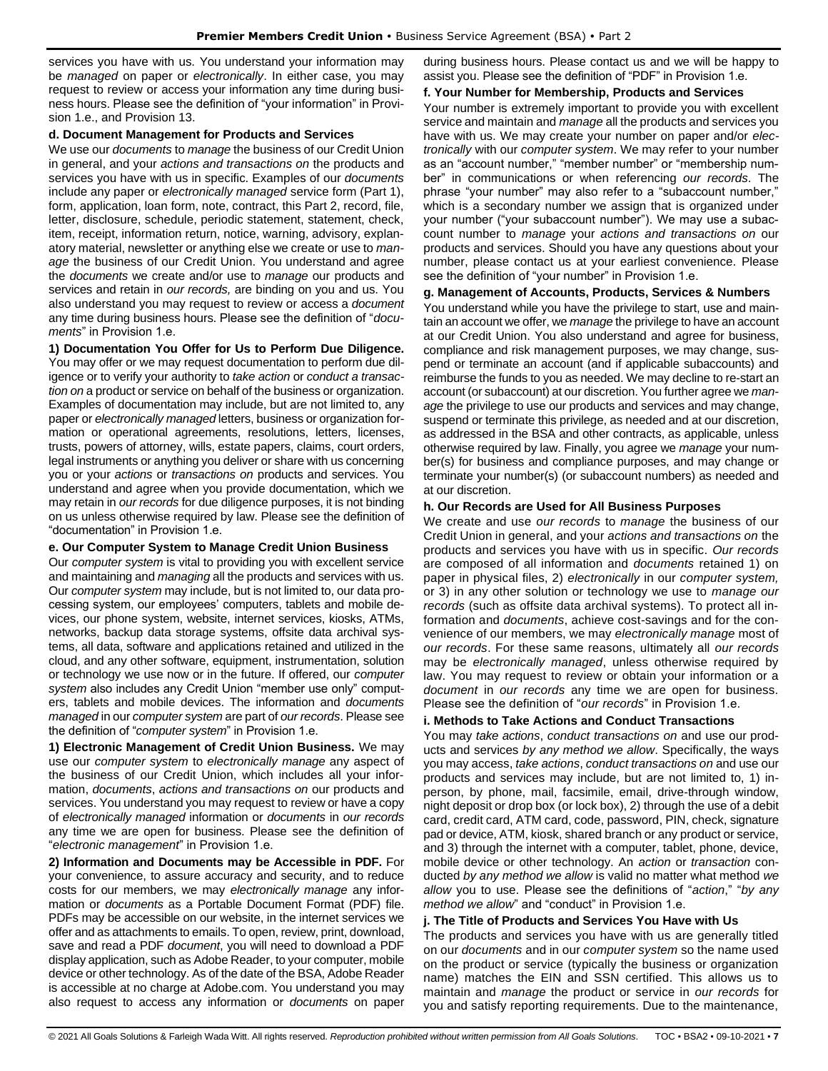services you have with us. You understand your information may be *managed* on paper or *electronically*. In either case, you may request to review or access your information any time during business hours. Please see the definition of "your information" in Provision 1.e., and Provision 13.

#### **d. Document Management for Products and Services**

We use our *documents* to *manage* the business of our Credit Union in general, and your *actions and transactions on* the products and services you have with us in specific. Examples of our *documents* include any paper or *electronically managed* service form (Part 1), form, application, loan form, note, contract, this Part 2, record, file, letter, disclosure, schedule, periodic statement, statement, check, item, receipt, information return, notice, warning, advisory, explanatory material, newsletter or anything else we create or use to *manage* the business of our Credit Union. You understand and agree the *documents* we create and/or use to *manage* our products and services and retain in *our records,* are binding on you and us. You also understand you may request to review or access a *document*  any time during business hours. Please see the definition of "*documents*" in Provision 1.e.

**1) Documentation You Offer for Us to Perform Due Diligence.** You may offer or we may request documentation to perform due diligence or to verify your authority to *take action* or *conduct a transaction on* a product or service on behalf of the business or organization. Examples of documentation may include, but are not limited to, any paper or *electronically managed* letters, business or organization formation or operational agreements, resolutions, letters, licenses, trusts, powers of attorney, wills, estate papers, claims, court orders, legal instruments or anything you deliver or share with us concerning you or your *actions* or *transactions on* products and services. You understand and agree when you provide documentation, which we may retain in *our records* for due diligence purposes, it is not binding on us unless otherwise required by law. Please see the definition of "documentation" in Provision 1.e.

#### **e. Our Computer System to Manage Credit Union Business**

Our *computer system* is vital to providing you with excellent service and maintaining and *managing* all the products and services with us. Our *computer system* may include, but is not limited to, our data processing system, our employees' computers, tablets and mobile devices, our phone system, website, internet services, kiosks, ATMs, networks, backup data storage systems, offsite data archival systems, all data, software and applications retained and utilized in the cloud, and any other software, equipment, instrumentation, solution or technology we use now or in the future. If offered, our *computer system* also includes any Credit Union "member use only" computers, tablets and mobile devices. The information and *documents managed* in our *computer system* are part of *our records*. Please see the definition of "*computer system*" in Provision 1.e.

**1) Electronic Management of Credit Union Business.** We may use our *computer system* to *electronically manage* any aspect of the business of our Credit Union, which includes all your information, *documents*, *actions and transactions on* our products and services. You understand you may request to review or have a copy of *electronically managed* information or *documents* in *our records* any time we are open for business. Please see the definition of "*electronic management*" in Provision 1.e.

**2) Information and Documents may be Accessible in PDF.** For your convenience, to assure accuracy and security, and to reduce costs for our members, we may *electronically manage* any information or *documents* as a Portable Document Format (PDF) file. PDFs may be accessible on our website, in the internet services we offer and as attachments to emails. To open, review, print, download, save and read a PDF *document*, you will need to download a PDF display application, such as Adobe Reader, to your computer, mobile device or other technology. As of the date of the BSA, Adobe Reader is accessible at no charge at Adobe.com. You understand you may also request to access any information or *documents* on paper during business hours. Please contact us and we will be happy to assist you. Please see the definition of "PDF" in Provision 1.e.

#### **f. Your Number for Membership, Products and Services**

Your number is extremely important to provide you with excellent service and maintain and *manage* all the products and services you have with us. We may create your number on paper and/or *electronically* with our *computer system*. We may refer to your number as an "account number," "member number" or "membership number" in communications or when referencing *our records*. The phrase "your number" may also refer to a "subaccount number," which is a secondary number we assign that is organized under your number ("your subaccount number"). We may use a subaccount number to *manage* your *actions and transactions on* our products and services. Should you have any questions about your number, please contact us at your earliest convenience. Please see the definition of "your number" in Provision 1.e.

## **g. Management of Accounts, Products, Services & Numbers**

You understand while you have the privilege to start, use and maintain an account we offer, we *manage* the privilege to have an account at our Credit Union. You also understand and agree for business, compliance and risk management purposes, we may change, suspend or terminate an account (and if applicable subaccounts) and reimburse the funds to you as needed. We may decline to re-start an account (or subaccount) at our discretion. You further agree we *manage* the privilege to use our products and services and may change, suspend or terminate this privilege, as needed and at our discretion, as addressed in the BSA and other contracts, as applicable, unless otherwise required by law. Finally, you agree we *manage* your number(s) for business and compliance purposes, and may change or terminate your number(s) (or subaccount numbers) as needed and at our discretion.

#### **h. Our Records are Used for All Business Purposes**

We create and use *our records* to *manage* the business of our Credit Union in general, and your *actions and transactions on* the products and services you have with us in specific. *Our records* are composed of all information and *documents* retained 1) on paper in physical files, 2) *electronically* in our *computer system,*  or 3) in any other solution or technology we use to *manage our records* (such as offsite data archival systems). To protect all information and *documents*, achieve cost-savings and for the convenience of our members, we may *electronically manage* most of *our records*. For these same reasons, ultimately all *our records* may be *electronically managed*, unless otherwise required by law. You may request to review or obtain your information or a *document* in *our records* any time we are open for business. Please see the definition of "*our records*" in Provision 1.e.

### **i. Methods to Take Actions and Conduct Transactions**

You may *take actions*, *conduct transactions on* and use our products and services *by any method we allow*. Specifically, the ways you may access, *take actions*, *conduct transactions on* and use our products and services may include, but are not limited to, 1) inperson, by phone, mail, facsimile, email, drive-through window, night deposit or drop box (or lock box), 2) through the use of a debit card, credit card, ATM card, code, password, PIN, check, signature pad or device, ATM, kiosk, shared branch or any product or service, and 3) through the internet with a computer, tablet, phone, device, mobile device or other technology. An *action* or *transaction* conducted *by any method we allow* is valid no matter what method *we allow* you to use. Please see the definitions of "*action*," "*by any method we allow*" and "conduct" in Provision 1.e.

#### **j. The Title of Products and Services You Have with Us**

The products and services you have with us are generally titled on our *documents* and in our *computer system* so the name used on the product or service (typically the business or organization name) matches the EIN and SSN certified. This allows us to maintain and *manage* the product or service in *our records* for you and satisfy reporting requirements. Due to the maintenance,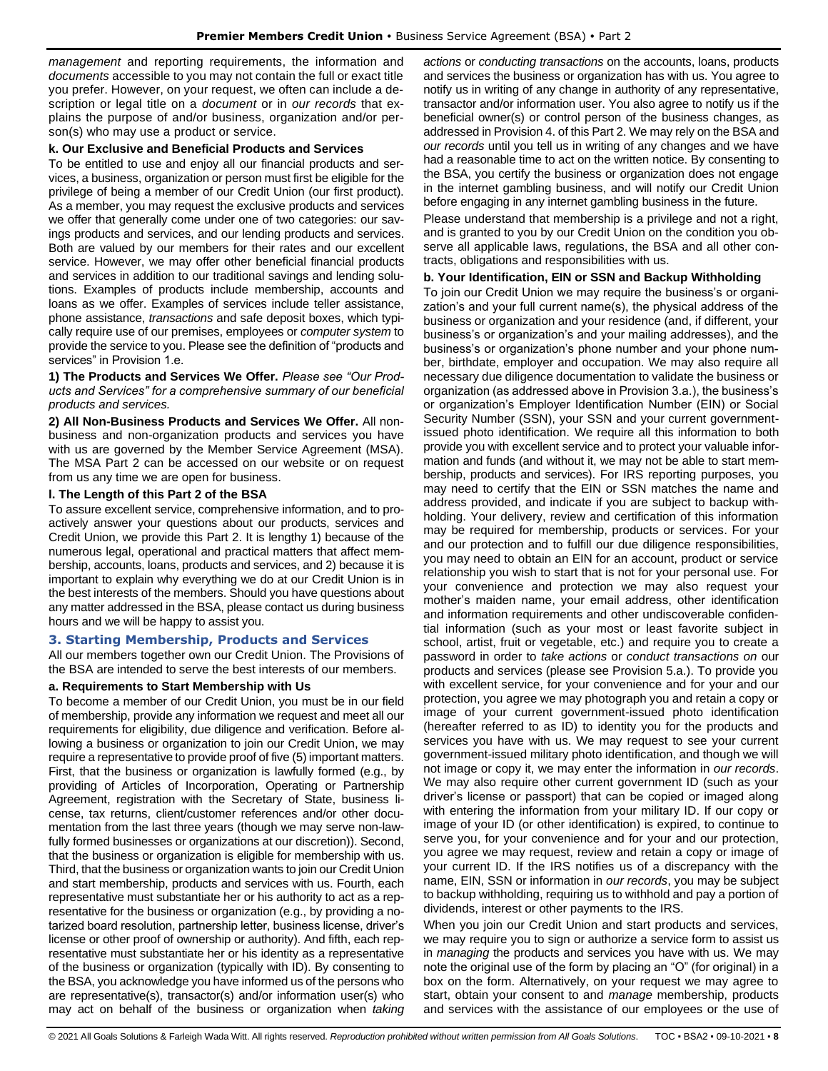*management* and reporting requirements, the information and *documents* accessible to you may not contain the full or exact title you prefer. However, on your request, we often can include a description or legal title on a *document* or in *our records* that explains the purpose of and/or business, organization and/or person(s) who may use a product or service.

#### **k. Our Exclusive and Beneficial Products and Services**

To be entitled to use and enjoy all our financial products and services, a business, organization or person must first be eligible for the privilege of being a member of our Credit Union (our first product). As a member, you may request the exclusive products and services we offer that generally come under one of two categories: our savings products and services, and our lending products and services. Both are valued by our members for their rates and our excellent service. However, we may offer other beneficial financial products and services in addition to our traditional savings and lending solutions. Examples of products include membership, accounts and loans as we offer. Examples of services include teller assistance, phone assistance, *transactions* and safe deposit boxes, which typically require use of our premises, employees or *computer system* to provide the service to you. Please see the definition of "products and services" in Provision 1.e.

**1) The Products and Services We Offer.** *Please see "Our Products and Services" for a comprehensive summary of our beneficial products and services.*

**2) All Non-Business Products and Services We Offer.** All nonbusiness and non-organization products and services you have with us are governed by the Member Service Agreement (MSA). The MSA Part 2 can be accessed on our website or on request from us any time we are open for business.

#### **l. The Length of this Part 2 of the BSA**

To assure excellent service, comprehensive information, and to proactively answer your questions about our products, services and Credit Union, we provide this Part 2. It is lengthy 1) because of the numerous legal, operational and practical matters that affect membership, accounts, loans, products and services, and 2) because it is important to explain why everything we do at our Credit Union is in the best interests of the members. Should you have questions about any matter addressed in the BSA, please contact us during business hours and we will be happy to assist you.

# <span id="page-7-0"></span>**3. Starting Membership, Products and Services**

All our members together own our Credit Union. The Provisions of the BSA are intended to serve the best interests of our members.

#### **a. Requirements to Start Membership with Us**

To become a member of our Credit Union, you must be in our field of membership, provide any information we request and meet all our requirements for eligibility, due diligence and verification. Before allowing a business or organization to join our Credit Union, we may require a representative to provide proof of five (5) important matters. First, that the business or organization is lawfully formed (e.g., by providing of Articles of Incorporation, Operating or Partnership Agreement, registration with the Secretary of State, business license, tax returns, client/customer references and/or other documentation from the last three years (though we may serve non-lawfully formed businesses or organizations at our discretion)). Second, that the business or organization is eligible for membership with us. Third, that the business or organization wants to join our Credit Union and start membership, products and services with us. Fourth, each representative must substantiate her or his authority to act as a representative for the business or organization (e.g., by providing a notarized board resolution, partnership letter, business license, driver's license or other proof of ownership or authority). And fifth, each representative must substantiate her or his identity as a representative of the business or organization (typically with ID). By consenting to the BSA, you acknowledge you have informed us of the persons who are representative(s), transactor(s) and/or information user(s) who may act on behalf of the business or organization when *taking*  *actions* or *conducting transactions* on the accounts, loans, products and services the business or organization has with us. You agree to notify us in writing of any change in authority of any representative, transactor and/or information user. You also agree to notify us if the beneficial owner(s) or control person of the business changes, as addressed in Provision 4. of this Part 2. We may rely on the BSA and *our records* until you tell us in writing of any changes and we have had a reasonable time to act on the written notice. By consenting to the BSA, you certify the business or organization does not engage in the internet gambling business, and will notify our Credit Union before engaging in any internet gambling business in the future.

Please understand that membership is a privilege and not a right, and is granted to you by our Credit Union on the condition you observe all applicable laws, regulations, the BSA and all other contracts, obligations and responsibilities with us.

## **b. Your Identification, EIN or SSN and Backup Withholding**

To join our Credit Union we may require the business's or organization's and your full current name(s), the physical address of the business or organization and your residence (and, if different, your business's or organization's and your mailing addresses), and the business's or organization's phone number and your phone number, birthdate, employer and occupation. We may also require all necessary due diligence documentation to validate the business or organization (as addressed above in Provision 3.a.), the business's or organization's Employer Identification Number (EIN) or Social Security Number (SSN), your SSN and your current governmentissued photo identification. We require all this information to both provide you with excellent service and to protect your valuable information and funds (and without it, we may not be able to start membership, products and services). For IRS reporting purposes, you may need to certify that the EIN or SSN matches the name and address provided, and indicate if you are subject to backup withholding. Your delivery, review and certification of this information may be required for membership, products or services. For your and our protection and to fulfill our due diligence responsibilities, you may need to obtain an EIN for an account, product or service relationship you wish to start that is not for your personal use. For your convenience and protection we may also request your mother's maiden name, your email address, other identification and information requirements and other undiscoverable confidential information (such as your most or least favorite subject in school, artist, fruit or vegetable, etc.) and require you to create a password in order to *take actions* or *conduct transactions on* our products and services (please see Provision 5.a.). To provide you with excellent service, for your convenience and for your and our protection, you agree we may photograph you and retain a copy or image of your current government-issued photo identification (hereafter referred to as ID) to identity you for the products and services you have with us. We may request to see your current government-issued military photo identification, and though we will not image or copy it, we may enter the information in *our records*. We may also require other current government ID (such as your driver's license or passport) that can be copied or imaged along with entering the information from your military ID. If our copy or image of your ID (or other identification) is expired, to continue to serve you, for your convenience and for your and our protection, you agree we may request, review and retain a copy or image of your current ID. If the IRS notifies us of a discrepancy with the name, EIN, SSN or information in *our records*, you may be subject to backup withholding, requiring us to withhold and pay a portion of dividends, interest or other payments to the IRS.

When you join our Credit Union and start products and services, we may require you to sign or authorize a service form to assist us in *managing* the products and services you have with us. We may note the original use of the form by placing an "O" (for original) in a box on the form. Alternatively, on your request we may agree to start, obtain your consent to and *manage* membership, products and services with the assistance of our employees or the use of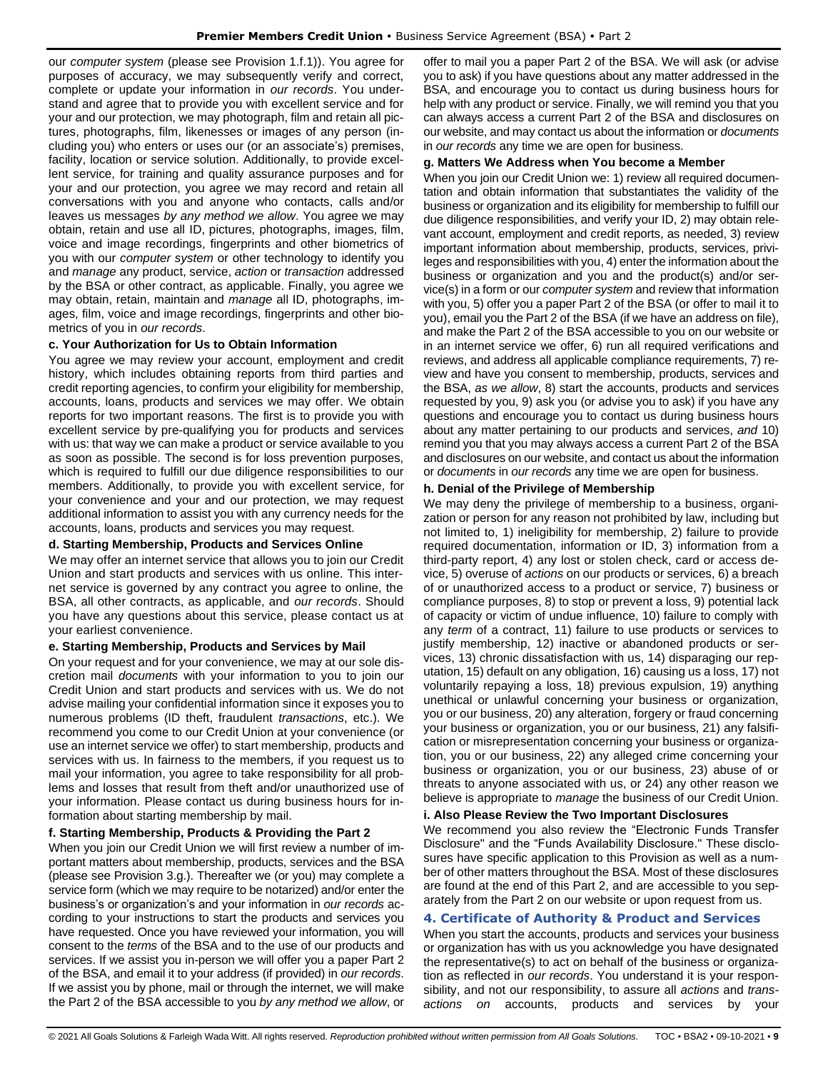our *computer system* (please see Provision 1.f.1)). You agree for purposes of accuracy, we may subsequently verify and correct, complete or update your information in *our records*. You understand and agree that to provide you with excellent service and for your and our protection, we may photograph, film and retain all pictures, photographs, film, likenesses or images of any person (including you) who enters or uses our (or an associate's) premises, facility, location or service solution. Additionally, to provide excellent service, for training and quality assurance purposes and for your and our protection, you agree we may record and retain all conversations with you and anyone who contacts, calls and/or leaves us messages *by any method we allow*. You agree we may obtain, retain and use all ID, pictures, photographs, images, film, voice and image recordings, fingerprints and other biometrics of you with our *computer system* or other technology to identify you and *manage* any product, service, *action* or *transaction* addressed by the BSA or other contract, as applicable. Finally, you agree we may obtain, retain, maintain and *manage* all ID, photographs, images, film, voice and image recordings, fingerprints and other biometrics of you in *our records*.

## **c. Your Authorization for Us to Obtain Information**

You agree we may review your account, employment and credit history, which includes obtaining reports from third parties and credit reporting agencies, to confirm your eligibility for membership, accounts, loans, products and services we may offer. We obtain reports for two important reasons. The first is to provide you with excellent service by pre-qualifying you for products and services with us: that way we can make a product or service available to you as soon as possible. The second is for loss prevention purposes, which is required to fulfill our due diligence responsibilities to our members. Additionally, to provide you with excellent service, for your convenience and your and our protection, we may request additional information to assist you with any currency needs for the accounts, loans, products and services you may request.

#### **d. Starting Membership, Products and Services Online**

We may offer an internet service that allows you to join our Credit Union and start products and services with us online. This internet service is governed by any contract you agree to online, the BSA, all other contracts, as applicable, and *our records*. Should you have any questions about this service, please contact us at your earliest convenience.

#### **e. Starting Membership, Products and Services by Mail**

On your request and for your convenience, we may at our sole discretion mail *documents* with your information to you to join our Credit Union and start products and services with us. We do not advise mailing your confidential information since it exposes you to numerous problems (ID theft, fraudulent *transactions*, etc.). We recommend you come to our Credit Union at your convenience (or use an internet service we offer) to start membership, products and services with us. In fairness to the members, if you request us to mail your information, you agree to take responsibility for all problems and losses that result from theft and/or unauthorized use of your information. Please contact us during business hours for information about starting membership by mail.

## **f. Starting Membership, Products & Providing the Part 2**

When you join our Credit Union we will first review a number of important matters about membership, products, services and the BSA (please see Provision 3.g.). Thereafter we (or you) may complete a service form (which we may require to be notarized) and/or enter the business's or organization's and your information in *our records* according to your instructions to start the products and services you have requested. Once you have reviewed your information, you will consent to the *terms* of the BSA and to the use of our products and services. If we assist you in-person we will offer you a paper Part 2 of the BSA, and email it to your address (if provided) in *our records*. If we assist you by phone, mail or through the internet, we will make the Part 2 of the BSA accessible to you *by any method we allow*, or offer to mail you a paper Part 2 of the BSA. We will ask (or advise you to ask) if you have questions about any matter addressed in the BSA, and encourage you to contact us during business hours for help with any product or service. Finally, we will remind you that you can always access a current Part 2 of the BSA and disclosures on our website, and may contact us about the information or *documents*  in *our records* any time we are open for business.

#### **g. Matters We Address when You become a Member**

When you join our Credit Union we: 1) review all required documentation and obtain information that substantiates the validity of the business or organization and its eligibility for membership to fulfill our due diligence responsibilities, and verify your ID, 2) may obtain relevant account, employment and credit reports, as needed, 3) review important information about membership, products, services, privileges and responsibilities with you, 4) enter the information about the business or organization and you and the product(s) and/or service(s) in a form or our *computer system* and review that information with you, 5) offer you a paper Part 2 of the BSA (or offer to mail it to you), email you the Part 2 of the BSA (if we have an address on file), and make the Part 2 of the BSA accessible to you on our website or in an internet service we offer, 6) run all required verifications and reviews, and address all applicable compliance requirements, 7) review and have you consent to membership, products, services and the BSA, *as we allow*, 8) start the accounts, products and services requested by you, 9) ask you (or advise you to ask) if you have any questions and encourage you to contact us during business hours about any matter pertaining to our products and services, *and* 10) remind you that you may always access a current Part 2 of the BSA and disclosures on our website, and contact us about the information or *documents* in *our records* any time we are open for business.

## **h. Denial of the Privilege of Membership**

We may deny the privilege of membership to a business, organization or person for any reason not prohibited by law, including but not limited to, 1) ineligibility for membership, 2) failure to provide required documentation, information or ID, 3) information from a third-party report, 4) any lost or stolen check, card or access device, 5) overuse of *actions* on our products or services, 6) a breach of or unauthorized access to a product or service, 7) business or compliance purposes, 8) to stop or prevent a loss, 9) potential lack of capacity or victim of undue influence, 10) failure to comply with any *term* of a contract, 11) failure to use products or services to justify membership, 12) inactive or abandoned products or services, 13) chronic dissatisfaction with us, 14) disparaging our reputation, 15) default on any obligation, 16) causing us a loss, 17) not voluntarily repaying a loss, 18) previous expulsion, 19) anything unethical or unlawful concerning your business or organization, you or our business, 20) any alteration, forgery or fraud concerning your business or organization, you or our business, 21) any falsification or misrepresentation concerning your business or organization, you or our business, 22) any alleged crime concerning your business or organization, you or our business, 23) abuse of or threats to anyone associated with us, or 24) any other reason we believe is appropriate to *manage* the business of our Credit Union.

#### **i. Also Please Review the Two Important Disclosures**

We recommend you also review the "Electronic Funds Transfer Disclosure" and the "Funds Availability Disclosure." These disclosures have specific application to this Provision as well as a number of other matters throughout the BSA. Most of these disclosures are found at the end of this Part 2, and are accessible to you separately from the Part 2 on our website or upon request from us.

#### <span id="page-8-0"></span>**4. Certificate of Authority & Product and Services**

When you start the accounts, products and services your business or organization has with us you acknowledge you have designated the representative(s) to act on behalf of the business or organization as reflected in *our records*. You understand it is your responsibility, and not our responsibility, to assure all *actions* and *transactions on* accounts, products and services by your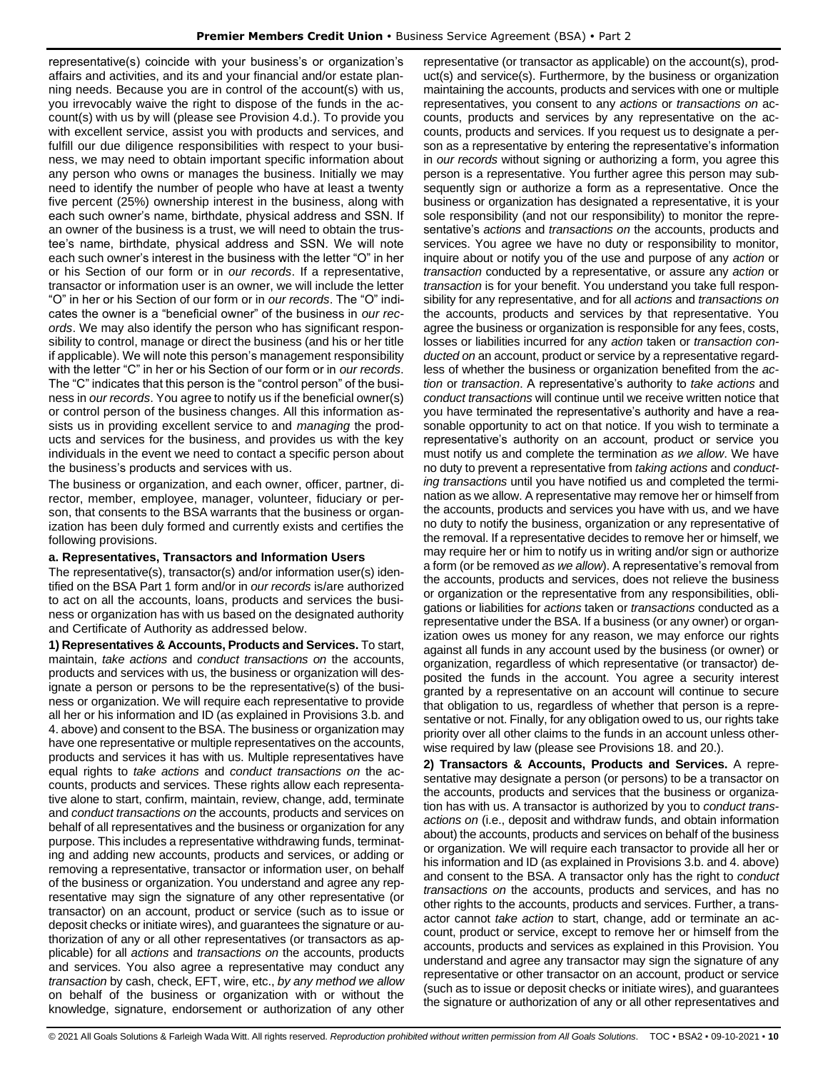representative(s) coincide with your business's or organization's affairs and activities, and its and your financial and/or estate planning needs. Because you are in control of the account(s) with us, you irrevocably waive the right to dispose of the funds in the account(s) with us by will (please see Provision 4.d.). To provide you with excellent service, assist you with products and services, and fulfill our due diligence responsibilities with respect to your business, we may need to obtain important specific information about any person who owns or manages the business. Initially we may need to identify the number of people who have at least a twenty five percent (25%) ownership interest in the business, along with each such owner's name, birthdate, physical address and SSN. If an owner of the business is a trust, we will need to obtain the trustee's name, birthdate, physical address and SSN. We will note each such owner's interest in the business with the letter "O" in her or his Section of our form or in *our records*. If a representative, transactor or information user is an owner, we will include the letter "O" in her or his Section of our form or in *our records*. The "O" indicates the owner is a "beneficial owner" of the business in *our records*. We may also identify the person who has significant responsibility to control, manage or direct the business (and his or her title if applicable). We will note this person's management responsibility with the letter "C" in her or his Section of our form or in *our records*. The "C" indicates that this person is the "control person" of the business in *our records*. You agree to notify us if the beneficial owner(s) or control person of the business changes. All this information assists us in providing excellent service to and *managing* the products and services for the business, and provides us with the key individuals in the event we need to contact a specific person about the business's products and services with us.

The business or organization, and each owner, officer, partner, director, member, employee, manager, volunteer, fiduciary or person, that consents to the BSA warrants that the business or organization has been duly formed and currently exists and certifies the following provisions.

## **a. Representatives, Transactors and Information Users**

The representative(s), transactor(s) and/or information user(s) identified on the BSA Part 1 form and/or in *our records* is/are authorized to act on all the accounts, loans, products and services the business or organization has with us based on the designated authority and Certificate of Authority as addressed below.

**1) Representatives & Accounts, Products and Services.** To start, maintain, *take actions* and *conduct transactions on* the accounts, products and services with us, the business or organization will designate a person or persons to be the representative(s) of the business or organization. We will require each representative to provide all her or his information and ID (as explained in Provisions 3.b. and 4. above) and consent to the BSA. The business or organization may have one representative or multiple representatives on the accounts, products and services it has with us. Multiple representatives have equal rights to *take actions* and *conduct transactions on* the accounts, products and services. These rights allow each representative alone to start, confirm, maintain, review, change, add, terminate and *conduct transactions on* the accounts, products and services on behalf of all representatives and the business or organization for any purpose. This includes a representative withdrawing funds, terminating and adding new accounts, products and services, or adding or removing a representative, transactor or information user, on behalf of the business or organization. You understand and agree any representative may sign the signature of any other representative (or transactor) on an account, product or service (such as to issue or deposit checks or initiate wires), and guarantees the signature or authorization of any or all other representatives (or transactors as applicable) for all *actions* and *transactions on* the accounts, products and services. You also agree a representative may conduct any *transaction* by cash, check, EFT, wire, etc., *by any method we allow* on behalf of the business or organization with or without the knowledge, signature, endorsement or authorization of any other

representative (or transactor as applicable) on the account(s), product(s) and service(s). Furthermore, by the business or organization maintaining the accounts, products and services with one or multiple representatives, you consent to any *actions* or *transactions on* accounts, products and services by any representative on the accounts, products and services. If you request us to designate a person as a representative by entering the representative's information in *our records* without signing or authorizing a form, you agree this person is a representative. You further agree this person may subsequently sign or authorize a form as a representative. Once the business or organization has designated a representative, it is your sole responsibility (and not our responsibility) to monitor the representative's *actions* and *transactions on* the accounts, products and services. You agree we have no duty or responsibility to monitor, inquire about or notify you of the use and purpose of any *action* or *transaction* conducted by a representative, or assure any *action* or *transaction* is for your benefit. You understand you take full responsibility for any representative, and for all *actions* and *transactions on* the accounts, products and services by that representative. You agree the business or organization is responsible for any fees, costs, losses or liabilities incurred for any *action* taken or *transaction conducted on* an account, product or service by a representative regardless of whether the business or organization benefited from the *action* or *transaction*. A representative's authority to *take actions* and *conduct transactions* will continue until we receive written notice that you have terminated the representative's authority and have a reasonable opportunity to act on that notice. If you wish to terminate a representative's authority on an account, product or service you must notify us and complete the termination *as we allow*. We have no duty to prevent a representative from *taking actions* and *conducting transactions* until you have notified us and completed the termination as we allow. A representative may remove her or himself from the accounts, products and services you have with us, and we have no duty to notify the business, organization or any representative of the removal. If a representative decides to remove her or himself, we may require her or him to notify us in writing and/or sign or authorize a form (or be removed *as we allow*). A representative's removal from the accounts, products and services, does not relieve the business or organization or the representative from any responsibilities, obligations or liabilities for *actions* taken or *transactions* conducted as a representative under the BSA. If a business (or any owner) or organization owes us money for any reason, we may enforce our rights against all funds in any account used by the business (or owner) or organization, regardless of which representative (or transactor) deposited the funds in the account. You agree a security interest granted by a representative on an account will continue to secure that obligation to us, regardless of whether that person is a representative or not. Finally, for any obligation owed to us, our rights take priority over all other claims to the funds in an account unless otherwise required by law (please see Provisions 18. and 20.).

**2) Transactors & Accounts, Products and Services.** A representative may designate a person (or persons) to be a transactor on the accounts, products and services that the business or organization has with us. A transactor is authorized by you to *conduct transactions on* (i.e., deposit and withdraw funds, and obtain information about) the accounts, products and services on behalf of the business or organization. We will require each transactor to provide all her or his information and ID (as explained in Provisions 3.b. and 4. above) and consent to the BSA. A transactor only has the right to *conduct transactions on* the accounts, products and services, and has no other rights to the accounts, products and services. Further, a transactor cannot *take action* to start, change, add or terminate an account, product or service, except to remove her or himself from the accounts, products and services as explained in this Provision. You understand and agree any transactor may sign the signature of any representative or other transactor on an account, product or service (such as to issue or deposit checks or initiate wires), and guarantees the signature or authorization of any or all other representatives and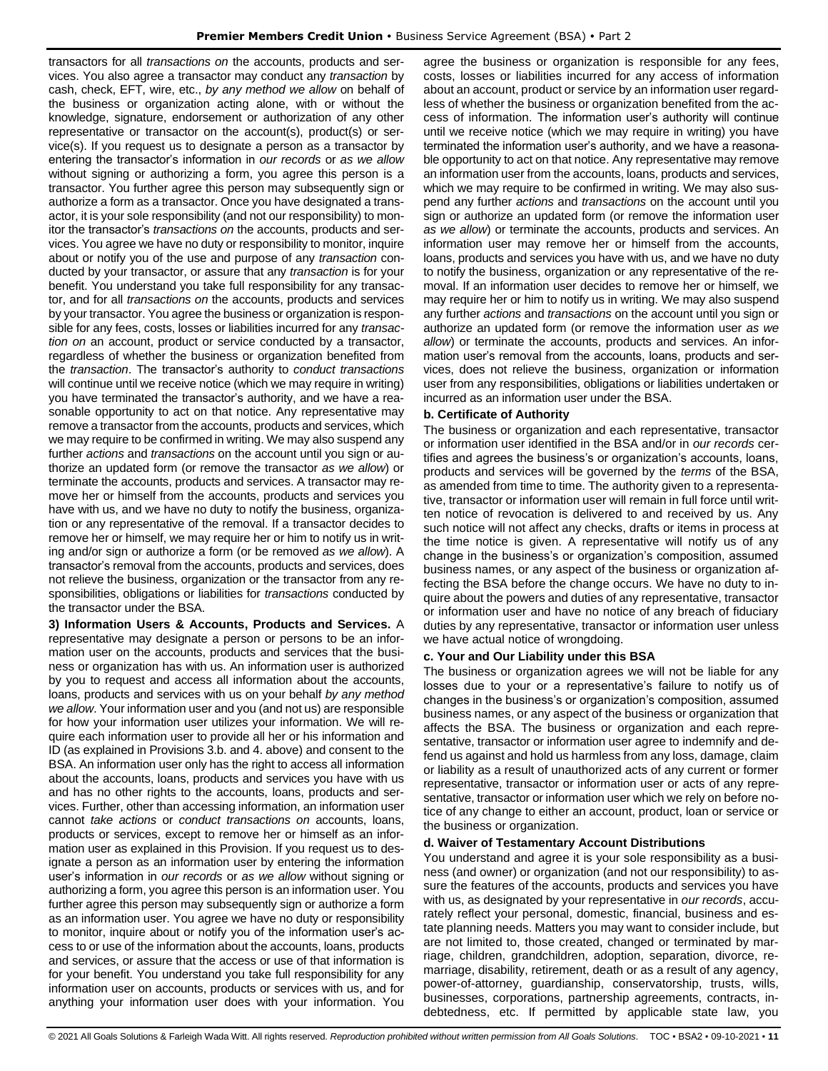transactors for all *transactions on* the accounts, products and services. You also agree a transactor may conduct any *transaction* by cash, check, EFT, wire, etc., *by any method we allow* on behalf of the business or organization acting alone, with or without the knowledge, signature, endorsement or authorization of any other representative or transactor on the account(s), product(s) or service(s). If you request us to designate a person as a transactor by entering the transactor's information in *our records* or *as we allow*  without signing or authorizing a form, you agree this person is a transactor. You further agree this person may subsequently sign or authorize a form as a transactor. Once you have designated a transactor, it is your sole responsibility (and not our responsibility) to monitor the transactor's *transactions on* the accounts, products and services. You agree we have no duty or responsibility to monitor, inquire about or notify you of the use and purpose of any *transaction* conducted by your transactor, or assure that any *transaction* is for your benefit. You understand you take full responsibility for any transactor, and for all *transactions on* the accounts, products and services by your transactor. You agree the business or organization is responsible for any fees, costs, losses or liabilities incurred for any *transaction on* an account, product or service conducted by a transactor, regardless of whether the business or organization benefited from the *transaction*. The transactor's authority to *conduct transactions* will continue until we receive notice (which we may require in writing) you have terminated the transactor's authority, and we have a reasonable opportunity to act on that notice. Any representative may remove a transactor from the accounts, products and services, which we may require to be confirmed in writing. We may also suspend any further *actions* and *transactions* on the account until you sign or authorize an updated form (or remove the transactor *as we allow*) or terminate the accounts, products and services. A transactor may remove her or himself from the accounts, products and services you have with us, and we have no duty to notify the business, organization or any representative of the removal. If a transactor decides to remove her or himself, we may require her or him to notify us in writing and/or sign or authorize a form (or be removed *as we allow*). A transactor's removal from the accounts, products and services, does not relieve the business, organization or the transactor from any responsibilities, obligations or liabilities for *transactions* conducted by the transactor under the BSA.

**3) Information Users & Accounts, Products and Services.** A representative may designate a person or persons to be an information user on the accounts, products and services that the business or organization has with us. An information user is authorized by you to request and access all information about the accounts, loans, products and services with us on your behalf *by any method we allow*. Your information user and you (and not us) are responsible for how your information user utilizes your information. We will require each information user to provide all her or his information and ID (as explained in Provisions 3.b. and 4. above) and consent to the BSA. An information user only has the right to access all information about the accounts, loans, products and services you have with us and has no other rights to the accounts, loans, products and services. Further, other than accessing information, an information user cannot *take actions* or *conduct transactions on* accounts, loans, products or services, except to remove her or himself as an information user as explained in this Provision. If you request us to designate a person as an information user by entering the information user's information in *our records* or *as we allow* without signing or authorizing a form, you agree this person is an information user. You further agree this person may subsequently sign or authorize a form as an information user. You agree we have no duty or responsibility to monitor, inquire about or notify you of the information user's access to or use of the information about the accounts, loans, products and services, or assure that the access or use of that information is for your benefit. You understand you take full responsibility for any information user on accounts, products or services with us, and for anything your information user does with your information. You agree the business or organization is responsible for any fees, costs, losses or liabilities incurred for any access of information about an account, product or service by an information user regardless of whether the business or organization benefited from the access of information. The information user's authority will continue until we receive notice (which we may require in writing) you have terminated the information user's authority, and we have a reasonable opportunity to act on that notice. Any representative may remove an information user from the accounts, loans, products and services, which we may require to be confirmed in writing. We may also suspend any further *actions* and *transactions* on the account until you sign or authorize an updated form (or remove the information user *as we allow*) or terminate the accounts, products and services. An information user may remove her or himself from the accounts, loans, products and services you have with us, and we have no duty to notify the business, organization or any representative of the removal. If an information user decides to remove her or himself, we may require her or him to notify us in writing. We may also suspend any further *actions* and *transactions* on the account until you sign or authorize an updated form (or remove the information user *as we allow*) or terminate the accounts, products and services. An information user's removal from the accounts, loans, products and services, does not relieve the business, organization or information user from any responsibilities, obligations or liabilities undertaken or incurred as an information user under the BSA.

## **b. Certificate of Authority**

The business or organization and each representative, transactor or information user identified in the BSA and/or in *our records* certifies and agrees the business's or organization's accounts, loans, products and services will be governed by the *terms* of the BSA, as amended from time to time. The authority given to a representative, transactor or information user will remain in full force until written notice of revocation is delivered to and received by us. Any such notice will not affect any checks, drafts or items in process at the time notice is given. A representative will notify us of any change in the business's or organization's composition, assumed business names, or any aspect of the business or organization affecting the BSA before the change occurs. We have no duty to inquire about the powers and duties of any representative, transactor or information user and have no notice of any breach of fiduciary duties by any representative, transactor or information user unless we have actual notice of wrongdoing.

## **c. Your and Our Liability under this BSA**

The business or organization agrees we will not be liable for any losses due to your or a representative's failure to notify us of changes in the business's or organization's composition, assumed business names, or any aspect of the business or organization that affects the BSA. The business or organization and each representative, transactor or information user agree to indemnify and defend us against and hold us harmless from any loss, damage, claim or liability as a result of unauthorized acts of any current or former representative, transactor or information user or acts of any representative, transactor or information user which we rely on before notice of any change to either an account, product, loan or service or the business or organization.

#### **d. Waiver of Testamentary Account Distributions**

You understand and agree it is your sole responsibility as a business (and owner) or organization (and not our responsibility) to assure the features of the accounts, products and services you have with us, as designated by your representative in *our records*, accurately reflect your personal, domestic, financial, business and estate planning needs. Matters you may want to consider include, but are not limited to, those created, changed or terminated by marriage, children, grandchildren, adoption, separation, divorce, remarriage, disability, retirement, death or as a result of any agency, power-of-attorney, guardianship, conservatorship, trusts, wills, businesses, corporations, partnership agreements, contracts, indebtedness, etc. If permitted by applicable state law, you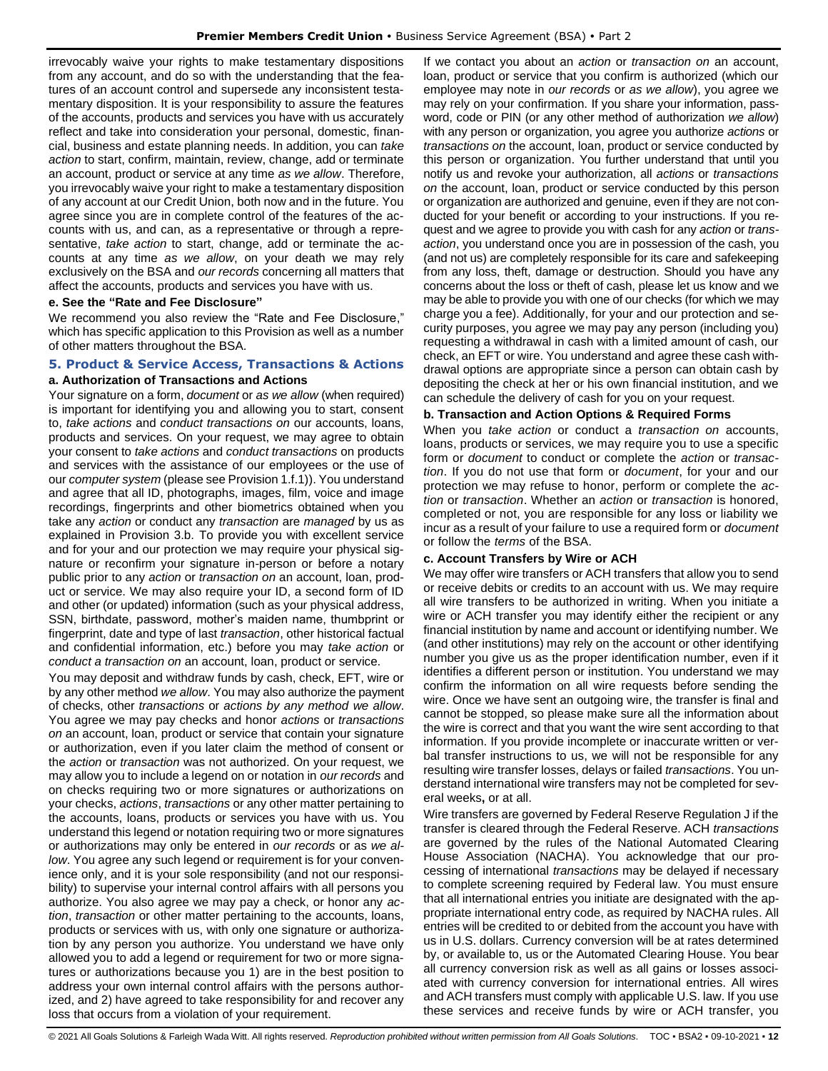irrevocably waive your rights to make testamentary dispositions from any account, and do so with the understanding that the features of an account control and supersede any inconsistent testamentary disposition. It is your responsibility to assure the features of the accounts, products and services you have with us accurately reflect and take into consideration your personal, domestic, financial, business and estate planning needs. In addition, you can *take action* to start, confirm, maintain, review, change, add or terminate an account, product or service at any time *as we allow*. Therefore, you irrevocably waive your right to make a testamentary disposition of any account at our Credit Union, both now and in the future. You agree since you are in complete control of the features of the accounts with us, and can, as a representative or through a representative, *take action* to start, change, add or terminate the accounts at any time *as we allow*, on your death we may rely exclusively on the BSA and *our records* concerning all matters that affect the accounts, products and services you have with us.

#### **e. See the "Rate and Fee Disclosure"**

We recommend you also review the "Rate and Fee Disclosure," which has specific application to this Provision as well as a number of other matters throughout the BSA.

## <span id="page-11-0"></span>**5. Product & Service Access, Transactions & Actions a. Authorization of Transactions and Actions**

Your signature on a form, *document* or *as we allow* (when required) is important for identifying you and allowing you to start, consent to, *take actions* and *conduct transactions on* our accounts, loans, products and services. On your request, we may agree to obtain your consent to *take actions* and *conduct transactions* on products and services with the assistance of our employees or the use of our *computer system* (please see Provision 1.f.1)). You understand and agree that all ID, photographs, images, film, voice and image recordings, fingerprints and other biometrics obtained when you take any *action* or conduct any *transaction* are *managed* by us as explained in Provision 3.b. To provide you with excellent service and for your and our protection we may require your physical signature or reconfirm your signature in-person or before a notary public prior to any *action* or *transaction on* an account, loan, product or service. We may also require your ID, a second form of ID and other (or updated) information (such as your physical address, SSN, birthdate, password, mother's maiden name, thumbprint or fingerprint, date and type of last *transaction*, other historical factual and confidential information, etc.) before you may *take action* or *conduct a transaction on* an account, loan, product or service.

You may deposit and withdraw funds by cash, check, EFT, wire or by any other method *we allow*. You may also authorize the payment of checks, other *transactions* or *actions by any method we allow*. You agree we may pay checks and honor *actions* or *transactions on* an account, loan, product or service that contain your signature or authorization, even if you later claim the method of consent or the *action* or *transaction* was not authorized. On your request, we may allow you to include a legend on or notation in *our records* and on checks requiring two or more signatures or authorizations on your checks, *actions*, *transactions* or any other matter pertaining to the accounts, loans, products or services you have with us. You understand this legend or notation requiring two or more signatures or authorizations may only be entered in *our records* or as *we allow*. You agree any such legend or requirement is for your convenience only, and it is your sole responsibility (and not our responsibility) to supervise your internal control affairs with all persons you authorize. You also agree we may pay a check, or honor any *action*, *transaction* or other matter pertaining to the accounts, loans, products or services with us, with only one signature or authorization by any person you authorize. You understand we have only allowed you to add a legend or requirement for two or more signatures or authorizations because you 1) are in the best position to address your own internal control affairs with the persons authorized, and 2) have agreed to take responsibility for and recover any loss that occurs from a violation of your requirement.

If we contact you about an *action* or *transaction on* an account, loan, product or service that you confirm is authorized (which our employee may note in *our records* or *as we allow*), you agree we may rely on your confirmation. If you share your information, password, code or PIN (or any other method of authorization *we allow*) with any person or organization, you agree you authorize *actions* or *transactions on* the account, loan, product or service conducted by this person or organization. You further understand that until you notify us and revoke your authorization, all *actions* or *transactions on* the account, loan, product or service conducted by this person or organization are authorized and genuine, even if they are not conducted for your benefit or according to your instructions. If you request and we agree to provide you with cash for any *action* or *transaction*, you understand once you are in possession of the cash, you (and not us) are completely responsible for its care and safekeeping from any loss, theft, damage or destruction. Should you have any concerns about the loss or theft of cash, please let us know and we may be able to provide you with one of our checks (for which we may charge you a fee). Additionally, for your and our protection and security purposes, you agree we may pay any person (including you) requesting a withdrawal in cash with a limited amount of cash, our check, an EFT or wire. You understand and agree these cash withdrawal options are appropriate since a person can obtain cash by depositing the check at her or his own financial institution, and we can schedule the delivery of cash for you on your request.

#### **b. Transaction and Action Options & Required Forms**

When you *take action* or conduct a *transaction on* accounts, loans, products or services, we may require you to use a specific form or *document* to conduct or complete the *action* or *transaction*. If you do not use that form or *document*, for your and our protection we may refuse to honor, perform or complete the *action* or *transaction*. Whether an *action* or *transaction* is honored, completed or not, you are responsible for any loss or liability we incur as a result of your failure to use a required form or *document* or follow the *terms* of the BSA.

#### **c. Account Transfers by Wire or ACH**

We may offer wire transfers or ACH transfers that allow you to send or receive debits or credits to an account with us. We may require all wire transfers to be authorized in writing. When you initiate a wire or ACH transfer you may identify either the recipient or any financial institution by name and account or identifying number. We (and other institutions) may rely on the account or other identifying number you give us as the proper identification number, even if it identifies a different person or institution. You understand we may confirm the information on all wire requests before sending the wire. Once we have sent an outgoing wire, the transfer is final and cannot be stopped, so please make sure all the information about the wire is correct and that you want the wire sent according to that information. If you provide incomplete or inaccurate written or verbal transfer instructions to us, we will not be responsible for any resulting wire transfer losses, delays or failed *transactions*. You understand international wire transfers may not be completed for several weeks**,** or at all.

Wire transfers are governed by Federal Reserve Regulation J if the transfer is cleared through the Federal Reserve. ACH *transactions* are governed by the rules of the National Automated Clearing House Association (NACHA). You acknowledge that our processing of international *transactions* may be delayed if necessary to complete screening required by Federal law. You must ensure that all international entries you initiate are designated with the appropriate international entry code, as required by NACHA rules. All entries will be credited to or debited from the account you have with us in U.S. dollars. Currency conversion will be at rates determined by, or available to, us or the Automated Clearing House. You bear all currency conversion risk as well as all gains or losses associated with currency conversion for international entries. All wires and ACH transfers must comply with applicable U.S. law. If you use these services and receive funds by wire or ACH transfer, you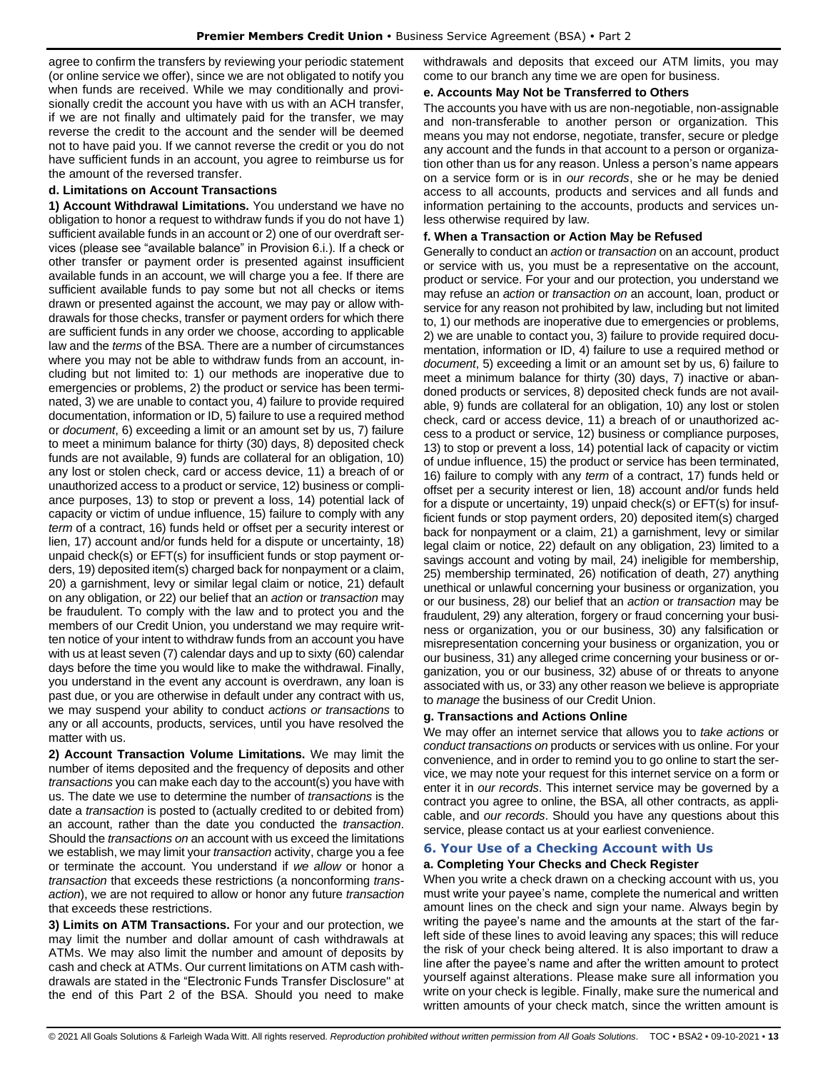agree to confirm the transfers by reviewing your periodic statement (or online service we offer), since we are not obligated to notify you when funds are received. While we may conditionally and provisionally credit the account you have with us with an ACH transfer, if we are not finally and ultimately paid for the transfer, we may reverse the credit to the account and the sender will be deemed not to have paid you. If we cannot reverse the credit or you do not have sufficient funds in an account, you agree to reimburse us for the amount of the reversed transfer.

#### **d. Limitations on Account Transactions**

**1) Account Withdrawal Limitations.** You understand we have no obligation to honor a request to withdraw funds if you do not have 1) sufficient available funds in an account or 2) one of our overdraft services (please see "available balance" in Provision 6.i.). If a check or other transfer or payment order is presented against insufficient available funds in an account, we will charge you a fee. If there are sufficient available funds to pay some but not all checks or items drawn or presented against the account, we may pay or allow withdrawals for those checks, transfer or payment orders for which there are sufficient funds in any order we choose, according to applicable law and the *terms* of the BSA. There are a number of circumstances where you may not be able to withdraw funds from an account, including but not limited to: 1) our methods are inoperative due to emergencies or problems, 2) the product or service has been terminated, 3) we are unable to contact you, 4) failure to provide required documentation, information or ID, 5) failure to use a required method or *document*, 6) exceeding a limit or an amount set by us, 7) failure to meet a minimum balance for thirty (30) days, 8) deposited check funds are not available, 9) funds are collateral for an obligation, 10) any lost or stolen check, card or access device, 11) a breach of or unauthorized access to a product or service, 12) business or compliance purposes, 13) to stop or prevent a loss, 14) potential lack of capacity or victim of undue influence, 15) failure to comply with any *term* of a contract, 16) funds held or offset per a security interest or lien, 17) account and/or funds held for a dispute or uncertainty, 18) unpaid check(s) or EFT(s) for insufficient funds or stop payment orders, 19) deposited item(s) charged back for nonpayment or a claim, 20) a garnishment, levy or similar legal claim or notice, 21) default on any obligation, or 22) our belief that an *action* or *transaction* may be fraudulent. To comply with the law and to protect you and the members of our Credit Union, you understand we may require written notice of your intent to withdraw funds from an account you have with us at least seven (7) calendar days and up to sixty (60) calendar days before the time you would like to make the withdrawal. Finally, you understand in the event any account is overdrawn, any loan is past due, or you are otherwise in default under any contract with us, we may suspend your ability to conduct *actions or transactions* to any or all accounts, products, services, until you have resolved the matter with us.

**2) Account Transaction Volume Limitations.** We may limit the number of items deposited and the frequency of deposits and other *transactions* you can make each day to the account(s) you have with us. The date we use to determine the number of *transactions* is the date a *transaction* is posted to (actually credited to or debited from) an account, rather than the date you conducted the *transaction*. Should the *transactions on* an account with us exceed the limitations we establish, we may limit your *transaction* activity, charge you a fee or terminate the account. You understand if *we allow* or honor a *transaction* that exceeds these restrictions (a nonconforming *transaction*), we are not required to allow or honor any future *transaction* that exceeds these restrictions.

**3) Limits on ATM Transactions.** For your and our protection, we may limit the number and dollar amount of cash withdrawals at ATMs. We may also limit the number and amount of deposits by cash and check at ATMs. Our current limitations on ATM cash withdrawals are stated in the "Electronic Funds Transfer Disclosure" at the end of this Part 2 of the BSA. Should you need to make

withdrawals and deposits that exceed our ATM limits, you may come to our branch any time we are open for business.

#### **e. Accounts May Not be Transferred to Others**

The accounts you have with us are non-negotiable, non-assignable and non-transferable to another person or organization. This means you may not endorse, negotiate, transfer, secure or pledge any account and the funds in that account to a person or organization other than us for any reason. Unless a person's name appears on a service form or is in *our records*, she or he may be denied access to all accounts, products and services and all funds and information pertaining to the accounts, products and services unless otherwise required by law.

## **f. When a Transaction or Action May be Refused**

Generally to conduct an *action* or *transaction* on an account, product or service with us, you must be a representative on the account, product or service. For your and our protection, you understand we may refuse an *action* or *transaction on* an account, loan, product or service for any reason not prohibited by law, including but not limited to, 1) our methods are inoperative due to emergencies or problems, 2) we are unable to contact you, 3) failure to provide required documentation, information or ID, 4) failure to use a required method or *document*, 5) exceeding a limit or an amount set by us, 6) failure to meet a minimum balance for thirty (30) days, 7) inactive or abandoned products or services, 8) deposited check funds are not available, 9) funds are collateral for an obligation, 10) any lost or stolen check, card or access device, 11) a breach of or unauthorized access to a product or service, 12) business or compliance purposes, 13) to stop or prevent a loss, 14) potential lack of capacity or victim of undue influence, 15) the product or service has been terminated, 16) failure to comply with any *term* of a contract, 17) funds held or offset per a security interest or lien, 18) account and/or funds held for a dispute or uncertainty, 19) unpaid check(s) or EFT(s) for insufficient funds or stop payment orders, 20) deposited item(s) charged back for nonpayment or a claim, 21) a garnishment, levy or similar legal claim or notice, 22) default on any obligation, 23) limited to a savings account and voting by mail, 24) ineligible for membership, 25) membership terminated, 26) notification of death, 27) anything unethical or unlawful concerning your business or organization, you or our business, 28) our belief that an *action* or *transaction* may be fraudulent, 29) any alteration, forgery or fraud concerning your business or organization, you or our business, 30) any falsification or misrepresentation concerning your business or organization, you or our business, 31) any alleged crime concerning your business or organization, you or our business, 32) abuse of or threats to anyone associated with us, or 33) any other reason we believe is appropriate to *manage* the business of our Credit Union.

## **g. Transactions and Actions Online**

We may offer an internet service that allows you to *take actions* or *conduct transactions on* products or services with us online. For your convenience, and in order to remind you to go online to start the service, we may note your request for this internet service on a form or enter it in *our records*. This internet service may be governed by a contract you agree to online, the BSA, all other contracts, as applicable, and *our records*. Should you have any questions about this service, please contact us at your earliest convenience.

## <span id="page-12-0"></span>**6. Your Use of a Checking Account with Us**

## **a. Completing Your Checks and Check Register**

When you write a check drawn on a checking account with us, you must write your payee's name, complete the numerical and written amount lines on the check and sign your name. Always begin by writing the payee's name and the amounts at the start of the farleft side of these lines to avoid leaving any spaces; this will reduce the risk of your check being altered. It is also important to draw a line after the payee's name and after the written amount to protect yourself against alterations. Please make sure all information you write on your check is legible. Finally, make sure the numerical and written amounts of your check match, since the written amount is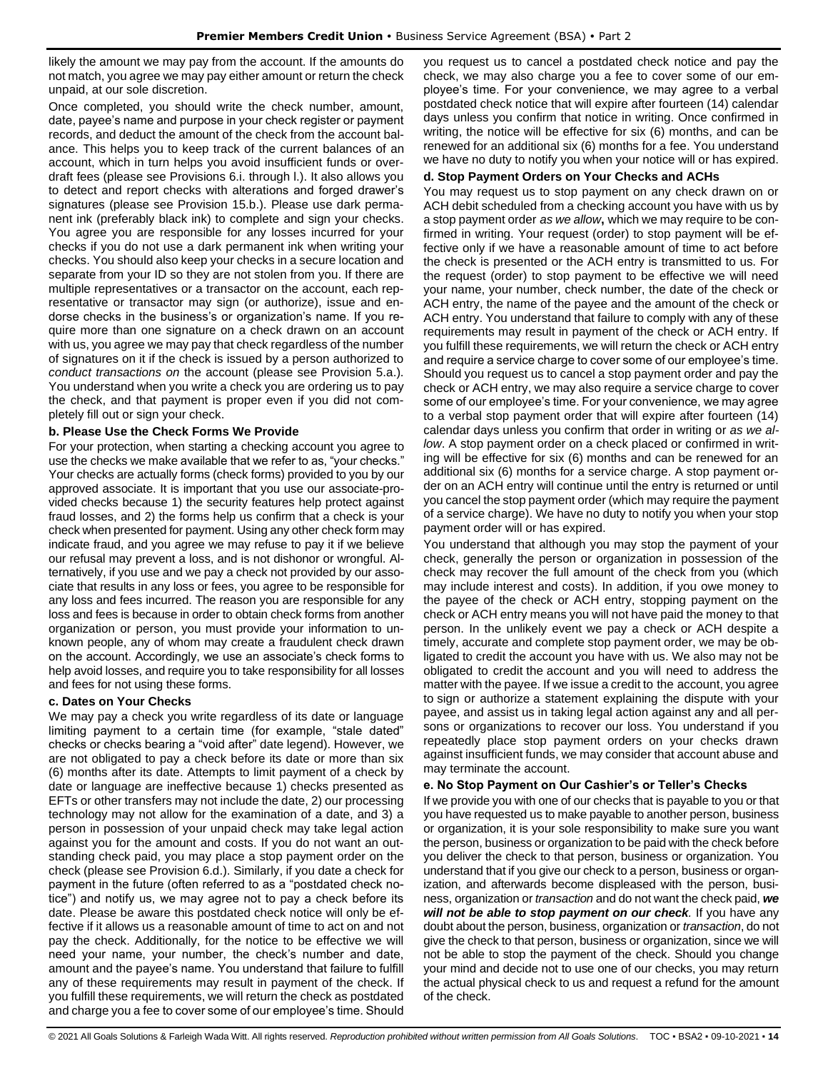likely the amount we may pay from the account. If the amounts do not match, you agree we may pay either amount or return the check unpaid, at our sole discretion.

Once completed, you should write the check number, amount, date, payee's name and purpose in your check register or payment records, and deduct the amount of the check from the account balance. This helps you to keep track of the current balances of an account, which in turn helps you avoid insufficient funds or overdraft fees (please see Provisions 6.i. through l.). It also allows you to detect and report checks with alterations and forged drawer's signatures (please see Provision 15.b.). Please use dark permanent ink (preferably black ink) to complete and sign your checks. You agree you are responsible for any losses incurred for your checks if you do not use a dark permanent ink when writing your checks. You should also keep your checks in a secure location and separate from your ID so they are not stolen from you. If there are multiple representatives or a transactor on the account, each representative or transactor may sign (or authorize), issue and endorse checks in the business's or organization's name. If you require more than one signature on a check drawn on an account with us, you agree we may pay that check regardless of the number of signatures on it if the check is issued by a person authorized to *conduct transactions on* the account (please see Provision 5.a.). You understand when you write a check you are ordering us to pay the check, and that payment is proper even if you did not completely fill out or sign your check.

## **b. Please Use the Check Forms We Provide**

For your protection, when starting a checking account you agree to use the checks we make available that we refer to as, "your checks." Your checks are actually forms (check forms) provided to you by our approved associate. It is important that you use our associate-provided checks because 1) the security features help protect against fraud losses, and 2) the forms help us confirm that a check is your check when presented for payment. Using any other check form may indicate fraud, and you agree we may refuse to pay it if we believe our refusal may prevent a loss, and is not dishonor or wrongful. Alternatively, if you use and we pay a check not provided by our associate that results in any loss or fees, you agree to be responsible for any loss and fees incurred. The reason you are responsible for any loss and fees is because in order to obtain check forms from another organization or person, you must provide your information to unknown people, any of whom may create a fraudulent check drawn on the account. Accordingly, we use an associate's check forms to help avoid losses, and require you to take responsibility for all losses and fees for not using these forms.

#### **c. Dates on Your Checks**

We may pay a check you write regardless of its date or language limiting payment to a certain time (for example, "stale dated" checks or checks bearing a "void after" date legend). However, we are not obligated to pay a check before its date or more than six (6) months after its date. Attempts to limit payment of a check by date or language are ineffective because 1) checks presented as EFTs or other transfers may not include the date, 2) our processing technology may not allow for the examination of a date, and 3) a person in possession of your unpaid check may take legal action against you for the amount and costs. If you do not want an outstanding check paid, you may place a stop payment order on the check (please see Provision 6.d.). Similarly, if you date a check for payment in the future (often referred to as a "postdated check notice") and notify us, we may agree not to pay a check before its date. Please be aware this postdated check notice will only be effective if it allows us a reasonable amount of time to act on and not pay the check. Additionally, for the notice to be effective we will need your name, your number, the check's number and date, amount and the payee's name. You understand that failure to fulfill any of these requirements may result in payment of the check. If you fulfill these requirements, we will return the check as postdated and charge you a fee to cover some of our employee's time. Should

you request us to cancel a postdated check notice and pay the check, we may also charge you a fee to cover some of our employee's time. For your convenience, we may agree to a verbal postdated check notice that will expire after fourteen (14) calendar days unless you confirm that notice in writing. Once confirmed in writing, the notice will be effective for six (6) months, and can be renewed for an additional six (6) months for a fee. You understand we have no duty to notify you when your notice will or has expired.

## **d. Stop Payment Orders on Your Checks and ACHs**

You may request us to stop payment on any check drawn on or ACH debit scheduled from a checking account you have with us by a stop payment order *as we allow***,** which we may require to be confirmed in writing. Your request (order) to stop payment will be effective only if we have a reasonable amount of time to act before the check is presented or the ACH entry is transmitted to us. For the request (order) to stop payment to be effective we will need your name, your number, check number, the date of the check or ACH entry, the name of the payee and the amount of the check or ACH entry. You understand that failure to comply with any of these requirements may result in payment of the check or ACH entry. If you fulfill these requirements, we will return the check or ACH entry and require a service charge to cover some of our employee's time. Should you request us to cancel a stop payment order and pay the check or ACH entry, we may also require a service charge to cover some of our employee's time. For your convenience, we may agree to a verbal stop payment order that will expire after fourteen (14) calendar days unless you confirm that order in writing or *as we allow*. A stop payment order on a check placed or confirmed in writing will be effective for six (6) months and can be renewed for an additional six (6) months for a service charge. A stop payment order on an ACH entry will continue until the entry is returned or until you cancel the stop payment order (which may require the payment of a service charge). We have no duty to notify you when your stop payment order will or has expired.

You understand that although you may stop the payment of your check, generally the person or organization in possession of the check may recover the full amount of the check from you (which may include interest and costs). In addition, if you owe money to the payee of the check or ACH entry, stopping payment on the check or ACH entry means you will not have paid the money to that person. In the unlikely event we pay a check or ACH despite a timely, accurate and complete stop payment order, we may be obligated to credit the account you have with us. We also may not be obligated to credit the account and you will need to address the matter with the payee. If we issue a credit to the account, you agree to sign or authorize a statement explaining the dispute with your payee, and assist us in taking legal action against any and all persons or organizations to recover our loss. You understand if you repeatedly place stop payment orders on your checks drawn against insufficient funds, we may consider that account abuse and may terminate the account.

## **e. No Stop Payment on Our Cashier's or Teller's Checks**

If we provide you with one of our checks that is payable to you or that you have requested us to make payable to another person, business or organization, it is your sole responsibility to make sure you want the person, business or organization to be paid with the check before you deliver the check to that person, business or organization. You understand that if you give our check to a person, business or organization, and afterwards become displeased with the person, business, organization or *transaction* and do not want the check paid, *we will not be able to stop payment on our check.* If you have any doubt about the person, business, organization or *transaction*, do not give the check to that person, business or organization, since we will not be able to stop the payment of the check. Should you change your mind and decide not to use one of our checks, you may return the actual physical check to us and request a refund for the amount of the check.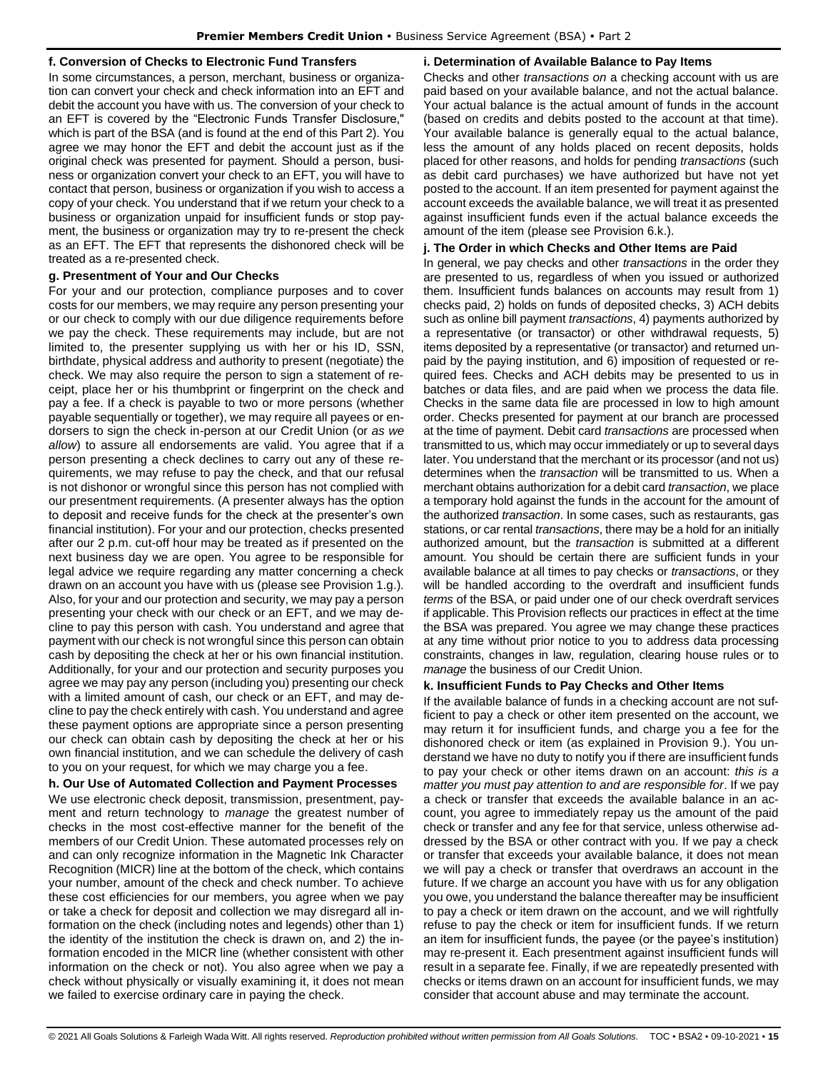## **f. Conversion of Checks to Electronic Fund Transfers**

In some circumstances, a person, merchant, business or organization can convert your check and check information into an EFT and debit the account you have with us. The conversion of your check to an EFT is covered by the "Electronic Funds Transfer Disclosure," which is part of the BSA (and is found at the end of this Part 2). You agree we may honor the EFT and debit the account just as if the original check was presented for payment. Should a person, business or organization convert your check to an EFT, you will have to contact that person, business or organization if you wish to access a copy of your check. You understand that if we return your check to a business or organization unpaid for insufficient funds or stop payment, the business or organization may try to re-present the check as an EFT. The EFT that represents the dishonored check will be treated as a re-presented check.

## **g. Presentment of Your and Our Checks**

For your and our protection, compliance purposes and to cover costs for our members, we may require any person presenting your or our check to comply with our due diligence requirements before we pay the check. These requirements may include, but are not limited to, the presenter supplying us with her or his ID, SSN, birthdate, physical address and authority to present (negotiate) the check. We may also require the person to sign a statement of receipt, place her or his thumbprint or fingerprint on the check and pay a fee. If a check is payable to two or more persons (whether payable sequentially or together), we may require all payees or endorsers to sign the check in-person at our Credit Union (or *as we allow*) to assure all endorsements are valid. You agree that if a person presenting a check declines to carry out any of these requirements, we may refuse to pay the check, and that our refusal is not dishonor or wrongful since this person has not complied with our presentment requirements. (A presenter always has the option to deposit and receive funds for the check at the presenter's own financial institution). For your and our protection, checks presented after our 2 p.m. cut-off hour may be treated as if presented on the next business day we are open. You agree to be responsible for legal advice we require regarding any matter concerning a check drawn on an account you have with us (please see Provision 1.g.). Also, for your and our protection and security, we may pay a person presenting your check with our check or an EFT, and we may decline to pay this person with cash. You understand and agree that payment with our check is not wrongful since this person can obtain cash by depositing the check at her or his own financial institution. Additionally, for your and our protection and security purposes you agree we may pay any person (including you) presenting our check with a limited amount of cash, our check or an EFT, and may decline to pay the check entirely with cash. You understand and agree these payment options are appropriate since a person presenting our check can obtain cash by depositing the check at her or his own financial institution, and we can schedule the delivery of cash to you on your request, for which we may charge you a fee.

## **h. Our Use of Automated Collection and Payment Processes**

We use electronic check deposit, transmission, presentment, payment and return technology to *manage* the greatest number of checks in the most cost-effective manner for the benefit of the members of our Credit Union. These automated processes rely on and can only recognize information in the Magnetic Ink Character Recognition (MICR) line at the bottom of the check, which contains your number, amount of the check and check number. To achieve these cost efficiencies for our members, you agree when we pay or take a check for deposit and collection we may disregard all information on the check (including notes and legends) other than 1) the identity of the institution the check is drawn on, and 2) the information encoded in the MICR line (whether consistent with other information on the check or not). You also agree when we pay a check without physically or visually examining it, it does not mean we failed to exercise ordinary care in paying the check.

#### **i. Determination of Available Balance to Pay Items**

Checks and other *transactions on* a checking account with us are paid based on your available balance, and not the actual balance. Your actual balance is the actual amount of funds in the account (based on credits and debits posted to the account at that time). Your available balance is generally equal to the actual balance, less the amount of any holds placed on recent deposits, holds placed for other reasons, and holds for pending *transactions* (such as debit card purchases) we have authorized but have not yet posted to the account. If an item presented for payment against the account exceeds the available balance, we will treat it as presented against insufficient funds even if the actual balance exceeds the amount of the item (please see Provision 6.k.).

#### **j. The Order in which Checks and Other Items are Paid**

In general, we pay checks and other *transactions* in the order they are presented to us, regardless of when you issued or authorized them. Insufficient funds balances on accounts may result from 1) checks paid, 2) holds on funds of deposited checks, 3) ACH debits such as online bill payment *transactions*, 4) payments authorized by a representative (or transactor) or other withdrawal requests, 5) items deposited by a representative (or transactor) and returned unpaid by the paying institution, and 6) imposition of requested or required fees. Checks and ACH debits may be presented to us in batches or data files, and are paid when we process the data file. Checks in the same data file are processed in low to high amount order. Checks presented for payment at our branch are processed at the time of payment. Debit card *transactions* are processed when transmitted to us, which may occur immediately or up to several days later. You understand that the merchant or its processor (and not us) determines when the *transaction* will be transmitted to us. When a merchant obtains authorization for a debit card *transaction*, we place a temporary hold against the funds in the account for the amount of the authorized *transaction*. In some cases, such as restaurants, gas stations, or car rental *transactions*, there may be a hold for an initially authorized amount, but the *transaction* is submitted at a different amount. You should be certain there are sufficient funds in your available balance at all times to pay checks or *transactions*, or they will be handled according to the overdraft and insufficient funds *terms* of the BSA, or paid under one of our check overdraft services if applicable. This Provision reflects our practices in effect at the time the BSA was prepared. You agree we may change these practices at any time without prior notice to you to address data processing constraints, changes in law, regulation, clearing house rules or to *manage* the business of our Credit Union.

#### **k. Insufficient Funds to Pay Checks and Other Items**

If the available balance of funds in a checking account are not sufficient to pay a check or other item presented on the account, we may return it for insufficient funds, and charge you a fee for the dishonored check or item (as explained in Provision 9.). You understand we have no duty to notify you if there are insufficient funds to pay your check or other items drawn on an account: *this is a matter you must pay attention to and are responsible for*. If we pay a check or transfer that exceeds the available balance in an account, you agree to immediately repay us the amount of the paid check or transfer and any fee for that service, unless otherwise addressed by the BSA or other contract with you. If we pay a check or transfer that exceeds your available balance, it does not mean we will pay a check or transfer that overdraws an account in the future. If we charge an account you have with us for any obligation you owe, you understand the balance thereafter may be insufficient to pay a check or item drawn on the account, and we will rightfully refuse to pay the check or item for insufficient funds. If we return an item for insufficient funds, the payee (or the payee's institution) may re-present it. Each presentment against insufficient funds will result in a separate fee. Finally, if we are repeatedly presented with checks or items drawn on an account for insufficient funds, we may consider that account abuse and may terminate the account.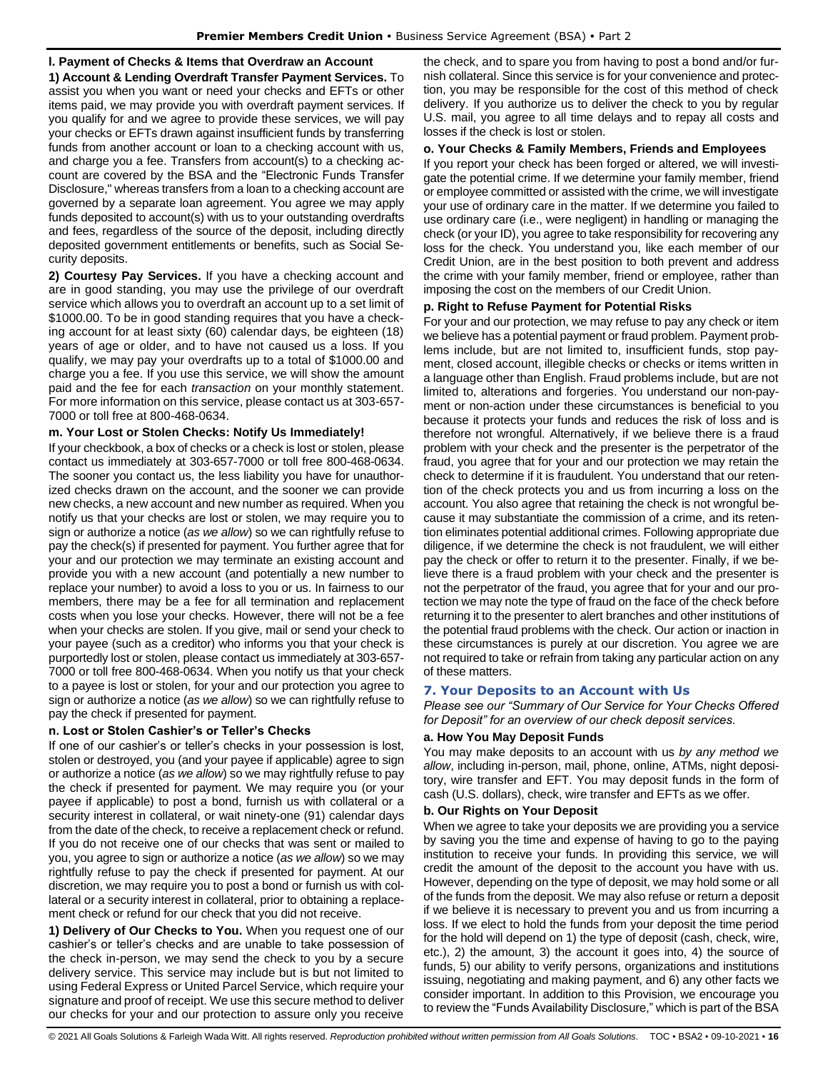## **l. Payment of Checks & Items that Overdraw an Account**

**1) Account & Lending Overdraft Transfer Payment Services.** To assist you when you want or need your checks and EFTs or other items paid, we may provide you with overdraft payment services. If you qualify for and we agree to provide these services, we will pay your checks or EFTs drawn against insufficient funds by transferring funds from another account or loan to a checking account with us, and charge you a fee. Transfers from account(s) to a checking account are covered by the BSA and the "Electronic Funds Transfer Disclosure," whereas transfers from a loan to a checking account are governed by a separate loan agreement. You agree we may apply funds deposited to account(s) with us to your outstanding overdrafts and fees, regardless of the source of the deposit, including directly deposited government entitlements or benefits, such as Social Security deposits.

**2) Courtesy Pay Services.** If you have a checking account and are in good standing, you may use the privilege of our overdraft service which allows you to overdraft an account up to a set limit of \$1000.00. To be in good standing requires that you have a checking account for at least sixty (60) calendar days, be eighteen (18) years of age or older, and to have not caused us a loss. If you qualify, we may pay your overdrafts up to a total of \$1000.00 and charge you a fee. If you use this service, we will show the amount paid and the fee for each *transaction* on your monthly statement. For more information on this service, please contact us at 303-657- 7000 or toll free at 800-468-0634.

## **m. Your Lost or Stolen Checks: Notify Us Immediately!**

If your checkbook, a box of checks or a check is lost or stolen, please contact us immediately at 303-657-7000 or toll free 800-468-0634. The sooner you contact us, the less liability you have for unauthorized checks drawn on the account, and the sooner we can provide new checks, a new account and new number as required. When you notify us that your checks are lost or stolen, we may require you to sign or authorize a notice (*as we allow*) so we can rightfully refuse to pay the check(s) if presented for payment. You further agree that for your and our protection we may terminate an existing account and provide you with a new account (and potentially a new number to replace your number) to avoid a loss to you or us. In fairness to our members, there may be a fee for all termination and replacement costs when you lose your checks. However, there will not be a fee when your checks are stolen. If you give, mail or send your check to your payee (such as a creditor) who informs you that your check is purportedly lost or stolen, please contact us immediately at 303-657- 7000 or toll free 800-468-0634. When you notify us that your check to a payee is lost or stolen, for your and our protection you agree to sign or authorize a notice (*as we allow*) so we can rightfully refuse to pay the check if presented for payment.

#### **n. Lost or Stolen Cashier's or Teller's Checks**

If one of our cashier's or teller's checks in your possession is lost, stolen or destroyed, you (and your payee if applicable) agree to sign or authorize a notice (*as we allow*) so we may rightfully refuse to pay the check if presented for payment. We may require you (or your payee if applicable) to post a bond, furnish us with collateral or a security interest in collateral, or wait ninety-one (91) calendar days from the date of the check, to receive a replacement check or refund. If you do not receive one of our checks that was sent or mailed to you, you agree to sign or authorize a notice (*as we allow*) so we may rightfully refuse to pay the check if presented for payment. At our discretion, we may require you to post a bond or furnish us with collateral or a security interest in collateral, prior to obtaining a replacement check or refund for our check that you did not receive.

**1) Delivery of Our Checks to You.** When you request one of our cashier's or teller's checks and are unable to take possession of the check in-person, we may send the check to you by a secure delivery service. This service may include but is but not limited to using Federal Express or United Parcel Service, which require your signature and proof of receipt. We use this secure method to deliver our checks for your and our protection to assure only you receive

the check, and to spare you from having to post a bond and/or furnish collateral. Since this service is for your convenience and protection, you may be responsible for the cost of this method of check delivery. If you authorize us to deliver the check to you by regular U.S. mail, you agree to all time delays and to repay all costs and losses if the check is lost or stolen.

#### **o. Your Checks & Family Members, Friends and Employees**

If you report your check has been forged or altered, we will investigate the potential crime. If we determine your family member, friend or employee committed or assisted with the crime, we will investigate your use of ordinary care in the matter. If we determine you failed to use ordinary care (i.e., were negligent) in handling or managing the check (or your ID), you agree to take responsibility for recovering any loss for the check. You understand you, like each member of our Credit Union, are in the best position to both prevent and address the crime with your family member, friend or employee, rather than imposing the cost on the members of our Credit Union.

#### **p. Right to Refuse Payment for Potential Risks**

For your and our protection, we may refuse to pay any check or item we believe has a potential payment or fraud problem. Payment problems include, but are not limited to, insufficient funds, stop payment, closed account, illegible checks or checks or items written in a language other than English. Fraud problems include, but are not limited to, alterations and forgeries. You understand our non-payment or non-action under these circumstances is beneficial to you because it protects your funds and reduces the risk of loss and is therefore not wrongful. Alternatively, if we believe there is a fraud problem with your check and the presenter is the perpetrator of the fraud, you agree that for your and our protection we may retain the check to determine if it is fraudulent. You understand that our retention of the check protects you and us from incurring a loss on the account. You also agree that retaining the check is not wrongful because it may substantiate the commission of a crime, and its retention eliminates potential additional crimes. Following appropriate due diligence, if we determine the check is not fraudulent, we will either pay the check or offer to return it to the presenter. Finally, if we believe there is a fraud problem with your check and the presenter is not the perpetrator of the fraud, you agree that for your and our protection we may note the type of fraud on the face of the check before returning it to the presenter to alert branches and other institutions of the potential fraud problems with the check. Our action or inaction in these circumstances is purely at our discretion. You agree we are not required to take or refrain from taking any particular action on any of these matters.

## <span id="page-15-0"></span>**7. Your Deposits to an Account with Us**

*Please see our "Summary of Our Service for Your Checks Offered for Deposit" for an overview of our check deposit services.*

## **a. How You May Deposit Funds**

You may make deposits to an account with us *by any method we allow*, including in-person, mail, phone, online, ATMs, night depository, wire transfer and EFT. You may deposit funds in the form of cash (U.S. dollars), check, wire transfer and EFTs as we offer.

## **b. Our Rights on Your Deposit**

When we agree to take your deposits we are providing you a service by saving you the time and expense of having to go to the paying institution to receive your funds. In providing this service, we will credit the amount of the deposit to the account you have with us. However, depending on the type of deposit, we may hold some or all of the funds from the deposit. We may also refuse or return a deposit if we believe it is necessary to prevent you and us from incurring a loss. If we elect to hold the funds from your deposit the time period for the hold will depend on 1) the type of deposit (cash, check, wire, etc.), 2) the amount, 3) the account it goes into, 4) the source of funds, 5) our ability to verify persons, organizations and institutions issuing, negotiating and making payment, and 6) any other facts we consider important. In addition to this Provision, we encourage you to review the "Funds Availability Disclosure," which is part of the BSA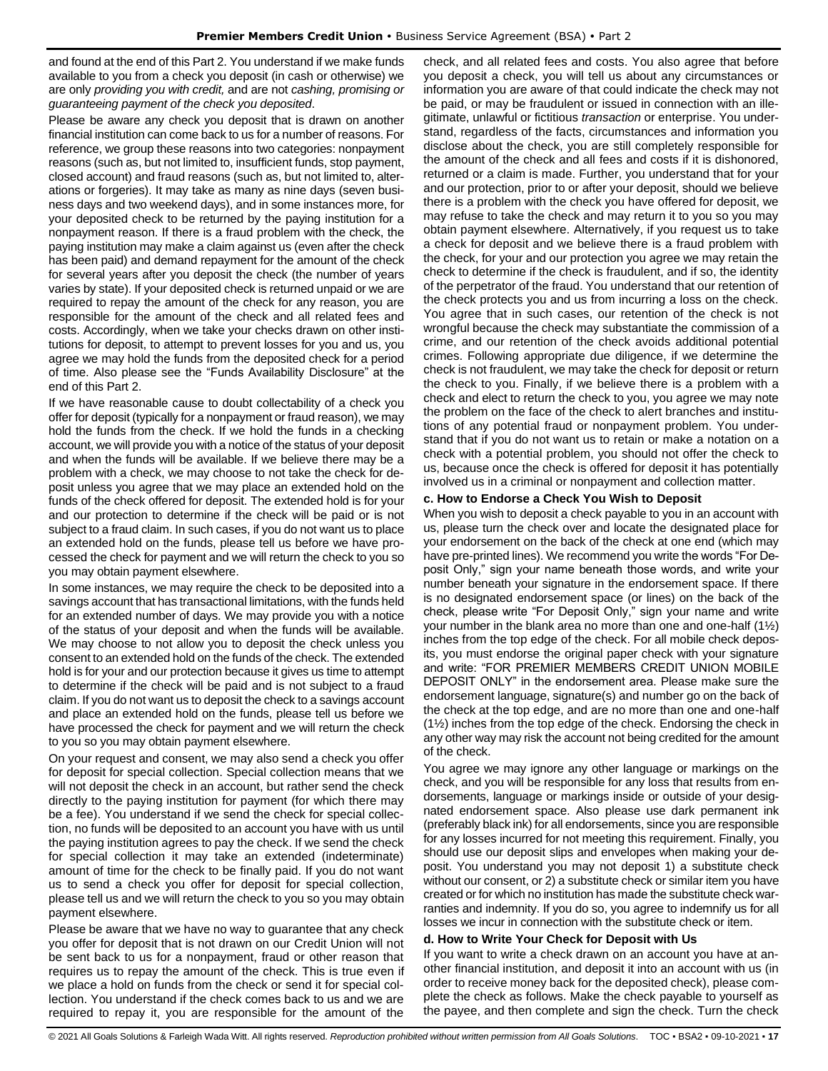and found at the end of this Part 2. You understand if we make funds available to you from a check you deposit (in cash or otherwise) we are only *providing you with credit,* and are not *cashing, promising or guaranteeing payment of the check you deposited*.

Please be aware any check you deposit that is drawn on another financial institution can come back to us for a number of reasons. For reference, we group these reasons into two categories: nonpayment reasons (such as, but not limited to, insufficient funds, stop payment, closed account) and fraud reasons (such as, but not limited to, alterations or forgeries). It may take as many as nine days (seven business days and two weekend days), and in some instances more, for your deposited check to be returned by the paying institution for a nonpayment reason. If there is a fraud problem with the check, the paying institution may make a claim against us (even after the check has been paid) and demand repayment for the amount of the check for several years after you deposit the check (the number of years varies by state). If your deposited check is returned unpaid or we are required to repay the amount of the check for any reason, you are responsible for the amount of the check and all related fees and costs. Accordingly, when we take your checks drawn on other institutions for deposit, to attempt to prevent losses for you and us, you agree we may hold the funds from the deposited check for a period of time. Also please see the "Funds Availability Disclosure" at the end of this Part 2.

If we have reasonable cause to doubt collectability of a check you offer for deposit (typically for a nonpayment or fraud reason), we may hold the funds from the check. If we hold the funds in a checking account, we will provide you with a notice of the status of your deposit and when the funds will be available. If we believe there may be a problem with a check, we may choose to not take the check for deposit unless you agree that we may place an extended hold on the funds of the check offered for deposit. The extended hold is for your and our protection to determine if the check will be paid or is not subject to a fraud claim. In such cases, if you do not want us to place an extended hold on the funds, please tell us before we have processed the check for payment and we will return the check to you so you may obtain payment elsewhere.

In some instances, we may require the check to be deposited into a savings account that has transactional limitations, with the funds held for an extended number of days. We may provide you with a notice of the status of your deposit and when the funds will be available. We may choose to not allow you to deposit the check unless you consent to an extended hold on the funds of the check. The extended hold is for your and our protection because it gives us time to attempt to determine if the check will be paid and is not subject to a fraud claim. If you do not want us to deposit the check to a savings account and place an extended hold on the funds, please tell us before we have processed the check for payment and we will return the check to you so you may obtain payment elsewhere.

On your request and consent, we may also send a check you offer for deposit for special collection. Special collection means that we will not deposit the check in an account, but rather send the check directly to the paying institution for payment (for which there may be a fee). You understand if we send the check for special collection, no funds will be deposited to an account you have with us until the paying institution agrees to pay the check. If we send the check for special collection it may take an extended (indeterminate) amount of time for the check to be finally paid. If you do not want us to send a check you offer for deposit for special collection, please tell us and we will return the check to you so you may obtain payment elsewhere.

Please be aware that we have no way to guarantee that any check you offer for deposit that is not drawn on our Credit Union will not be sent back to us for a nonpayment, fraud or other reason that requires us to repay the amount of the check. This is true even if we place a hold on funds from the check or send it for special collection. You understand if the check comes back to us and we are required to repay it, you are responsible for the amount of the

check, and all related fees and costs. You also agree that before you deposit a check, you will tell us about any circumstances or information you are aware of that could indicate the check may not be paid, or may be fraudulent or issued in connection with an illegitimate, unlawful or fictitious *transaction* or enterprise. You understand, regardless of the facts, circumstances and information you disclose about the check, you are still completely responsible for the amount of the check and all fees and costs if it is dishonored, returned or a claim is made. Further, you understand that for your and our protection, prior to or after your deposit, should we believe there is a problem with the check you have offered for deposit, we may refuse to take the check and may return it to you so you may obtain payment elsewhere. Alternatively, if you request us to take a check for deposit and we believe there is a fraud problem with the check, for your and our protection you agree we may retain the check to determine if the check is fraudulent, and if so, the identity of the perpetrator of the fraud. You understand that our retention of the check protects you and us from incurring a loss on the check. You agree that in such cases, our retention of the check is not wrongful because the check may substantiate the commission of a crime, and our retention of the check avoids additional potential crimes. Following appropriate due diligence, if we determine the check is not fraudulent, we may take the check for deposit or return the check to you. Finally, if we believe there is a problem with a check and elect to return the check to you, you agree we may note the problem on the face of the check to alert branches and institutions of any potential fraud or nonpayment problem. You understand that if you do not want us to retain or make a notation on a check with a potential problem, you should not offer the check to us, because once the check is offered for deposit it has potentially involved us in a criminal or nonpayment and collection matter.

#### **c. How to Endorse a Check You Wish to Deposit**

When you wish to deposit a check payable to you in an account with us, please turn the check over and locate the designated place for your endorsement on the back of the check at one end (which may have pre-printed lines). We recommend you write the words "For Deposit Only," sign your name beneath those words, and write your number beneath your signature in the endorsement space. If there is no designated endorsement space (or lines) on the back of the check, please write "For Deposit Only," sign your name and write your number in the blank area no more than one and one-half (1½) inches from the top edge of the check. For all mobile check deposits, you must endorse the original paper check with your signature and write: "FOR PREMIER MEMBERS CREDIT UNION MOBILE DEPOSIT ONLY" in the endorsement area. Please make sure the endorsement language, signature(s) and number go on the back of the check at the top edge, and are no more than one and one-half (1½) inches from the top edge of the check. Endorsing the check in any other way may risk the account not being credited for the amount of the check.

You agree we may ignore any other language or markings on the check, and you will be responsible for any loss that results from endorsements, language or markings inside or outside of your designated endorsement space. Also please use dark permanent ink (preferably black ink) for all endorsements, since you are responsible for any losses incurred for not meeting this requirement. Finally, you should use our deposit slips and envelopes when making your deposit. You understand you may not deposit 1) a substitute check without our consent, or 2) a substitute check or similar item you have created or for which no institution has made the substitute check warranties and indemnity. If you do so, you agree to indemnify us for all losses we incur in connection with the substitute check or item.

#### **d. How to Write Your Check for Deposit with Us**

If you want to write a check drawn on an account you have at another financial institution, and deposit it into an account with us (in order to receive money back for the deposited check), please complete the check as follows. Make the check payable to yourself as the payee, and then complete and sign the check. Turn the check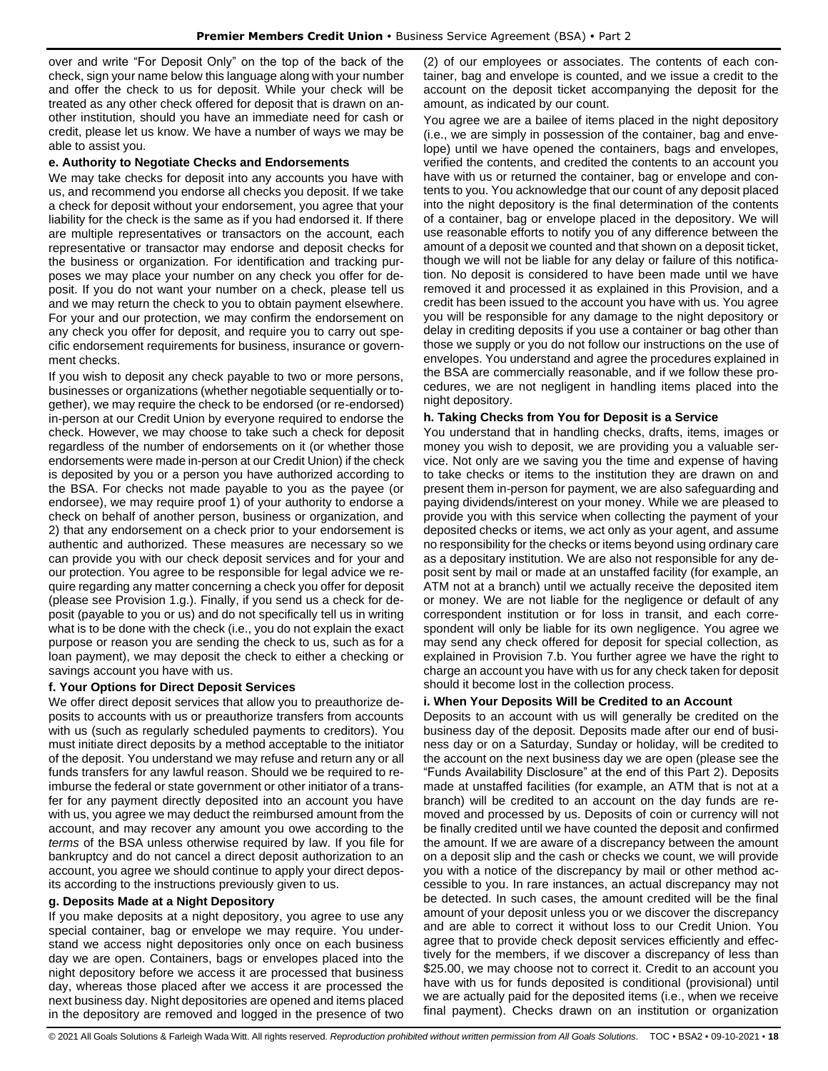over and write "For Deposit Only" on the top of the back of the check, sign your name below this language along with your number and offer the check to us for deposit. While your check will be treated as any other check offered for deposit that is drawn on another institution, should you have an immediate need for cash or credit, please let us know. We have a number of ways we may be able to assist you.

#### **e. Authority to Negotiate Checks and Endorsements**

We may take checks for deposit into any accounts you have with us, and recommend you endorse all checks you deposit. If we take a check for deposit without your endorsement, you agree that your liability for the check is the same as if you had endorsed it. If there are multiple representatives or transactors on the account, each representative or transactor may endorse and deposit checks for the business or organization. For identification and tracking purposes we may place your number on any check you offer for deposit. If you do not want your number on a check, please tell us and we may return the check to you to obtain payment elsewhere. For your and our protection, we may confirm the endorsement on any check you offer for deposit, and require you to carry out specific endorsement requirements for business, insurance or government checks.

If you wish to deposit any check payable to two or more persons, businesses or organizations (whether negotiable sequentially or together), we may require the check to be endorsed (or re-endorsed) in-person at our Credit Union by everyone required to endorse the check. However, we may choose to take such a check for deposit regardless of the number of endorsements on it (or whether those endorsements were made in-person at our Credit Union) if the check is deposited by you or a person you have authorized according to the BSA. For checks not made payable to you as the payee (or endorsee), we may require proof 1) of your authority to endorse a check on behalf of another person, business or organization, and 2) that any endorsement on a check prior to your endorsement is authentic and authorized. These measures are necessary so we can provide you with our check deposit services and for your and our protection. You agree to be responsible for legal advice we require regarding any matter concerning a check you offer for deposit (please see Provision 1.g.). Finally, if you send us a check for deposit (payable to you or us) and do not specifically tell us in writing what is to be done with the check (i.e., you do not explain the exact purpose or reason you are sending the check to us, such as for a loan payment), we may deposit the check to either a checking or savings account you have with us.

#### **f. Your Options for Direct Deposit Services**

We offer direct deposit services that allow you to preauthorize deposits to accounts with us or preauthorize transfers from accounts with us (such as regularly scheduled payments to creditors). You must initiate direct deposits by a method acceptable to the initiator of the deposit. You understand we may refuse and return any or all funds transfers for any lawful reason. Should we be required to reimburse the federal or state government or other initiator of a transfer for any payment directly deposited into an account you have with us, you agree we may deduct the reimbursed amount from the account, and may recover any amount you owe according to the *terms* of the BSA unless otherwise required by law. If you file for bankruptcy and do not cancel a direct deposit authorization to an account, you agree we should continue to apply your direct deposits according to the instructions previously given to us.

#### **g. Deposits Made at a Night Depository**

If you make deposits at a night depository, you agree to use any special container, bag or envelope we may require. You understand we access night depositories only once on each business day we are open. Containers, bags or envelopes placed into the night depository before we access it are processed that business day, whereas those placed after we access it are processed the next business day. Night depositories are opened and items placed in the depository are removed and logged in the presence of two

(2) of our employees or associates. The contents of each container, bag and envelope is counted, and we issue a credit to the account on the deposit ticket accompanying the deposit for the amount, as indicated by our count.

You agree we are a bailee of items placed in the night depository (i.e., we are simply in possession of the container, bag and envelope) until we have opened the containers, bags and envelopes, verified the contents, and credited the contents to an account you have with us or returned the container, bag or envelope and contents to you. You acknowledge that our count of any deposit placed into the night depository is the final determination of the contents of a container, bag or envelope placed in the depository. We will use reasonable efforts to notify you of any difference between the amount of a deposit we counted and that shown on a deposit ticket, though we will not be liable for any delay or failure of this notification. No deposit is considered to have been made until we have removed it and processed it as explained in this Provision, and a credit has been issued to the account you have with us. You agree you will be responsible for any damage to the night depository or delay in crediting deposits if you use a container or bag other than those we supply or you do not follow our instructions on the use of envelopes. You understand and agree the procedures explained in the BSA are commercially reasonable, and if we follow these procedures, we are not negligent in handling items placed into the night depository.

#### **h. Taking Checks from You for Deposit is a Service**

You understand that in handling checks, drafts, items, images or money you wish to deposit, we are providing you a valuable service. Not only are we saving you the time and expense of having to take checks or items to the institution they are drawn on and present them in-person for payment, we are also safeguarding and paying dividends/interest on your money. While we are pleased to provide you with this service when collecting the payment of your deposited checks or items, we act only as your agent, and assume no responsibility for the checks or items beyond using ordinary care as a depositary institution. We are also not responsible for any deposit sent by mail or made at an unstaffed facility (for example, an ATM not at a branch) until we actually receive the deposited item or money. We are not liable for the negligence or default of any correspondent institution or for loss in transit, and each correspondent will only be liable for its own negligence. You agree we may send any check offered for deposit for special collection, as explained in Provision 7.b. You further agree we have the right to charge an account you have with us for any check taken for deposit should it become lost in the collection process.

#### **i. When Your Deposits Will be Credited to an Account**

Deposits to an account with us will generally be credited on the business day of the deposit. Deposits made after our end of business day or on a Saturday, Sunday or holiday, will be credited to the account on the next business day we are open (please see the "Funds Availability Disclosure" at the end of this Part 2). Deposits made at unstaffed facilities (for example, an ATM that is not at a branch) will be credited to an account on the day funds are removed and processed by us. Deposits of coin or currency will not be finally credited until we have counted the deposit and confirmed the amount. If we are aware of a discrepancy between the amount on a deposit slip and the cash or checks we count, we will provide you with a notice of the discrepancy by mail or other method accessible to you. In rare instances, an actual discrepancy may not be detected. In such cases, the amount credited will be the final amount of your deposit unless you or we discover the discrepancy and are able to correct it without loss to our Credit Union. You agree that to provide check deposit services efficiently and effectively for the members, if we discover a discrepancy of less than \$25.00, we may choose not to correct it. Credit to an account you have with us for funds deposited is conditional (provisional) until we are actually paid for the deposited items (i.e., when we receive final payment). Checks drawn on an institution or organization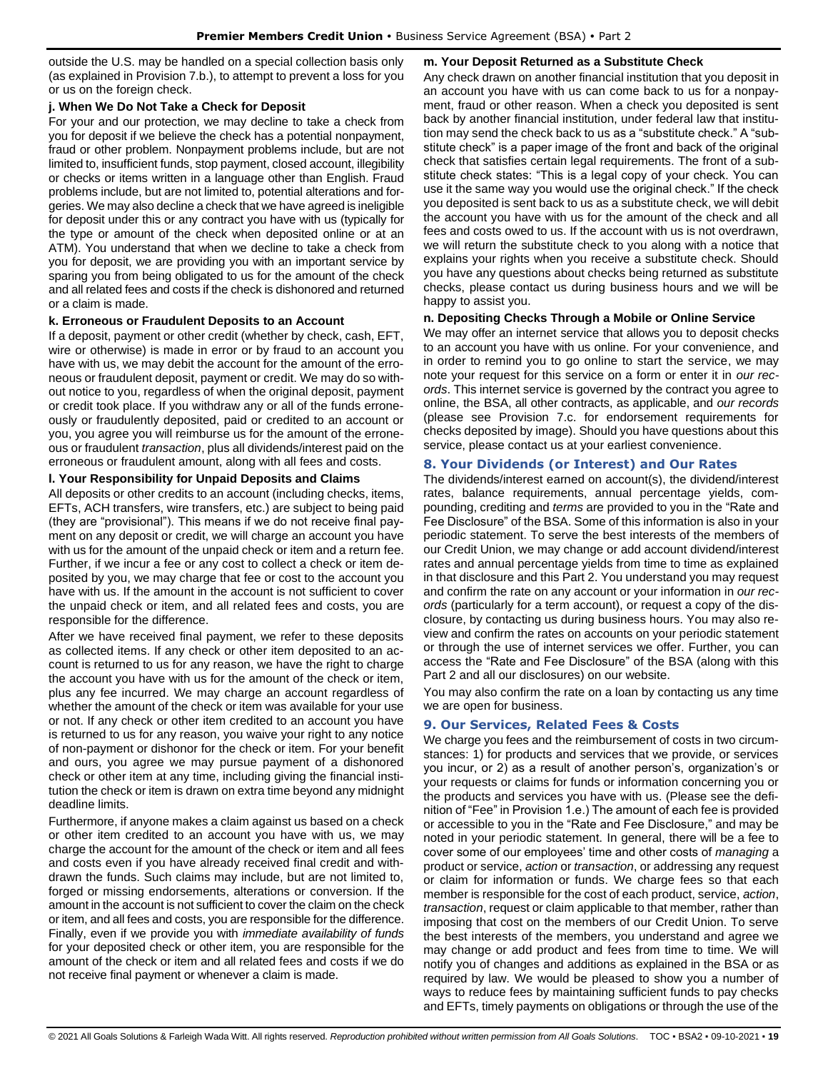outside the U.S. may be handled on a special collection basis only (as explained in Provision 7.b.), to attempt to prevent a loss for you or us on the foreign check.

#### **j. When We Do Not Take a Check for Deposit**

For your and our protection, we may decline to take a check from you for deposit if we believe the check has a potential nonpayment, fraud or other problem. Nonpayment problems include, but are not limited to, insufficient funds, stop payment, closed account, illegibility or checks or items written in a language other than English. Fraud problems include, but are not limited to, potential alterations and forgeries. We may also decline a check that we have agreed is ineligible for deposit under this or any contract you have with us (typically for the type or amount of the check when deposited online or at an ATM). You understand that when we decline to take a check from you for deposit, we are providing you with an important service by sparing you from being obligated to us for the amount of the check and all related fees and costs if the check is dishonored and returned or a claim is made.

#### **k. Erroneous or Fraudulent Deposits to an Account**

If a deposit, payment or other credit (whether by check, cash, EFT, wire or otherwise) is made in error or by fraud to an account you have with us, we may debit the account for the amount of the erroneous or fraudulent deposit, payment or credit. We may do so without notice to you, regardless of when the original deposit, payment or credit took place. If you withdraw any or all of the funds erroneously or fraudulently deposited, paid or credited to an account or you, you agree you will reimburse us for the amount of the erroneous or fraudulent *transaction*, plus all dividends/interest paid on the erroneous or fraudulent amount, along with all fees and costs.

#### **l. Your Responsibility for Unpaid Deposits and Claims**

All deposits or other credits to an account (including checks, items, EFTs, ACH transfers, wire transfers, etc.) are subject to being paid (they are "provisional"). This means if we do not receive final payment on any deposit or credit, we will charge an account you have with us for the amount of the unpaid check or item and a return fee. Further, if we incur a fee or any cost to collect a check or item deposited by you, we may charge that fee or cost to the account you have with us. If the amount in the account is not sufficient to cover the unpaid check or item, and all related fees and costs, you are responsible for the difference.

After we have received final payment, we refer to these deposits as collected items. If any check or other item deposited to an account is returned to us for any reason, we have the right to charge the account you have with us for the amount of the check or item, plus any fee incurred. We may charge an account regardless of whether the amount of the check or item was available for your use or not. If any check or other item credited to an account you have is returned to us for any reason, you waive your right to any notice of non-payment or dishonor for the check or item. For your benefit and ours, you agree we may pursue payment of a dishonored check or other item at any time, including giving the financial institution the check or item is drawn on extra time beyond any midnight deadline limits.

Furthermore, if anyone makes a claim against us based on a check or other item credited to an account you have with us, we may charge the account for the amount of the check or item and all fees and costs even if you have already received final credit and withdrawn the funds. Such claims may include, but are not limited to, forged or missing endorsements, alterations or conversion. If the amount in the account is not sufficient to cover the claim on the check or item, and all fees and costs, you are responsible for the difference. Finally, even if we provide you with *immediate availability of funds* for your deposited check or other item, you are responsible for the amount of the check or item and all related fees and costs if we do not receive final payment or whenever a claim is made.

## **m. Your Deposit Returned as a Substitute Check**

Any check drawn on another financial institution that you deposit in an account you have with us can come back to us for a nonpayment, fraud or other reason. When a check you deposited is sent back by another financial institution, under federal law that institution may send the check back to us as a "substitute check." A "substitute check" is a paper image of the front and back of the original check that satisfies certain legal requirements. The front of a substitute check states: "This is a legal copy of your check. You can use it the same way you would use the original check." If the check you deposited is sent back to us as a substitute check, we will debit the account you have with us for the amount of the check and all fees and costs owed to us. If the account with us is not overdrawn, we will return the substitute check to you along with a notice that explains your rights when you receive a substitute check. Should you have any questions about checks being returned as substitute checks, please contact us during business hours and we will be happy to assist you.

## **n. Depositing Checks Through a Mobile or Online Service**

We may offer an internet service that allows you to deposit checks to an account you have with us online. For your convenience, and in order to remind you to go online to start the service, we may note your request for this service on a form or enter it in *our records*. This internet service is governed by the contract you agree to online, the BSA, all other contracts, as applicable, and *our records* (please see Provision 7.c. for endorsement requirements for checks deposited by image). Should you have questions about this service, please contact us at your earliest convenience.

#### <span id="page-18-0"></span>**8. Your Dividends (or Interest) and Our Rates**

The dividends/interest earned on account(s), the dividend/interest rates, balance requirements, annual percentage yields, compounding, crediting and *terms* are provided to you in the "Rate and Fee Disclosure" of the BSA. Some of this information is also in your periodic statement. To serve the best interests of the members of our Credit Union, we may change or add account dividend/interest rates and annual percentage yields from time to time as explained in that disclosure and this Part 2. You understand you may request and confirm the rate on any account or your information in *our records* (particularly for a term account), or request a copy of the disclosure, by contacting us during business hours. You may also review and confirm the rates on accounts on your periodic statement or through the use of internet services we offer. Further, you can access the "Rate and Fee Disclosure" of the BSA (along with this Part 2 and all our disclosures) on our website.

You may also confirm the rate on a loan by contacting us any time we are open for business.

#### <span id="page-18-1"></span>**9. Our Services, Related Fees & Costs**

We charge you fees and the reimbursement of costs in two circumstances: 1) for products and services that we provide, or services you incur, or 2) as a result of another person's, organization's or your requests or claims for funds or information concerning you or the products and services you have with us. (Please see the definition of "Fee" in Provision 1.e.) The amount of each fee is provided or accessible to you in the "Rate and Fee Disclosure," and may be noted in your periodic statement. In general, there will be a fee to cover some of our employees' time and other costs of *managing* a product or service, *action* or *transaction*, or addressing any request or claim for information or funds. We charge fees so that each member is responsible for the cost of each product, service, *action*, *transaction*, request or claim applicable to that member, rather than imposing that cost on the members of our Credit Union. To serve the best interests of the members, you understand and agree we may change or add product and fees from time to time. We will notify you of changes and additions as explained in the BSA or as required by law. We would be pleased to show you a number of ways to reduce fees by maintaining sufficient funds to pay checks and EFTs, timely payments on obligations or through the use of the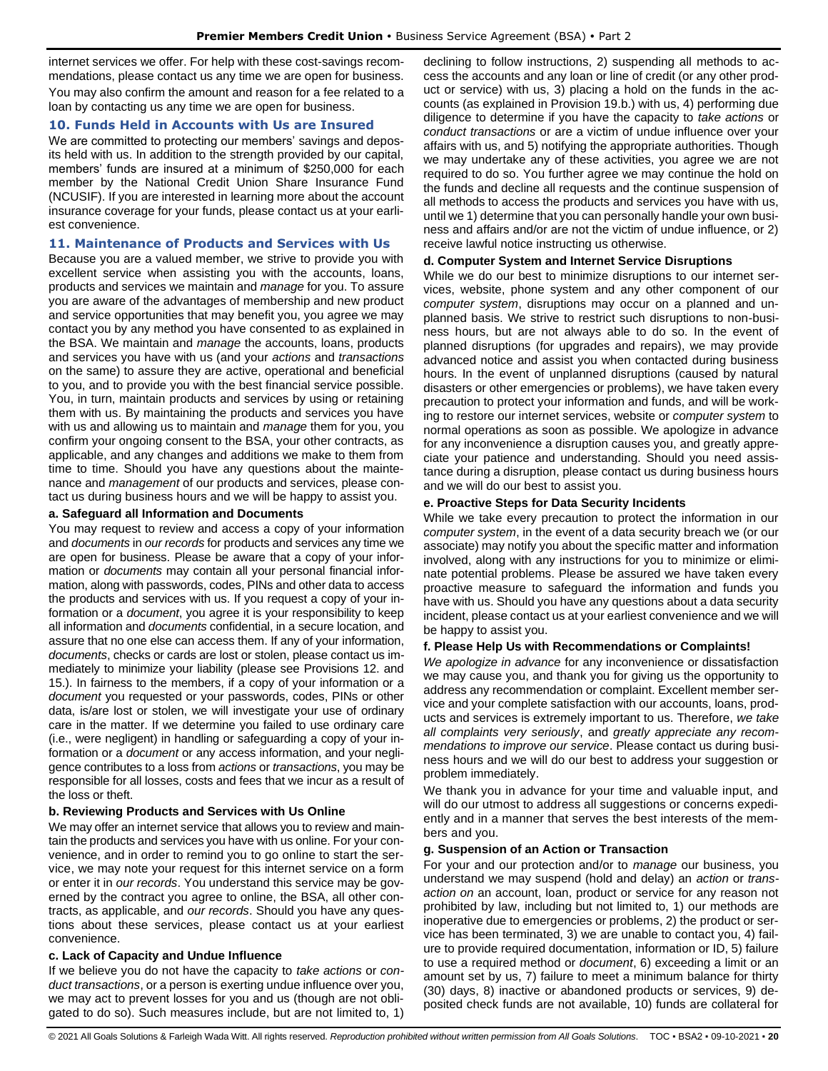internet services we offer. For help with these cost-savings recommendations, please contact us any time we are open for business.

You may also confirm the amount and reason for a fee related to a loan by contacting us any time we are open for business.

## <span id="page-19-0"></span>**10. Funds Held in Accounts with Us are Insured**

We are committed to protecting our members' savings and deposits held with us. In addition to the strength provided by our capital, members' funds are insured at a minimum of \$250,000 for each member by the National Credit Union Share Insurance Fund (NCUSIF). If you are interested in learning more about the account insurance coverage for your funds, please contact us at your earliest convenience.

#### <span id="page-19-1"></span>**11. Maintenance of Products and Services with Us**

Because you are a valued member, we strive to provide you with excellent service when assisting you with the accounts, loans, products and services we maintain and *manage* for you. To assure you are aware of the advantages of membership and new product and service opportunities that may benefit you, you agree we may contact you by any method you have consented to as explained in the BSA. We maintain and *manage* the accounts, loans, products and services you have with us (and your *actions* and *transactions* on the same) to assure they are active, operational and beneficial to you, and to provide you with the best financial service possible. You, in turn, maintain products and services by using or retaining them with us. By maintaining the products and services you have with us and allowing us to maintain and *manage* them for you, you confirm your ongoing consent to the BSA, your other contracts, as applicable, and any changes and additions we make to them from time to time. Should you have any questions about the maintenance and *management* of our products and services, please contact us during business hours and we will be happy to assist you.

## **a. Safeguard all Information and Documents**

You may request to review and access a copy of your information and *documents* in *our records* for products and services any time we are open for business. Please be aware that a copy of your information or *documents* may contain all your personal financial information, along with passwords, codes, PINs and other data to access the products and services with us. If you request a copy of your information or a *document*, you agree it is your responsibility to keep all information and *documents* confidential, in a secure location, and assure that no one else can access them. If any of your information, *documents*, checks or cards are lost or stolen, please contact us immediately to minimize your liability (please see Provisions 12. and 15.). In fairness to the members, if a copy of your information or a *document* you requested or your passwords, codes, PINs or other data, is/are lost or stolen, we will investigate your use of ordinary care in the matter. If we determine you failed to use ordinary care (i.e., were negligent) in handling or safeguarding a copy of your information or a *document* or any access information, and your negligence contributes to a loss from *actions* or *transactions*, you may be responsible for all losses, costs and fees that we incur as a result of the loss or theft.

## **b. Reviewing Products and Services with Us Online**

We may offer an internet service that allows you to review and maintain the products and services you have with us online. For your convenience, and in order to remind you to go online to start the service, we may note your request for this internet service on a form or enter it in *our records*. You understand this service may be governed by the contract you agree to online, the BSA, all other contracts, as applicable, and *our records*. Should you have any questions about these services, please contact us at your earliest convenience.

## **c. Lack of Capacity and Undue Influence**

If we believe you do not have the capacity to *take actions* or *conduct transactions*, or a person is exerting undue influence over you, we may act to prevent losses for you and us (though are not obligated to do so). Such measures include, but are not limited to, 1)

declining to follow instructions, 2) suspending all methods to access the accounts and any loan or line of credit (or any other product or service) with us, 3) placing a hold on the funds in the accounts (as explained in Provision 19.b.) with us, 4) performing due diligence to determine if you have the capacity to *take actions* or *conduct transactions* or are a victim of undue influence over your affairs with us, and 5) notifying the appropriate authorities. Though we may undertake any of these activities, you agree we are not required to do so. You further agree we may continue the hold on the funds and decline all requests and the continue suspension of all methods to access the products and services you have with us, until we 1) determine that you can personally handle your own business and affairs and/or are not the victim of undue influence, or 2) receive lawful notice instructing us otherwise.

## **d. Computer System and Internet Service Disruptions**

While we do our best to minimize disruptions to our internet services, website, phone system and any other component of our *computer system*, disruptions may occur on a planned and unplanned basis. We strive to restrict such disruptions to non-business hours, but are not always able to do so. In the event of planned disruptions (for upgrades and repairs), we may provide advanced notice and assist you when contacted during business hours. In the event of unplanned disruptions (caused by natural disasters or other emergencies or problems), we have taken every precaution to protect your information and funds, and will be working to restore our internet services, website or *computer system* to normal operations as soon as possible. We apologize in advance for any inconvenience a disruption causes you, and greatly appreciate your patience and understanding. Should you need assistance during a disruption, please contact us during business hours and we will do our best to assist you.

## **e. Proactive Steps for Data Security Incidents**

While we take every precaution to protect the information in our *computer system*, in the event of a data security breach we (or our associate) may notify you about the specific matter and information involved, along with any instructions for you to minimize or eliminate potential problems. Please be assured we have taken every proactive measure to safeguard the information and funds you have with us. Should you have any questions about a data security incident, please contact us at your earliest convenience and we will be happy to assist you.

## **f. Please Help Us with Recommendations or Complaints!**

*We apologize in advance* for any inconvenience or dissatisfaction we may cause you, and thank you for giving us the opportunity to address any recommendation or complaint. Excellent member service and your complete satisfaction with our accounts, loans, products and services is extremely important to us. Therefore, *we take all complaints very seriously*, and *greatly appreciate any recommendations to improve our service*. Please contact us during business hours and we will do our best to address your suggestion or problem immediately.

We thank you in advance for your time and valuable input, and will do our utmost to address all suggestions or concerns expediently and in a manner that serves the best interests of the members and you.

#### **g. Suspension of an Action or Transaction**

For your and our protection and/or to *manage* our business, you understand we may suspend (hold and delay) an *action* or *transaction on* an account, loan, product or service for any reason not prohibited by law, including but not limited to, 1) our methods are inoperative due to emergencies or problems, 2) the product or service has been terminated, 3) we are unable to contact you, 4) failure to provide required documentation, information or ID, 5) failure to use a required method or *document*, 6) exceeding a limit or an amount set by us, 7) failure to meet a minimum balance for thirty (30) days, 8) inactive or abandoned products or services, 9) deposited check funds are not available, 10) funds are collateral for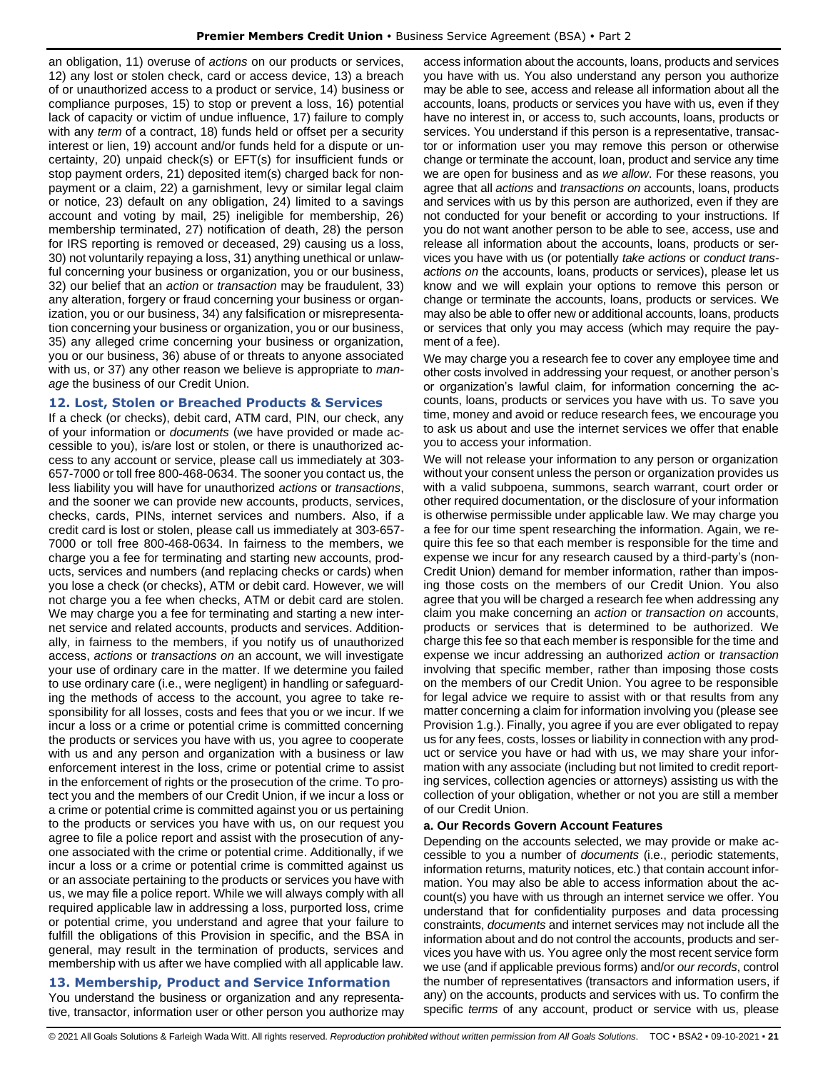an obligation, 11) overuse of *actions* on our products or services, 12) any lost or stolen check, card or access device, 13) a breach of or unauthorized access to a product or service, 14) business or compliance purposes, 15) to stop or prevent a loss, 16) potential lack of capacity or victim of undue influence, 17) failure to comply with any *term* of a contract, 18) funds held or offset per a security interest or lien, 19) account and/or funds held for a dispute or uncertainty, 20) unpaid check(s) or EFT(s) for insufficient funds or stop payment orders, 21) deposited item(s) charged back for nonpayment or a claim, 22) a garnishment, levy or similar legal claim or notice, 23) default on any obligation, 24) limited to a savings account and voting by mail, 25) ineligible for membership, 26) membership terminated, 27) notification of death, 28) the person for IRS reporting is removed or deceased, 29) causing us a loss, 30) not voluntarily repaying a loss, 31) anything unethical or unlawful concerning your business or organization, you or our business, 32) our belief that an *action* or *transaction* may be fraudulent, 33) any alteration, forgery or fraud concerning your business or organization, you or our business, 34) any falsification or misrepresentation concerning your business or organization, you or our business, 35) any alleged crime concerning your business or organization, you or our business, 36) abuse of or threats to anyone associated with us, or 37) any other reason we believe is appropriate to *manage* the business of our Credit Union.

## <span id="page-20-0"></span>**12. Lost, Stolen or Breached Products & Services**

If a check (or checks), debit card, ATM card, PIN, our check, any of your information or *documents* (we have provided or made accessible to you), is/are lost or stolen, or there is unauthorized access to any account or service, please call us immediately at 303- 657-7000 or toll free 800-468-0634. The sooner you contact us, the less liability you will have for unauthorized *actions* or *transactions*, and the sooner we can provide new accounts, products, services, checks, cards, PINs, internet services and numbers. Also, if a credit card is lost or stolen, please call us immediately at 303-657- 7000 or toll free 800-468-0634. In fairness to the members, we charge you a fee for terminating and starting new accounts, products, services and numbers (and replacing checks or cards) when you lose a check (or checks), ATM or debit card. However, we will not charge you a fee when checks, ATM or debit card are stolen. We may charge you a fee for terminating and starting a new internet service and related accounts, products and services. Additionally, in fairness to the members, if you notify us of unauthorized access, *actions* or *transactions on* an account, we will investigate your use of ordinary care in the matter. If we determine you failed to use ordinary care (i.e., were negligent) in handling or safeguarding the methods of access to the account, you agree to take responsibility for all losses, costs and fees that you or we incur. If we incur a loss or a crime or potential crime is committed concerning the products or services you have with us, you agree to cooperate with us and any person and organization with a business or law enforcement interest in the loss, crime or potential crime to assist in the enforcement of rights or the prosecution of the crime. To protect you and the members of our Credit Union, if we incur a loss or a crime or potential crime is committed against you or us pertaining to the products or services you have with us, on our request you agree to file a police report and assist with the prosecution of anyone associated with the crime or potential crime. Additionally, if we incur a loss or a crime or potential crime is committed against us or an associate pertaining to the products or services you have with us, we may file a police report. While we will always comply with all required applicable law in addressing a loss, purported loss, crime or potential crime, you understand and agree that your failure to fulfill the obligations of this Provision in specific, and the BSA in general, may result in the termination of products, services and membership with us after we have complied with all applicable law.

## <span id="page-20-1"></span>**13. Membership, Product and Service Information**

You understand the business or organization and any representative, transactor, information user or other person you authorize may access information about the accounts, loans, products and services you have with us. You also understand any person you authorize may be able to see, access and release all information about all the accounts, loans, products or services you have with us, even if they have no interest in, or access to, such accounts, loans, products or services. You understand if this person is a representative, transactor or information user you may remove this person or otherwise change or terminate the account, loan, product and service any time we are open for business and as *we allow*. For these reasons, you agree that all *actions* and *transactions on* accounts, loans, products and services with us by this person are authorized, even if they are not conducted for your benefit or according to your instructions. If you do not want another person to be able to see, access, use and release all information about the accounts, loans, products or services you have with us (or potentially *take actions* or *conduct transactions on* the accounts, loans, products or services), please let us know and we will explain your options to remove this person or change or terminate the accounts, loans, products or services. We may also be able to offer new or additional accounts, loans, products or services that only you may access (which may require the payment of a fee).

We may charge you a research fee to cover any employee time and other costs involved in addressing your request, or another person's or organization's lawful claim, for information concerning the accounts, loans, products or services you have with us. To save you time, money and avoid or reduce research fees, we encourage you to ask us about and use the internet services we offer that enable you to access your information.

We will not release your information to any person or organization without your consent unless the person or organization provides us with a valid subpoena, summons, search warrant, court order or other required documentation, or the disclosure of your information is otherwise permissible under applicable law. We may charge you a fee for our time spent researching the information. Again, we require this fee so that each member is responsible for the time and expense we incur for any research caused by a third-party's (non-Credit Union) demand for member information, rather than imposing those costs on the members of our Credit Union. You also agree that you will be charged a research fee when addressing any claim you make concerning an *action* or *transaction on* accounts, products or services that is determined to be authorized. We charge this fee so that each member is responsible for the time and expense we incur addressing an authorized *action* or *transaction* involving that specific member, rather than imposing those costs on the members of our Credit Union. You agree to be responsible for legal advice we require to assist with or that results from any matter concerning a claim for information involving you (please see Provision 1.g.). Finally, you agree if you are ever obligated to repay us for any fees, costs, losses or liability in connection with any product or service you have or had with us, we may share your information with any associate (including but not limited to credit reporting services, collection agencies or attorneys) assisting us with the collection of your obligation, whether or not you are still a member of our Credit Union.

## **a. Our Records Govern Account Features**

Depending on the accounts selected, we may provide or make accessible to you a number of *documents* (i.e., periodic statements, information returns, maturity notices, etc.) that contain account information. You may also be able to access information about the account(s) you have with us through an internet service we offer. You understand that for confidentiality purposes and data processing constraints, *documents* and internet services may not include all the information about and do not control the accounts, products and services you have with us. You agree only the most recent service form we use (and if applicable previous forms) and/or *our records*, control the number of representatives (transactors and information users, if any) on the accounts, products and services with us. To confirm the specific *terms* of any account, product or service with us, please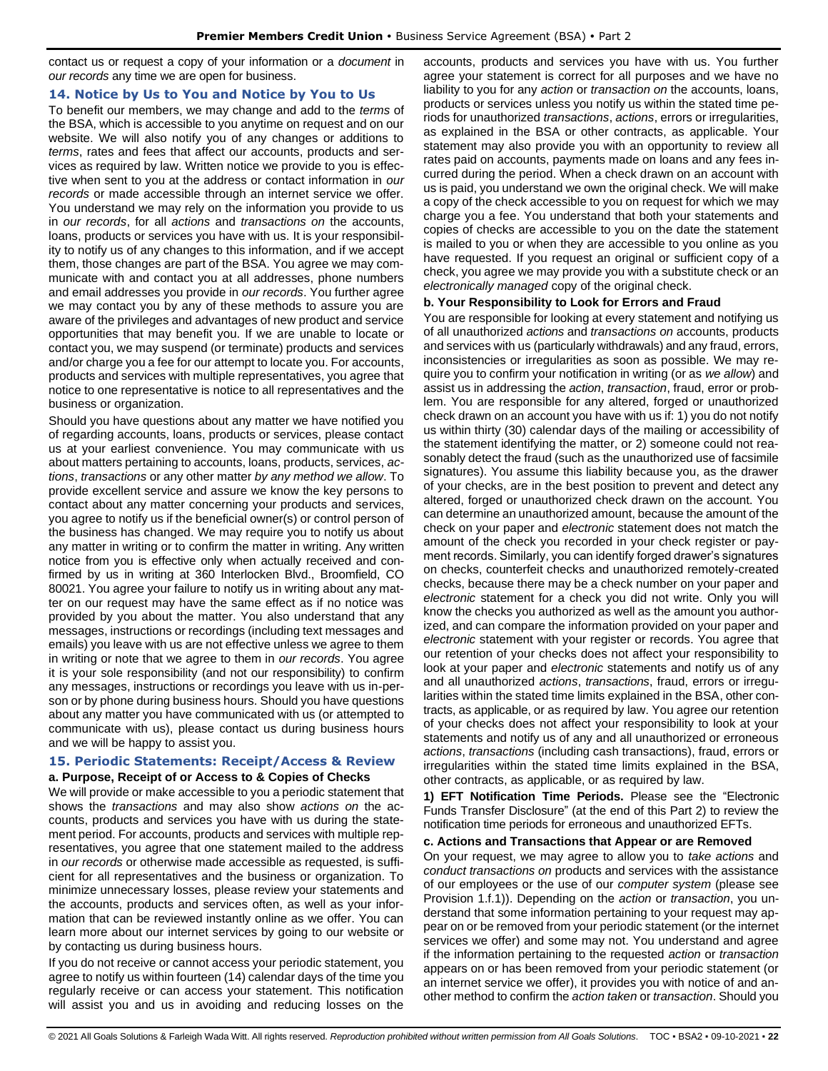contact us or request a copy of your information or a *document* in *our records* any time we are open for business.

## <span id="page-21-0"></span>**14. Notice by Us to You and Notice by You to Us**

To benefit our members, we may change and add to the *terms* of the BSA, which is accessible to you anytime on request and on our website. We will also notify you of any changes or additions to *terms*, rates and fees that affect our accounts, products and services as required by law. Written notice we provide to you is effective when sent to you at the address or contact information in *our records* or made accessible through an internet service we offer. You understand we may rely on the information you provide to us in *our records*, for all *actions* and *transactions on* the accounts, loans, products or services you have with us. It is your responsibility to notify us of any changes to this information, and if we accept them, those changes are part of the BSA. You agree we may communicate with and contact you at all addresses, phone numbers and email addresses you provide in *our records*. You further agree we may contact you by any of these methods to assure you are aware of the privileges and advantages of new product and service opportunities that may benefit you. If we are unable to locate or contact you, we may suspend (or terminate) products and services and/or charge you a fee for our attempt to locate you. For accounts, products and services with multiple representatives, you agree that notice to one representative is notice to all representatives and the business or organization.

Should you have questions about any matter we have notified you of regarding accounts, loans, products or services, please contact us at your earliest convenience. You may communicate with us about matters pertaining to accounts, loans, products, services, *actions*, *transactions* or any other matter *by any method we allow*. To provide excellent service and assure we know the key persons to contact about any matter concerning your products and services, you agree to notify us if the beneficial owner(s) or control person of the business has changed. We may require you to notify us about any matter in writing or to confirm the matter in writing. Any written notice from you is effective only when actually received and confirmed by us in writing at 360 Interlocken Blvd., Broomfield, CO 80021. You agree your failure to notify us in writing about any matter on our request may have the same effect as if no notice was provided by you about the matter. You also understand that any messages, instructions or recordings (including text messages and emails) you leave with us are not effective unless we agree to them in writing or note that we agree to them in *our records*. You agree it is your sole responsibility (and not our responsibility) to confirm any messages, instructions or recordings you leave with us in-person or by phone during business hours. Should you have questions about any matter you have communicated with us (or attempted to communicate with us), please contact us during business hours and we will be happy to assist you.

#### <span id="page-21-1"></span>**15. Periodic Statements: Receipt/Access & Review a. Purpose, Receipt of or Access to & Copies of Checks**

We will provide or make accessible to you a periodic statement that shows the *transactions* and may also show *actions on* the accounts, products and services you have with us during the statement period. For accounts, products and services with multiple representatives, you agree that one statement mailed to the address in *our records* or otherwise made accessible as requested, is sufficient for all representatives and the business or organization. To minimize unnecessary losses, please review your statements and the accounts, products and services often, as well as your information that can be reviewed instantly online as we offer. You can learn more about our internet services by going to our website or by contacting us during business hours.

If you do not receive or cannot access your periodic statement, you agree to notify us within fourteen (14) calendar days of the time you regularly receive or can access your statement. This notification will assist you and us in avoiding and reducing losses on the

accounts, products and services you have with us. You further agree your statement is correct for all purposes and we have no liability to you for any *action* or *transaction on* the accounts, loans, products or services unless you notify us within the stated time periods for unauthorized *transactions*, *actions*, errors or irregularities, as explained in the BSA or other contracts, as applicable. Your statement may also provide you with an opportunity to review all rates paid on accounts, payments made on loans and any fees incurred during the period. When a check drawn on an account with us is paid, you understand we own the original check. We will make a copy of the check accessible to you on request for which we may charge you a fee. You understand that both your statements and copies of checks are accessible to you on the date the statement is mailed to you or when they are accessible to you online as you have requested. If you request an original or sufficient copy of a check, you agree we may provide you with a substitute check or an *electronically managed* copy of the original check.

## **b. Your Responsibility to Look for Errors and Fraud**

You are responsible for looking at every statement and notifying us of all unauthorized *actions* and *transactions on* accounts, products and services with us (particularly withdrawals) and any fraud, errors, inconsistencies or irregularities as soon as possible. We may require you to confirm your notification in writing (or as *we allow*) and assist us in addressing the *action*, *transaction*, fraud, error or problem. You are responsible for any altered, forged or unauthorized check drawn on an account you have with us if: 1) you do not notify us within thirty (30) calendar days of the mailing or accessibility of the statement identifying the matter, or 2) someone could not reasonably detect the fraud (such as the unauthorized use of facsimile signatures). You assume this liability because you, as the drawer of your checks, are in the best position to prevent and detect any altered, forged or unauthorized check drawn on the account. You can determine an unauthorized amount, because the amount of the check on your paper and *electronic* statement does not match the amount of the check you recorded in your check register or payment records. Similarly, you can identify forged drawer's signatures on checks, counterfeit checks and unauthorized remotely-created checks, because there may be a check number on your paper and *electronic* statement for a check you did not write. Only you will know the checks you authorized as well as the amount you authorized, and can compare the information provided on your paper and *electronic* statement with your register or records. You agree that our retention of your checks does not affect your responsibility to look at your paper and *electronic* statements and notify us of any and all unauthorized *actions*, *transactions*, fraud, errors or irregularities within the stated time limits explained in the BSA, other contracts, as applicable, or as required by law. You agree our retention of your checks does not affect your responsibility to look at your statements and notify us of any and all unauthorized or erroneous *actions*, *transactions* (including cash transactions), fraud, errors or irregularities within the stated time limits explained in the BSA, other contracts, as applicable, or as required by law.

**1) EFT Notification Time Periods.** Please see the "Electronic Funds Transfer Disclosure" (at the end of this Part 2) to review the notification time periods for erroneous and unauthorized EFTs.

#### **c. Actions and Transactions that Appear or are Removed**

On your request, we may agree to allow you to *take actions* and *conduct transactions on* products and services with the assistance of our employees or the use of our *computer system* (please see Provision 1.f.1)). Depending on the *action* or *transaction*, you understand that some information pertaining to your request may appear on or be removed from your periodic statement (or the internet services we offer) and some may not. You understand and agree if the information pertaining to the requested *action* or *transaction* appears on or has been removed from your periodic statement (or an internet service we offer), it provides you with notice of and another method to confirm the *action taken* or *transaction*. Should you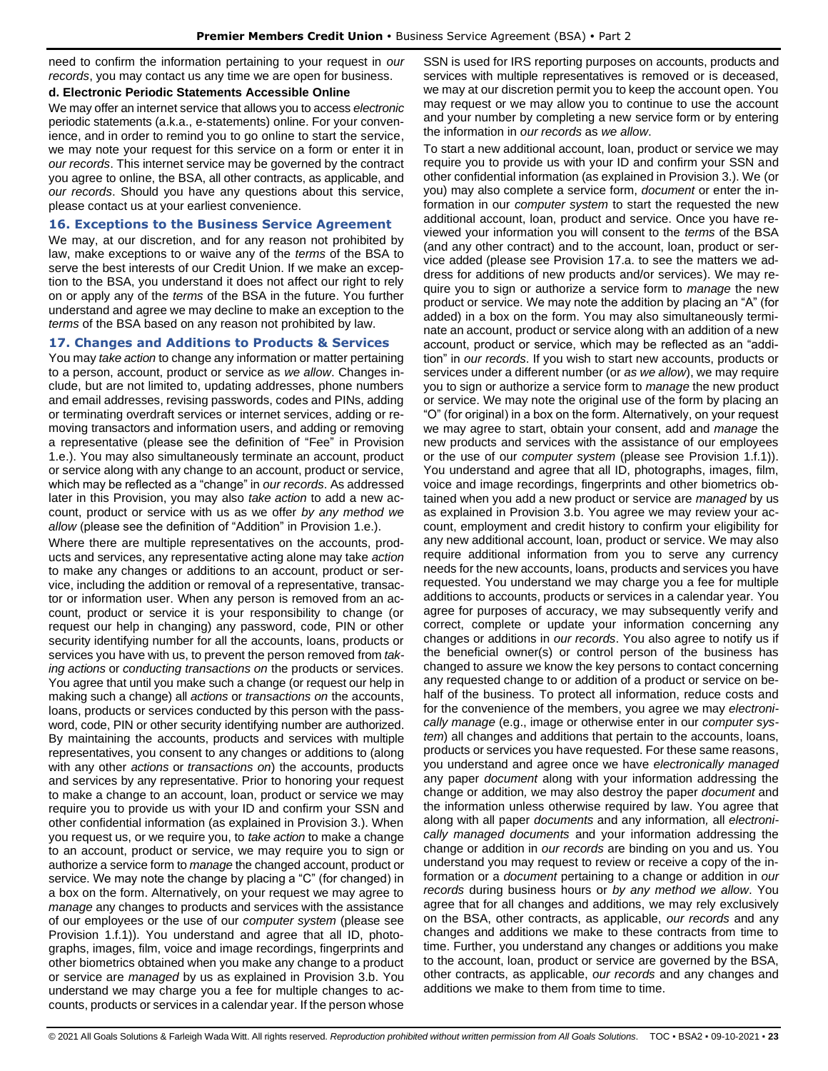need to confirm the information pertaining to your request in *our records*, you may contact us any time we are open for business.

#### **d. Electronic Periodic Statements Accessible Online**

We may offer an internet service that allows you to access *electronic* periodic statements (a.k.a., e-statements) online. For your convenience, and in order to remind you to go online to start the service, we may note your request for this service on a form or enter it in *our records*. This internet service may be governed by the contract you agree to online, the BSA, all other contracts, as applicable, and *our records*. Should you have any questions about this service, please contact us at your earliest convenience.

#### <span id="page-22-0"></span>**16. Exceptions to the Business Service Agreement**

We may, at our discretion, and for any reason not prohibited by law, make exceptions to or waive any of the *terms* of the BSA to serve the best interests of our Credit Union. If we make an exception to the BSA, you understand it does not affect our right to rely on or apply any of the *terms* of the BSA in the future. You further understand and agree we may decline to make an exception to the *terms* of the BSA based on any reason not prohibited by law.

## <span id="page-22-1"></span>**17. Changes and Additions to Products & Services**

You may *take action* to change any information or matter pertaining to a person, account, product or service as *we allow*. Changes include, but are not limited to, updating addresses, phone numbers and email addresses, revising passwords, codes and PINs, adding or terminating overdraft services or internet services, adding or removing transactors and information users, and adding or removing a representative (please see the definition of "Fee" in Provision 1.e.). You may also simultaneously terminate an account, product or service along with any change to an account, product or service, which may be reflected as a "change" in *our records*. As addressed later in this Provision, you may also *take action* to add a new account, product or service with us as we offer *by any method we allow* (please see the definition of "Addition" in Provision 1.e.).

Where there are multiple representatives on the accounts, products and services, any representative acting alone may take *action* to make any changes or additions to an account, product or service, including the addition or removal of a representative, transactor or information user. When any person is removed from an account, product or service it is your responsibility to change (or request our help in changing) any password, code, PIN or other security identifying number for all the accounts, loans, products or services you have with us, to prevent the person removed from *taking actions* or *conducting transactions on* the products or services. You agree that until you make such a change (or request our help in making such a change) all *actions* or *transactions on* the accounts, loans, products or services conducted by this person with the password, code, PIN or other security identifying number are authorized. By maintaining the accounts, products and services with multiple representatives, you consent to any changes or additions to (along with any other *actions* or *transactions on*) the accounts, products and services by any representative. Prior to honoring your request to make a change to an account, loan, product or service we may require you to provide us with your ID and confirm your SSN and other confidential information (as explained in Provision 3.). When you request us, or we require you, to *take action* to make a change to an account, product or service, we may require you to sign or authorize a service form to *manage* the changed account, product or service. We may note the change by placing a "C" (for changed) in a box on the form. Alternatively, on your request we may agree to *manage* any changes to products and services with the assistance of our employees or the use of our *computer system* (please see Provision 1.f.1)). You understand and agree that all ID, photographs, images, film, voice and image recordings, fingerprints and other biometrics obtained when you make any change to a product or service are *managed* by us as explained in Provision 3.b. You understand we may charge you a fee for multiple changes to accounts, products or services in a calendar year. If the person whose

SSN is used for IRS reporting purposes on accounts, products and services with multiple representatives is removed or is deceased, we may at our discretion permit you to keep the account open. You may request or we may allow you to continue to use the account and your number by completing a new service form or by entering the information in *our records* as *we allow*.

To start a new additional account, loan, product or service we may require you to provide us with your ID and confirm your SSN and other confidential information (as explained in Provision 3.). We (or you) may also complete a service form, *document* or enter the information in our *computer system* to start the requested the new additional account, loan, product and service. Once you have reviewed your information you will consent to the *terms* of the BSA (and any other contract) and to the account, loan, product or service added (please see Provision 17.a. to see the matters we address for additions of new products and/or services). We may require you to sign or authorize a service form to *manage* the new product or service. We may note the addition by placing an "A" (for added) in a box on the form. You may also simultaneously terminate an account, product or service along with an addition of a new account, product or service, which may be reflected as an "addition" in *our records*. If you wish to start new accounts, products or services under a different number (or *as we allow*), we may require you to sign or authorize a service form to *manage* the new product or service. We may note the original use of the form by placing an "O" (for original) in a box on the form. Alternatively, on your request we may agree to start, obtain your consent, add and *manage* the new products and services with the assistance of our employees or the use of our *computer system* (please see Provision 1.f.1)). You understand and agree that all ID, photographs, images, film, voice and image recordings, fingerprints and other biometrics obtained when you add a new product or service are *managed* by us as explained in Provision 3.b. You agree we may review your account, employment and credit history to confirm your eligibility for any new additional account, loan, product or service. We may also require additional information from you to serve any currency needs for the new accounts, loans, products and services you have requested. You understand we may charge you a fee for multiple additions to accounts, products or services in a calendar year. You agree for purposes of accuracy, we may subsequently verify and correct, complete or update your information concerning any changes or additions in *our records*. You also agree to notify us if the beneficial owner(s) or control person of the business has changed to assure we know the key persons to contact concerning any requested change to or addition of a product or service on behalf of the business. To protect all information, reduce costs and for the convenience of the members, you agree we may *electronically manage* (e.g., image or otherwise enter in our *computer system*) all changes and additions that pertain to the accounts, loans, products or services you have requested. For these same reasons, you understand and agree once we have *electronically managed* any paper *document* along with your information addressing the change or addition*,* we may also destroy the paper *document* and the information unless otherwise required by law. You agree that along with all paper *documents* and any information*,* all *electronically managed documents* and your information addressing the change or addition in *our records* are binding on you and us. You understand you may request to review or receive a copy of the information or a *document* pertaining to a change or addition in *our records* during business hours or *by any method we allow*. You agree that for all changes and additions, we may rely exclusively on the BSA, other contracts, as applicable, *our records* and any changes and additions we make to these contracts from time to time. Further, you understand any changes or additions you make to the account, loan, product or service are governed by the BSA, other contracts, as applicable, *our records* and any changes and additions we make to them from time to time.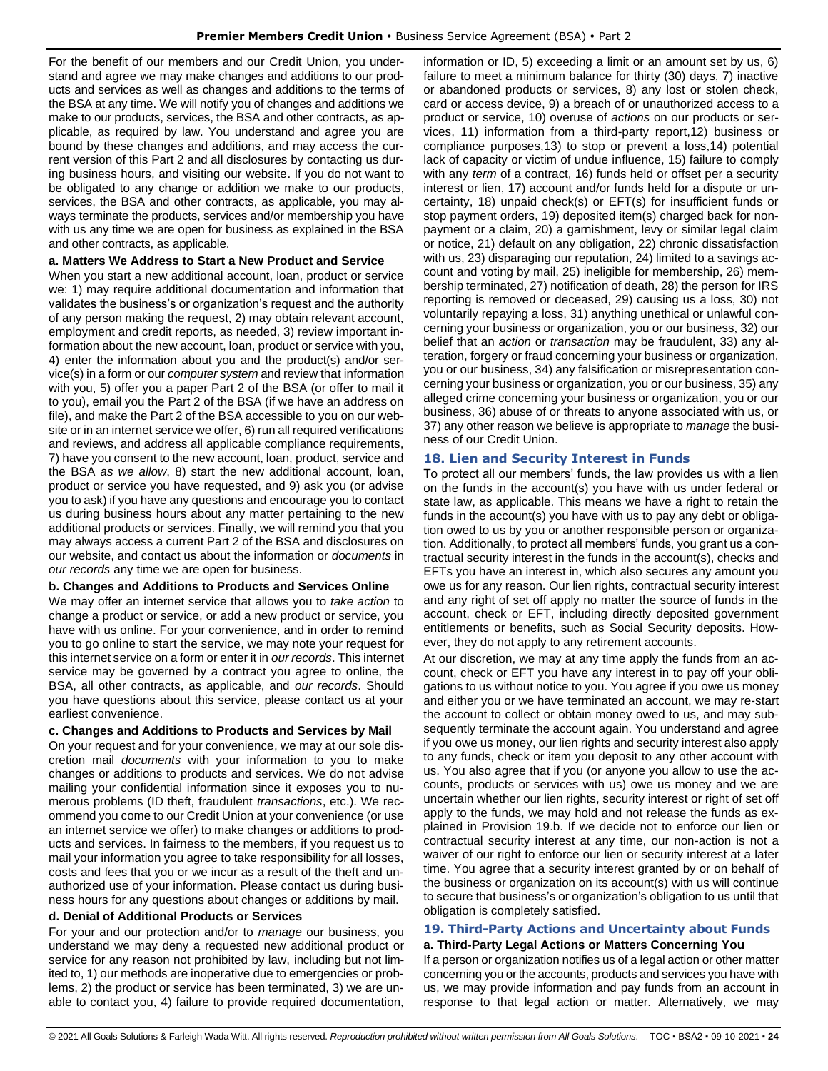For the benefit of our members and our Credit Union, you understand and agree we may make changes and additions to our products and services as well as changes and additions to the terms of the BSA at any time. We will notify you of changes and additions we make to our products, services, the BSA and other contracts, as applicable, as required by law. You understand and agree you are bound by these changes and additions, and may access the current version of this Part 2 and all disclosures by contacting us during business hours, and visiting our website. If you do not want to be obligated to any change or addition we make to our products, services, the BSA and other contracts, as applicable, you may always terminate the products, services and/or membership you have with us any time we are open for business as explained in the BSA and other contracts, as applicable.

#### **a. Matters We Address to Start a New Product and Service**

When you start a new additional account, loan, product or service we: 1) may require additional documentation and information that validates the business's or organization's request and the authority of any person making the request, 2) may obtain relevant account, employment and credit reports, as needed, 3) review important information about the new account, loan, product or service with you, 4) enter the information about you and the product(s) and/or service(s) in a form or our *computer system* and review that information with you, 5) offer you a paper Part 2 of the BSA (or offer to mail it to you), email you the Part 2 of the BSA (if we have an address on file), and make the Part 2 of the BSA accessible to you on our website or in an internet service we offer, 6) run all required verifications and reviews, and address all applicable compliance requirements, 7) have you consent to the new account, loan, product, service and the BSA *as we allow*, 8) start the new additional account, loan, product or service you have requested, and 9) ask you (or advise you to ask) if you have any questions and encourage you to contact us during business hours about any matter pertaining to the new additional products or services. Finally, we will remind you that you may always access a current Part 2 of the BSA and disclosures on our website, and contact us about the information or *documents* in *our records* any time we are open for business.

#### **b. Changes and Additions to Products and Services Online**

We may offer an internet service that allows you to *take action* to change a product or service, or add a new product or service, you have with us online. For your convenience, and in order to remind you to go online to start the service, we may note your request for this internet service on a form or enter it in *our records*. This internet service may be governed by a contract you agree to online, the BSA, all other contracts, as applicable, and *our records*. Should you have questions about this service, please contact us at your earliest convenience.

#### **c. Changes and Additions to Products and Services by Mail**

On your request and for your convenience, we may at our sole discretion mail *documents* with your information to you to make changes or additions to products and services. We do not advise mailing your confidential information since it exposes you to numerous problems (ID theft, fraudulent *transactions*, etc.). We recommend you come to our Credit Union at your convenience (or use an internet service we offer) to make changes or additions to products and services. In fairness to the members, if you request us to mail your information you agree to take responsibility for all losses, costs and fees that you or we incur as a result of the theft and unauthorized use of your information. Please contact us during business hours for any questions about changes or additions by mail.

#### **d. Denial of Additional Products or Services**

For your and our protection and/or to *manage* our business, you understand we may deny a requested new additional product or service for any reason not prohibited by law, including but not limited to, 1) our methods are inoperative due to emergencies or problems, 2) the product or service has been terminated, 3) we are unable to contact you, 4) failure to provide required documentation,

information or ID, 5) exceeding a limit or an amount set by us, 6) failure to meet a minimum balance for thirty (30) days, 7) inactive or abandoned products or services, 8) any lost or stolen check, card or access device, 9) a breach of or unauthorized access to a product or service, 10) overuse of *actions* on our products or services, 11) information from a third-party report,12) business or compliance purposes,13) to stop or prevent a loss,14) potential lack of capacity or victim of undue influence, 15) failure to comply with any *term* of a contract, 16) funds held or offset per a security interest or lien, 17) account and/or funds held for a dispute or uncertainty, 18) unpaid check(s) or EFT(s) for insufficient funds or stop payment orders, 19) deposited item(s) charged back for nonpayment or a claim, 20) a garnishment, levy or similar legal claim or notice, 21) default on any obligation, 22) chronic dissatisfaction with us, 23) disparaging our reputation, 24) limited to a savings account and voting by mail, 25) ineligible for membership, 26) membership terminated, 27) notification of death, 28) the person for IRS reporting is removed or deceased, 29) causing us a loss, 30) not voluntarily repaying a loss, 31) anything unethical or unlawful concerning your business or organization, you or our business, 32) our belief that an *action* or *transaction* may be fraudulent, 33) any alteration, forgery or fraud concerning your business or organization, you or our business, 34) any falsification or misrepresentation concerning your business or organization, you or our business, 35) any alleged crime concerning your business or organization, you or our business, 36) abuse of or threats to anyone associated with us, or 37) any other reason we believe is appropriate to *manage* the business of our Credit Union.

## <span id="page-23-0"></span>**18. Lien and Security Interest in Funds**

To protect all our members' funds, the law provides us with a lien on the funds in the account(s) you have with us under federal or state law, as applicable. This means we have a right to retain the funds in the account(s) you have with us to pay any debt or obligation owed to us by you or another responsible person or organization. Additionally, to protect all members' funds, you grant us a contractual security interest in the funds in the account(s), checks and EFTs you have an interest in, which also secures any amount you owe us for any reason. Our lien rights, contractual security interest and any right of set off apply no matter the source of funds in the account, check or EFT, including directly deposited government entitlements or benefits, such as Social Security deposits. However, they do not apply to any retirement accounts.

At our discretion, we may at any time apply the funds from an account, check or EFT you have any interest in to pay off your obligations to us without notice to you. You agree if you owe us money and either you or we have terminated an account, we may re-start the account to collect or obtain money owed to us, and may subsequently terminate the account again. You understand and agree if you owe us money, our lien rights and security interest also apply to any funds, check or item you deposit to any other account with us. You also agree that if you (or anyone you allow to use the accounts, products or services with us) owe us money and we are uncertain whether our lien rights, security interest or right of set off apply to the funds, we may hold and not release the funds as explained in Provision 19.b. If we decide not to enforce our lien or contractual security interest at any time, our non-action is not a waiver of our right to enforce our lien or security interest at a later time. You agree that a security interest granted by or on behalf of the business or organization on its account(s) with us will continue to secure that business's or organization's obligation to us until that obligation is completely satisfied.

# <span id="page-23-1"></span>**19. Third-Party Actions and Uncertainty about Funds**

**a. Third-Party Legal Actions or Matters Concerning You**  If a person or organization notifies us of a legal action or other matter concerning you or the accounts, products and services you have with us, we may provide information and pay funds from an account in response to that legal action or matter. Alternatively, we may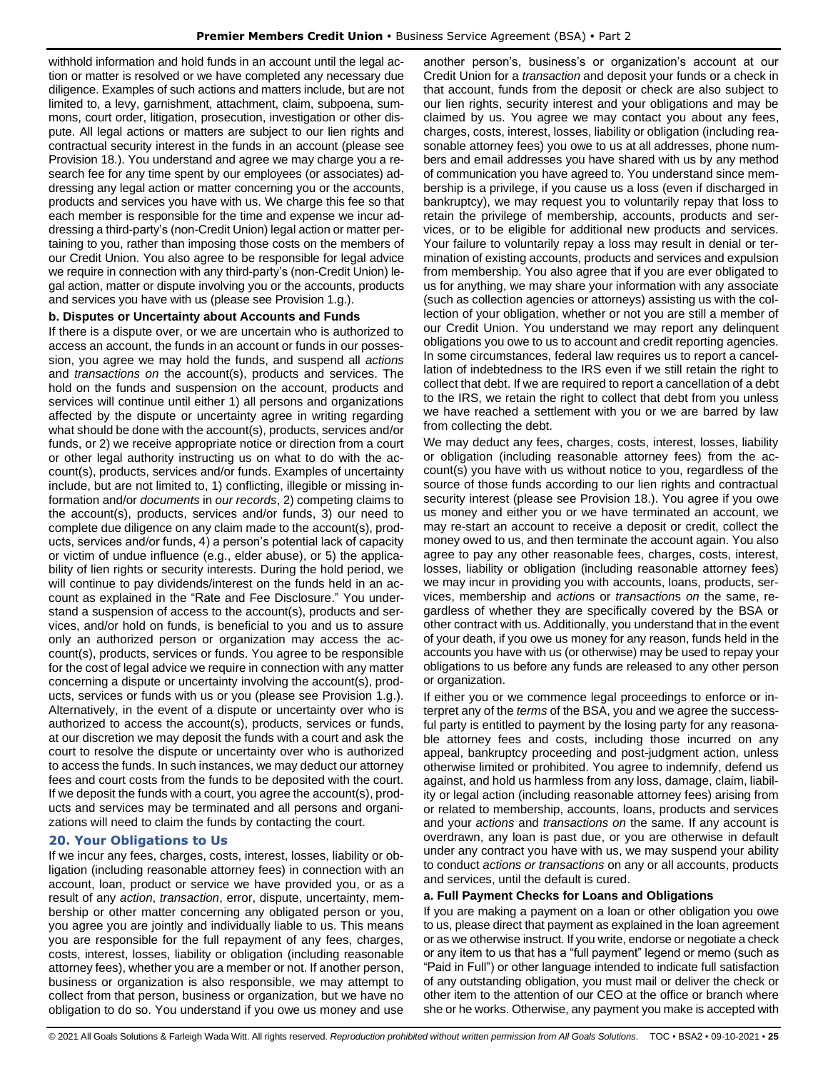withhold information and hold funds in an account until the legal action or matter is resolved or we have completed any necessary due diligence. Examples of such actions and matters include, but are not limited to, a levy, garnishment, attachment, claim, subpoena, summons, court order, litigation, prosecution, investigation or other dispute. All legal actions or matters are subject to our lien rights and contractual security interest in the funds in an account (please see Provision 18.). You understand and agree we may charge you a research fee for any time spent by our employees (or associates) addressing any legal action or matter concerning you or the accounts, products and services you have with us. We charge this fee so that each member is responsible for the time and expense we incur addressing a third-party's (non-Credit Union) legal action or matter pertaining to you, rather than imposing those costs on the members of our Credit Union. You also agree to be responsible for legal advice we require in connection with any third-party's (non-Credit Union) legal action, matter or dispute involving you or the accounts, products and services you have with us (please see Provision 1.g.).

## **b. Disputes or Uncertainty about Accounts and Funds**

If there is a dispute over, or we are uncertain who is authorized to access an account, the funds in an account or funds in our possession, you agree we may hold the funds, and suspend all *actions* and *transactions on* the account(s), products and services. The hold on the funds and suspension on the account, products and services will continue until either 1) all persons and organizations affected by the dispute or uncertainty agree in writing regarding what should be done with the account(s), products, services and/or funds, or 2) we receive appropriate notice or direction from a court or other legal authority instructing us on what to do with the account(s), products, services and/or funds. Examples of uncertainty include, but are not limited to, 1) conflicting, illegible or missing information and/or *documents* in *our records*, 2) competing claims to the account(s), products, services and/or funds, 3) our need to complete due diligence on any claim made to the account(s), products, services and/or funds, 4) a person's potential lack of capacity or victim of undue influence (e.g., elder abuse), or 5) the applicability of lien rights or security interests. During the hold period, we will continue to pay dividends/interest on the funds held in an account as explained in the "Rate and Fee Disclosure." You understand a suspension of access to the account(s), products and services, and/or hold on funds, is beneficial to you and us to assure only an authorized person or organization may access the account(s), products, services or funds. You agree to be responsible for the cost of legal advice we require in connection with any matter concerning a dispute or uncertainty involving the account(s), products, services or funds with us or you (please see Provision 1.g.). Alternatively, in the event of a dispute or uncertainty over who is authorized to access the account(s), products, services or funds, at our discretion we may deposit the funds with a court and ask the court to resolve the dispute or uncertainty over who is authorized to access the funds. In such instances, we may deduct our attorney fees and court costs from the funds to be deposited with the court. If we deposit the funds with a court, you agree the account(s), products and services may be terminated and all persons and organizations will need to claim the funds by contacting the court.

## <span id="page-24-0"></span>**20. Your Obligations to Us**

If we incur any fees, charges, costs, interest, losses, liability or obligation (including reasonable attorney fees) in connection with an account, loan, product or service we have provided you, or as a result of any *action*, *transaction*, error, dispute, uncertainty, membership or other matter concerning any obligated person or you, you agree you are jointly and individually liable to us. This means you are responsible for the full repayment of any fees, charges, costs, interest, losses, liability or obligation (including reasonable attorney fees), whether you are a member or not. If another person, business or organization is also responsible, we may attempt to collect from that person, business or organization, but we have no obligation to do so. You understand if you owe us money and use

another person's, business's or organization's account at our Credit Union for a *transaction* and deposit your funds or a check in that account, funds from the deposit or check are also subject to our lien rights, security interest and your obligations and may be claimed by us. You agree we may contact you about any fees, charges, costs, interest, losses, liability or obligation (including reasonable attorney fees) you owe to us at all addresses, phone numbers and email addresses you have shared with us by any method of communication you have agreed to. You understand since membership is a privilege, if you cause us a loss (even if discharged in bankruptcy), we may request you to voluntarily repay that loss to retain the privilege of membership, accounts, products and services, or to be eligible for additional new products and services. Your failure to voluntarily repay a loss may result in denial or termination of existing accounts, products and services and expulsion from membership. You also agree that if you are ever obligated to us for anything, we may share your information with any associate (such as collection agencies or attorneys) assisting us with the collection of your obligation, whether or not you are still a member of our Credit Union. You understand we may report any delinquent obligations you owe to us to account and credit reporting agencies. In some circumstances, federal law requires us to report a cancellation of indebtedness to the IRS even if we still retain the right to collect that debt. If we are required to report a cancellation of a debt to the IRS, we retain the right to collect that debt from you unless we have reached a settlement with you or we are barred by law from collecting the debt.

We may deduct any fees, charges, costs, interest, losses, liability or obligation (including reasonable attorney fees) from the account(s) you have with us without notice to you, regardless of the source of those funds according to our lien rights and contractual security interest (please see Provision 18.). You agree if you owe us money and either you or we have terminated an account, we may re-start an account to receive a deposit or credit, collect the money owed to us, and then terminate the account again. You also agree to pay any other reasonable fees, charges, costs, interest, losses, liability or obligation (including reasonable attorney fees) we may incur in providing you with accounts, loans, products, services, membership and *action*s or *transaction*s *on* the same, regardless of whether they are specifically covered by the BSA or other contract with us. Additionally, you understand that in the event of your death, if you owe us money for any reason, funds held in the accounts you have with us (or otherwise) may be used to repay your obligations to us before any funds are released to any other person or organization.

If either you or we commence legal proceedings to enforce or interpret any of the *terms* of the BSA, you and we agree the successful party is entitled to payment by the losing party for any reasonable attorney fees and costs, including those incurred on any appeal, bankruptcy proceeding and post-judgment action, unless otherwise limited or prohibited. You agree to indemnify, defend us against, and hold us harmless from any loss, damage, claim, liability or legal action (including reasonable attorney fees) arising from or related to membership, accounts, loans, products and services and your *actions* and *transactions on* the same. If any account is overdrawn, any loan is past due, or you are otherwise in default under any contract you have with us, we may suspend your ability to conduct *actions or transactions* on any or all accounts, products and services, until the default is cured.

#### **a. Full Payment Checks for Loans and Obligations**

If you are making a payment on a loan or other obligation you owe to us, please direct that payment as explained in the loan agreement or as we otherwise instruct. If you write, endorse or negotiate a check or any item to us that has a "full payment" legend or memo (such as "Paid in Full") or other language intended to indicate full satisfaction of any outstanding obligation, you must mail or deliver the check or other item to the attention of our CEO at the office or branch where she or he works. Otherwise, any payment you make is accepted with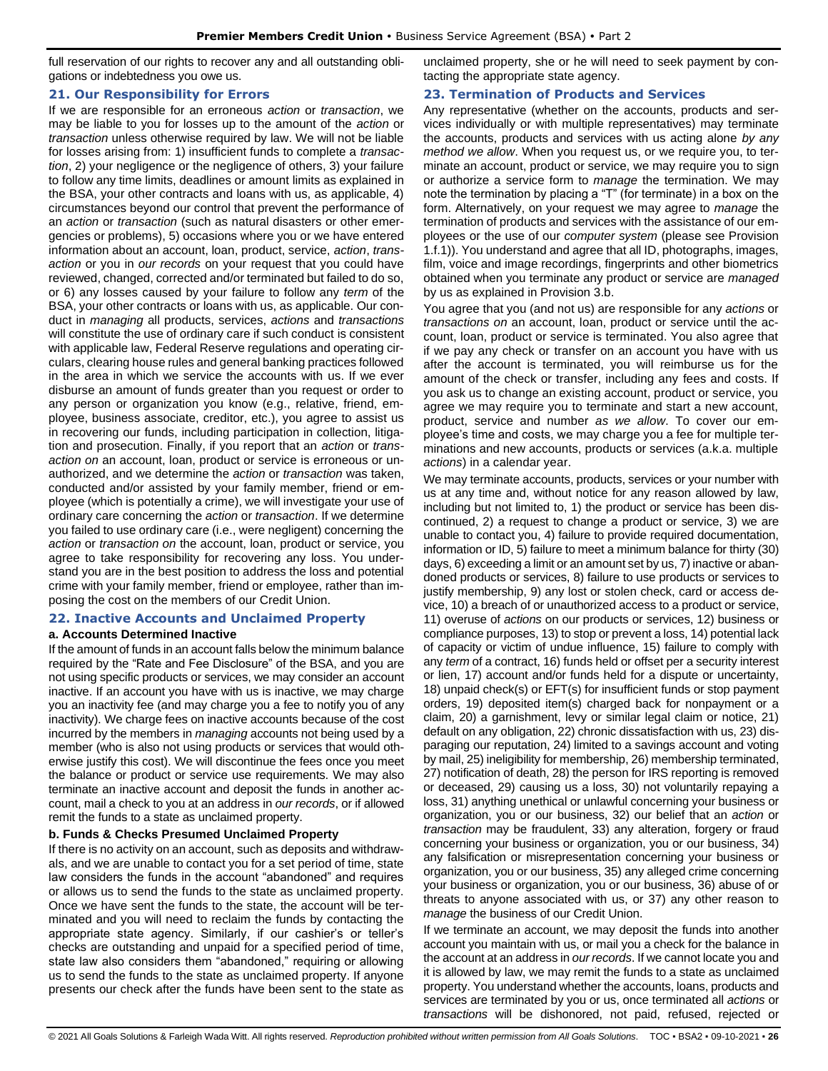full reservation of our rights to recover any and all outstanding obligations or indebtedness you owe us.

## <span id="page-25-0"></span>**21. Our Responsibility for Errors**

If we are responsible for an erroneous *action* or *transaction*, we may be liable to you for losses up to the amount of the *action* or *transaction* unless otherwise required by law. We will not be liable for losses arising from: 1) insufficient funds to complete a *transaction*, 2) your negligence or the negligence of others, 3) your failure to follow any time limits, deadlines or amount limits as explained in the BSA, your other contracts and loans with us, as applicable, 4) circumstances beyond our control that prevent the performance of an *action* or *transaction* (such as natural disasters or other emergencies or problems), 5) occasions where you or we have entered information about an account, loan, product, service, *action*, *transaction* or you in *our records* on your request that you could have reviewed, changed, corrected and/or terminated but failed to do so, or 6) any losses caused by your failure to follow any *term* of the BSA, your other contracts or loans with us, as applicable. Our conduct in *managing* all products, services, *actions* and *transactions* will constitute the use of ordinary care if such conduct is consistent with applicable law, Federal Reserve regulations and operating circulars, clearing house rules and general banking practices followed in the area in which we service the accounts with us. If we ever disburse an amount of funds greater than you request or order to any person or organization you know (e.g., relative, friend, employee, business associate, creditor, etc.), you agree to assist us in recovering our funds, including participation in collection, litigation and prosecution. Finally, if you report that an *action* or *transaction on* an account, loan, product or service is erroneous or unauthorized, and we determine the *action* or *transaction* was taken, conducted and/or assisted by your family member, friend or employee (which is potentially a crime), we will investigate your use of ordinary care concerning the *action* or *transaction*. If we determine you failed to use ordinary care (i.e., were negligent) concerning the *action* or *transaction on* the account, loan, product or service, you agree to take responsibility for recovering any loss. You understand you are in the best position to address the loss and potential crime with your family member, friend or employee, rather than imposing the cost on the members of our Credit Union.

## <span id="page-25-1"></span>**22. Inactive Accounts and Unclaimed Property**

## **a. Accounts Determined Inactive**

If the amount of funds in an account falls below the minimum balance required by the "Rate and Fee Disclosure" of the BSA, and you are not using specific products or services, we may consider an account inactive. If an account you have with us is inactive, we may charge you an inactivity fee (and may charge you a fee to notify you of any inactivity). We charge fees on inactive accounts because of the cost incurred by the members in *managing* accounts not being used by a member (who is also not using products or services that would otherwise justify this cost). We will discontinue the fees once you meet the balance or product or service use requirements. We may also terminate an inactive account and deposit the funds in another account, mail a check to you at an address in *our records*, or if allowed remit the funds to a state as unclaimed property.

## **b. Funds & Checks Presumed Unclaimed Property**

If there is no activity on an account, such as deposits and withdrawals, and we are unable to contact you for a set period of time, state law considers the funds in the account "abandoned" and requires or allows us to send the funds to the state as unclaimed property. Once we have sent the funds to the state, the account will be terminated and you will need to reclaim the funds by contacting the appropriate state agency. Similarly, if our cashier's or teller's checks are outstanding and unpaid for a specified period of time, state law also considers them "abandoned," requiring or allowing us to send the funds to the state as unclaimed property. If anyone presents our check after the funds have been sent to the state as

unclaimed property, she or he will need to seek payment by contacting the appropriate state agency.

## <span id="page-25-2"></span>**23. Termination of Products and Services**

Any representative (whether on the accounts, products and services individually or with multiple representatives) may terminate the accounts, products and services with us acting alone *by any method we allow*. When you request us, or we require you, to terminate an account, product or service, we may require you to sign or authorize a service form to *manage* the termination. We may note the termination by placing a "T" (for terminate) in a box on the form. Alternatively, on your request we may agree to *manage* the termination of products and services with the assistance of our employees or the use of our *computer system* (please see Provision 1.f.1)). You understand and agree that all ID, photographs, images, film, voice and image recordings, fingerprints and other biometrics obtained when you terminate any product or service are *managed* by us as explained in Provision 3.b.

You agree that you (and not us) are responsible for any *actions* or *transactions on* an account, loan, product or service until the account, loan, product or service is terminated. You also agree that if we pay any check or transfer on an account you have with us after the account is terminated, you will reimburse us for the amount of the check or transfer, including any fees and costs. If you ask us to change an existing account, product or service, you agree we may require you to terminate and start a new account, product, service and number *as we allow*. To cover our employee's time and costs, we may charge you a fee for multiple terminations and new accounts, products or services (a.k.a. multiple *actions*) in a calendar year.

We may terminate accounts, products, services or your number with us at any time and, without notice for any reason allowed by law, including but not limited to, 1) the product or service has been discontinued, 2) a request to change a product or service, 3) we are unable to contact you, 4) failure to provide required documentation, information or ID, 5) failure to meet a minimum balance for thirty (30) days, 6) exceeding a limit or an amount set by us, 7) inactive or abandoned products or services, 8) failure to use products or services to justify membership, 9) any lost or stolen check, card or access device, 10) a breach of or unauthorized access to a product or service, 11) overuse of *actions* on our products or services, 12) business or compliance purposes, 13) to stop or prevent a loss, 14) potential lack of capacity or victim of undue influence, 15) failure to comply with any *term* of a contract, 16) funds held or offset per a security interest or lien, 17) account and/or funds held for a dispute or uncertainty, 18) unpaid check(s) or EFT(s) for insufficient funds or stop payment orders, 19) deposited item(s) charged back for nonpayment or a claim, 20) a garnishment, levy or similar legal claim or notice, 21) default on any obligation, 22) chronic dissatisfaction with us, 23) disparaging our reputation, 24) limited to a savings account and voting by mail, 25) ineligibility for membership, 26) membership terminated, 27) notification of death, 28) the person for IRS reporting is removed or deceased, 29) causing us a loss, 30) not voluntarily repaying a loss, 31) anything unethical or unlawful concerning your business or organization, you or our business, 32) our belief that an *action* or *transaction* may be fraudulent, 33) any alteration, forgery or fraud concerning your business or organization, you or our business, 34) any falsification or misrepresentation concerning your business or organization, you or our business, 35) any alleged crime concerning your business or organization, you or our business, 36) abuse of or threats to anyone associated with us, or 37) any other reason to *manage* the business of our Credit Union.

If we terminate an account, we may deposit the funds into another account you maintain with us, or mail you a check for the balance in the account at an address in *our records*. If we cannot locate you and it is allowed by law, we may remit the funds to a state as unclaimed property. You understand whether the accounts, loans, products and services are terminated by you or us, once terminated all *actions* or *transactions* will be dishonored, not paid, refused, rejected or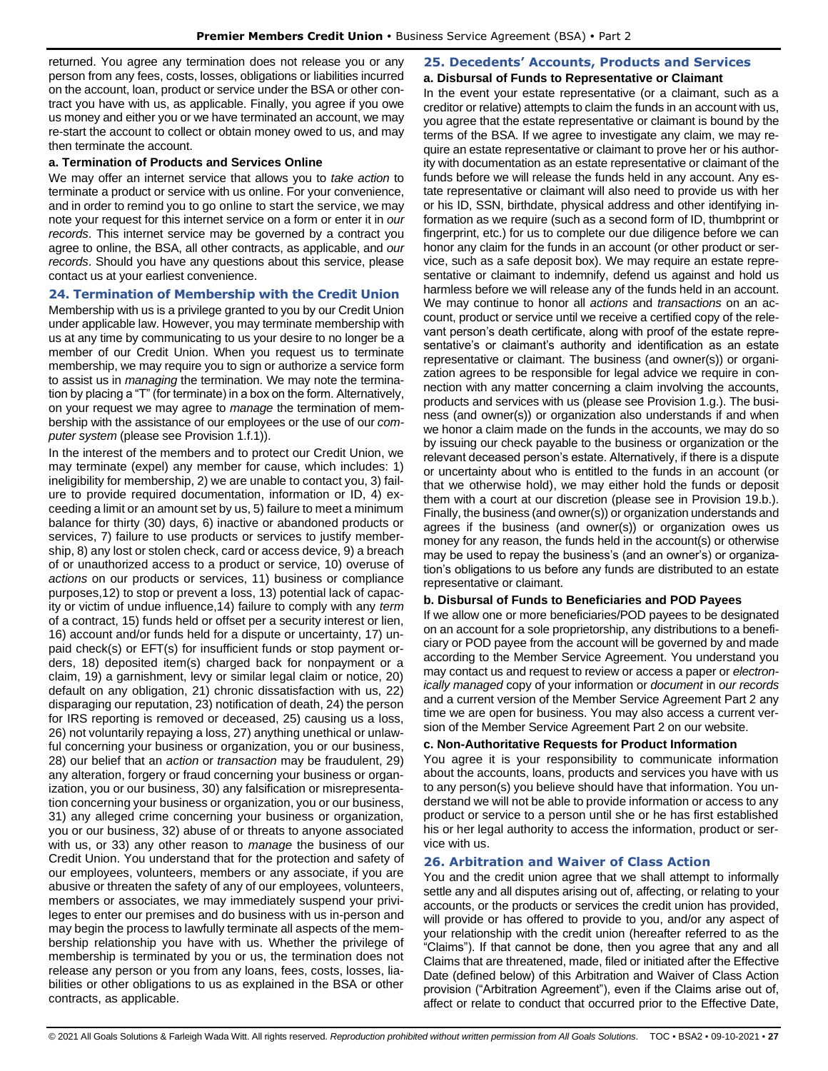returned. You agree any termination does not release you or any person from any fees, costs, losses, obligations or liabilities incurred on the account, loan, product or service under the BSA or other contract you have with us, as applicable. Finally, you agree if you owe us money and either you or we have terminated an account, we may re-start the account to collect or obtain money owed to us, and may then terminate the account.

#### **a. Termination of Products and Services Online**

We may offer an internet service that allows you to *take action* to terminate a product or service with us online. For your convenience, and in order to remind you to go online to start the service, we may note your request for this internet service on a form or enter it in *our records*. This internet service may be governed by a contract you agree to online, the BSA, all other contracts, as applicable, and *our records*. Should you have any questions about this service, please contact us at your earliest convenience.

#### <span id="page-26-0"></span>**24. Termination of Membership with the Credit Union**

Membership with us is a privilege granted to you by our Credit Union under applicable law. However, you may terminate membership with us at any time by communicating to us your desire to no longer be a member of our Credit Union. When you request us to terminate membership, we may require you to sign or authorize a service form to assist us in *managing* the termination. We may note the termination by placing a "T" (for terminate) in a box on the form. Alternatively, on your request we may agree to *manage* the termination of membership with the assistance of our employees or the use of our *computer system* (please see Provision 1.f.1)).

In the interest of the members and to protect our Credit Union, we may terminate (expel) any member for cause, which includes: 1) ineligibility for membership, 2) we are unable to contact you, 3) failure to provide required documentation, information or ID, 4) exceeding a limit or an amount set by us, 5) failure to meet a minimum balance for thirty (30) days, 6) inactive or abandoned products or services, 7) failure to use products or services to justify membership, 8) any lost or stolen check, card or access device, 9) a breach of or unauthorized access to a product or service, 10) overuse of *actions* on our products or services, 11) business or compliance purposes,12) to stop or prevent a loss, 13) potential lack of capacity or victim of undue influence,14) failure to comply with any *term* of a contract, 15) funds held or offset per a security interest or lien, 16) account and/or funds held for a dispute or uncertainty, 17) unpaid check(s) or EFT(s) for insufficient funds or stop payment orders, 18) deposited item(s) charged back for nonpayment or a claim, 19) a garnishment, levy or similar legal claim or notice, 20) default on any obligation, 21) chronic dissatisfaction with us, 22) disparaging our reputation, 23) notification of death, 24) the person for IRS reporting is removed or deceased, 25) causing us a loss, 26) not voluntarily repaying a loss, 27) anything unethical or unlawful concerning your business or organization, you or our business, 28) our belief that an *action* or *transaction* may be fraudulent, 29) any alteration, forgery or fraud concerning your business or organization, you or our business, 30) any falsification or misrepresentation concerning your business or organization, you or our business, 31) any alleged crime concerning your business or organization, you or our business, 32) abuse of or threats to anyone associated with us, or 33) any other reason to *manage* the business of our Credit Union. You understand that for the protection and safety of our employees, volunteers, members or any associate, if you are abusive or threaten the safety of any of our employees, volunteers, members or associates, we may immediately suspend your privileges to enter our premises and do business with us in-person and may begin the process to lawfully terminate all aspects of the membership relationship you have with us. Whether the privilege of membership is terminated by you or us, the termination does not release any person or you from any loans, fees, costs, losses, liabilities or other obligations to us as explained in the BSA or other contracts, as applicable.

#### <span id="page-26-1"></span>**25. Decedents' Accounts, Products and Services a. Disbursal of Funds to Representative or Claimant**

In the event your estate representative (or a claimant, such as a creditor or relative) attempts to claim the funds in an account with us, you agree that the estate representative or claimant is bound by the terms of the BSA. If we agree to investigate any claim, we may require an estate representative or claimant to prove her or his authority with documentation as an estate representative or claimant of the funds before we will release the funds held in any account. Any estate representative or claimant will also need to provide us with her or his ID, SSN, birthdate, physical address and other identifying information as we require (such as a second form of ID, thumbprint or fingerprint, etc.) for us to complete our due diligence before we can honor any claim for the funds in an account (or other product or service, such as a safe deposit box). We may require an estate representative or claimant to indemnify, defend us against and hold us harmless before we will release any of the funds held in an account. We may continue to honor all *actions* and *transactions* on an account, product or service until we receive a certified copy of the relevant person's death certificate, along with proof of the estate representative's or claimant's authority and identification as an estate representative or claimant. The business (and owner(s)) or organization agrees to be responsible for legal advice we require in connection with any matter concerning a claim involving the accounts, products and services with us (please see Provision 1.g.). The business (and owner(s)) or organization also understands if and when we honor a claim made on the funds in the accounts, we may do so by issuing our check payable to the business or organization or the relevant deceased person's estate. Alternatively, if there is a dispute or uncertainty about who is entitled to the funds in an account (or that we otherwise hold), we may either hold the funds or deposit them with a court at our discretion (please see in Provision 19.b.). Finally, the business (and owner(s)) or organization understands and agrees if the business (and owner(s)) or organization owes us money for any reason, the funds held in the account(s) or otherwise may be used to repay the business's (and an owner's) or organization's obligations to us before any funds are distributed to an estate representative or claimant.

#### **b. Disbursal of Funds to Beneficiaries and POD Payees**

If we allow one or more beneficiaries/POD payees to be designated on an account for a sole proprietorship, any distributions to a beneficiary or POD payee from the account will be governed by and made according to the Member Service Agreement. You understand you may contact us and request to review or access a paper or *electronically managed* copy of your information or *document* in *our records* and a current version of the Member Service Agreement Part 2 any time we are open for business. You may also access a current version of the Member Service Agreement Part 2 on our website.

#### **c. Non-Authoritative Requests for Product Information**

You agree it is your responsibility to communicate information about the accounts, loans, products and services you have with us to any person(s) you believe should have that information. You understand we will not be able to provide information or access to any product or service to a person until she or he has first established his or her legal authority to access the information, product or service with us.

## <span id="page-26-2"></span>**26. Arbitration and Waiver of Class Action**

You and the credit union agree that we shall attempt to informally settle any and all disputes arising out of, affecting, or relating to your accounts, or the products or services the credit union has provided, will provide or has offered to provide to you, and/or any aspect of your relationship with the credit union (hereafter referred to as the "Claims"). If that cannot be done, then you agree that any and all Claims that are threatened, made, filed or initiated after the Effective Date (defined below) of this Arbitration and Waiver of Class Action provision ("Arbitration Agreement"), even if the Claims arise out of, affect or relate to conduct that occurred prior to the Effective Date,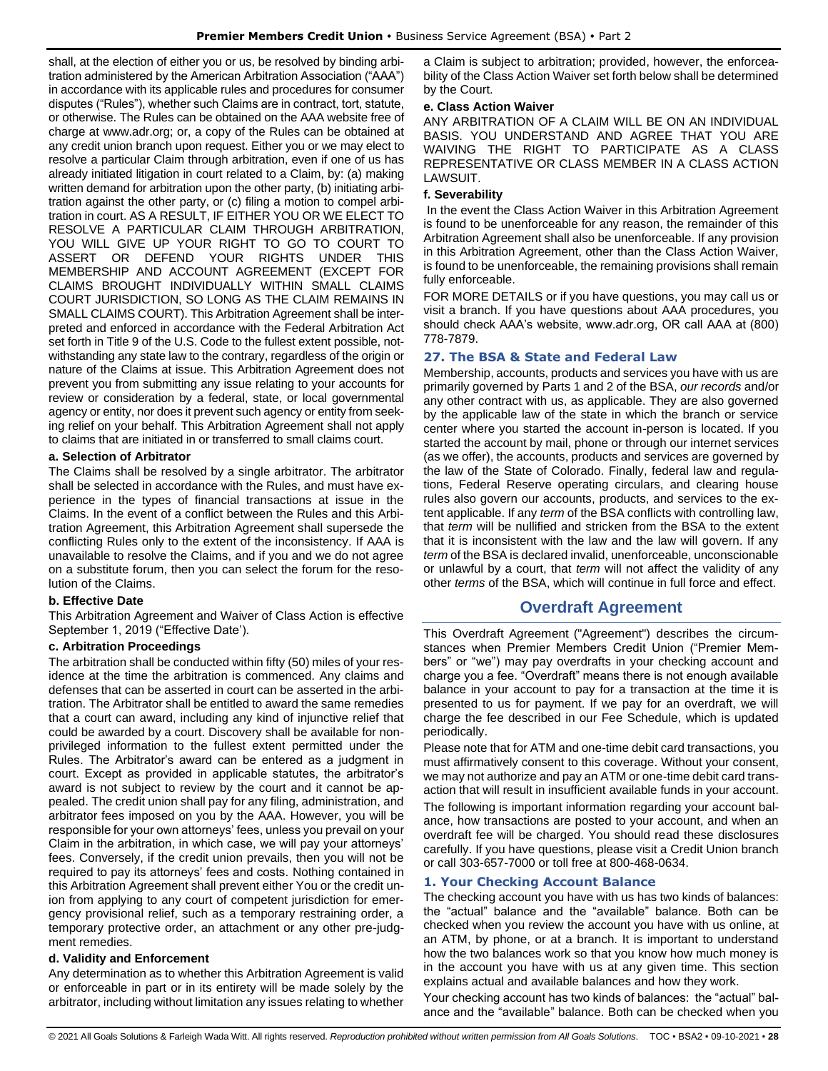shall, at the election of either you or us, be resolved by binding arbitration administered by the American Arbitration Association ("AAA") in accordance with its applicable rules and procedures for consumer disputes ("Rules"), whether such Claims are in contract, tort, statute, or otherwise. The Rules can be obtained on the AAA website free of charge at www.adr.org; or, a copy of the Rules can be obtained at any credit union branch upon request. Either you or we may elect to resolve a particular Claim through arbitration, even if one of us has already initiated litigation in court related to a Claim, by: (a) making written demand for arbitration upon the other party, (b) initiating arbitration against the other party, or (c) filing a motion to compel arbitration in court. AS A RESULT, IF EITHER YOU OR WE ELECT TO RESOLVE A PARTICULAR CLAIM THROUGH ARBITRATION, YOU WILL GIVE UP YOUR RIGHT TO GO TO COURT TO ASSERT OR DEFEND YOUR RIGHTS UNDER THIS MEMBERSHIP AND ACCOUNT AGREEMENT (EXCEPT FOR CLAIMS BROUGHT INDIVIDUALLY WITHIN SMALL CLAIMS COURT JURISDICTION, SO LONG AS THE CLAIM REMAINS IN SMALL CLAIMS COURT). This Arbitration Agreement shall be interpreted and enforced in accordance with the Federal Arbitration Act set forth in Title 9 of the U.S. Code to the fullest extent possible, notwithstanding any state law to the contrary, regardless of the origin or nature of the Claims at issue. This Arbitration Agreement does not prevent you from submitting any issue relating to your accounts for review or consideration by a federal, state, or local governmental agency or entity, nor does it prevent such agency or entity from seeking relief on your behalf. This Arbitration Agreement shall not apply to claims that are initiated in or transferred to small claims court.

## **a. Selection of Arbitrator**

The Claims shall be resolved by a single arbitrator. The arbitrator shall be selected in accordance with the Rules, and must have experience in the types of financial transactions at issue in the Claims. In the event of a conflict between the Rules and this Arbitration Agreement, this Arbitration Agreement shall supersede the conflicting Rules only to the extent of the inconsistency. If AAA is unavailable to resolve the Claims, and if you and we do not agree on a substitute forum, then you can select the forum for the resolution of the Claims.

## **b. Effective Date**

This Arbitration Agreement and Waiver of Class Action is effective September 1, 2019 ("Effective Date').

## **c. Arbitration Proceedings**

The arbitration shall be conducted within fifty (50) miles of your residence at the time the arbitration is commenced. Any claims and defenses that can be asserted in court can be asserted in the arbitration. The Arbitrator shall be entitled to award the same remedies that a court can award, including any kind of injunctive relief that could be awarded by a court. Discovery shall be available for nonprivileged information to the fullest extent permitted under the Rules. The Arbitrator's award can be entered as a judgment in court. Except as provided in applicable statutes, the arbitrator's award is not subject to review by the court and it cannot be appealed. The credit union shall pay for any filing, administration, and arbitrator fees imposed on you by the AAA. However, you will be responsible for your own attorneys' fees, unless you prevail on your Claim in the arbitration, in which case, we will pay your attorneys' fees. Conversely, if the credit union prevails, then you will not be required to pay its attorneys' fees and costs. Nothing contained in this Arbitration Agreement shall prevent either You or the credit union from applying to any court of competent jurisdiction for emergency provisional relief, such as a temporary restraining order, a temporary protective order, an attachment or any other pre-judgment remedies.

## **d. Validity and Enforcement**

Any determination as to whether this Arbitration Agreement is valid or enforceable in part or in its entirety will be made solely by the arbitrator, including without limitation any issues relating to whether a Claim is subject to arbitration; provided, however, the enforceability of the Class Action Waiver set forth below shall be determined by the Court.

## **e. Class Action Waiver**

ANY ARBITRATION OF A CLAIM WILL BE ON AN INDIVIDUAL BASIS. YOU UNDERSTAND AND AGREE THAT YOU ARE WAIVING THE RIGHT TO PARTICIPATE AS A CLASS REPRESENTATIVE OR CLASS MEMBER IN A CLASS ACTION LAWSUIT.

## **f. Severability**

In the event the Class Action Waiver in this Arbitration Agreement is found to be unenforceable for any reason, the remainder of this Arbitration Agreement shall also be unenforceable. If any provision in this Arbitration Agreement, other than the Class Action Waiver, is found to be unenforceable, the remaining provisions shall remain fully enforceable.

FOR MORE DETAILS or if you have questions, you may call us or visit a branch. If you have questions about AAA procedures, you should check AAA's website, www.adr.org, OR call AAA at (800) 778-7879.

## <span id="page-27-0"></span>**27. The BSA & State and Federal Law**

Membership, accounts, products and services you have with us are primarily governed by Parts 1 and 2 of the BSA, *our records* and/or any other contract with us, as applicable. They are also governed by the applicable law of the state in which the branch or service center where you started the account in-person is located. If you started the account by mail, phone or through our internet services (as we offer), the accounts, products and services are governed by the law of the State of Colorado. Finally, federal law and regulations, Federal Reserve operating circulars, and clearing house rules also govern our accounts, products, and services to the extent applicable. If any *term* of the BSA conflicts with controlling law, that *term* will be nullified and stricken from the BSA to the extent that it is inconsistent with the law and the law will govern. If any *term* of the BSA is declared invalid, unenforceable, unconscionable or unlawful by a court, that *term* will not affect the validity of any other *terms* of the BSA, which will continue in full force and effect.

# **Overdraft Agreement**

<span id="page-27-1"></span>This Overdraft Agreement ("Agreement") describes the circumstances when Premier Members Credit Union ("Premier Members" or "we") may pay overdrafts in your checking account and charge you a fee. "Overdraft" means there is not enough available balance in your account to pay for a transaction at the time it is presented to us for payment. If we pay for an overdraft, we will charge the fee described in our Fee Schedule, which is updated periodically.

Please note that for ATM and one-time debit card transactions, you must affirmatively consent to this coverage. Without your consent, we may not authorize and pay an ATM or one-time debit card transaction that will result in insufficient available funds in your account.

The following is important information regarding your account balance, how transactions are posted to your account, and when an overdraft fee will be charged. You should read these disclosures carefully. If you have questions, please visit a Credit Union branch or call 303-657-7000 or toll free at 800-468-0634.

## <span id="page-27-2"></span>**1. Your Checking Account Balance**

The checking account you have with us has two kinds of balances: the "actual" balance and the "available" balance. Both can be checked when you review the account you have with us online, at an ATM, by phone, or at a branch. It is important to understand how the two balances work so that you know how much money is in the account you have with us at any given time. This section explains actual and available balances and how they work.

Your checking account has two kinds of balances: the "actual" balance and the "available" balance. Both can be checked when you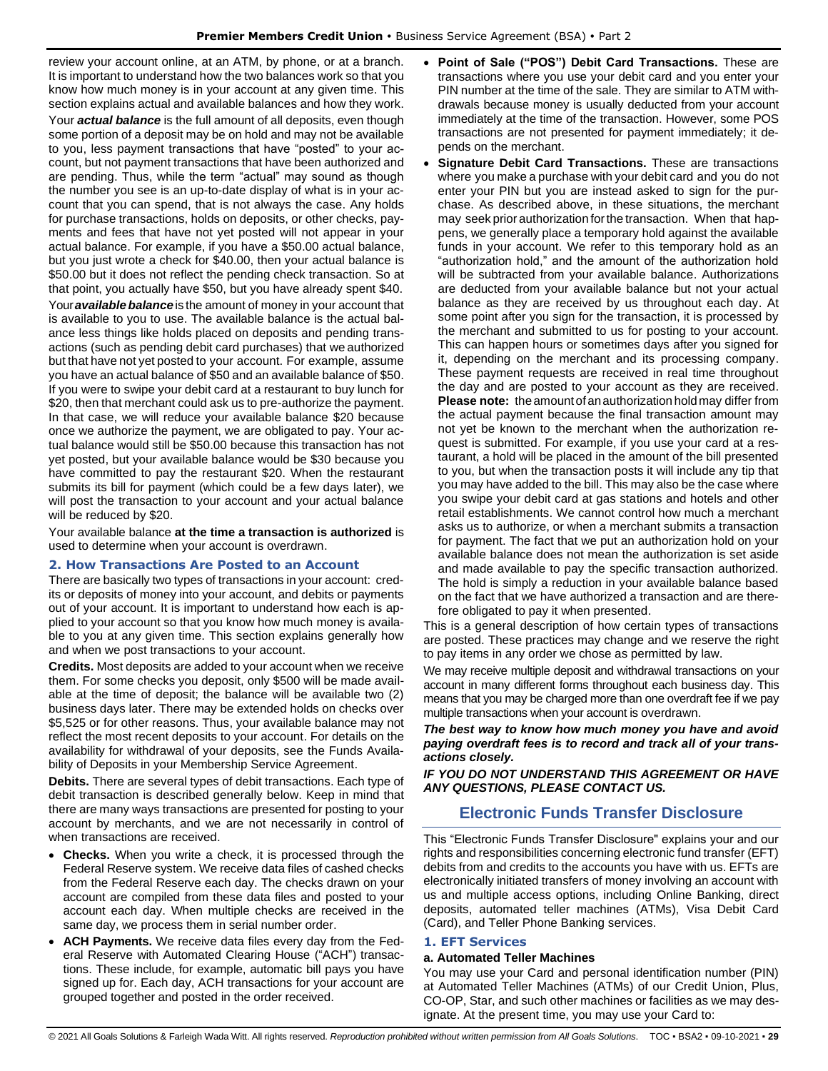review your account online, at an ATM, by phone, or at a branch. It is important to understand how the two balances work so that you know how much money is in your account at any given time. This section explains actual and available balances and how they work. Your *actual balance* is the full amount of all deposits, even though some portion of a deposit may be on hold and may not be available to you, less payment transactions that have "posted" to your account, but not payment transactions that have been authorized and are pending. Thus, while the term "actual" may sound as though the number you see is an up-to-date display of what is in your account that you can spend, that is not always the case. Any holds for purchase transactions, holds on deposits, or other checks, payments and fees that have not yet posted will not appear in your actual balance. For example, if you have a \$50.00 actual balance, but you just wrote a check for \$40.00, then your actual balance is \$50.00 but it does not reflect the pending check transaction. So at that point, you actually have \$50, but you have already spent \$40. Your **available balance** is the amount of money in your account that is available to you to use. The available balance is the actual balance less things like holds placed on deposits and pending transactions (such as pending debit card purchases) that we authorized but that have not yet posted to your account. For example, assume you have an actual balance of \$50 and an available balance of \$50. If you were to swipe your debit card at a restaurant to buy lunch for \$20, then that merchant could ask us to pre-authorize the payment. In that case, we will reduce your available balance \$20 because once we authorize the payment, we are obligated to pay. Your actual balance would still be \$50.00 because this transaction has not yet posted, but your available balance would be \$30 because you have committed to pay the restaurant \$20. When the restaurant submits its bill for payment (which could be a few days later), we will post the transaction to your account and your actual balance will be reduced by \$20.

Your available balance **at the time a transaction is authorized** is used to determine when your account is overdrawn.

## <span id="page-28-0"></span>**2. How Transactions Are Posted to an Account**

There are basically two types of transactions in your account: credits or deposits of money into your account, and debits or payments out of your account. It is important to understand how each is applied to your account so that you know how much money is available to you at any given time. This section explains generally how and when we post transactions to your account.

**Credits.** Most deposits are added to your account when we receive them. For some checks you deposit, only \$500 will be made available at the time of deposit; the balance will be available two (2) business days later. There may be extended holds on checks over \$5,525 or for other reasons. Thus, your available balance may not reflect the most recent deposits to your account. For details on the availability for withdrawal of your deposits, see the Funds Availability of Deposits in your Membership Service Agreement.

**Debits.** There are several types of debit transactions. Each type of debit transaction is described generally below. Keep in mind that there are many ways transactions are presented for posting to your account by merchants, and we are not necessarily in control of when transactions are received.

- **Checks.** When you write a check, it is processed through the Federal Reserve system. We receive data files of cashed checks from the Federal Reserve each day. The checks drawn on your account are compiled from these data files and posted to your account each day. When multiple checks are received in the same day, we process them in serial number order.
- **ACH Payments.** We receive data files every day from the Federal Reserve with Automated Clearing House ("ACH") transactions. These include, for example, automatic bill pays you have signed up for. Each day, ACH transactions for your account are grouped together and posted in the order received.
- **Point of Sale ("POS") Debit Card Transactions.** These are transactions where you use your debit card and you enter your PIN number at the time of the sale. They are similar to ATM withdrawals because money is usually deducted from your account immediately at the time of the transaction. However, some POS transactions are not presented for payment immediately; it depends on the merchant.
- **Signature Debit Card Transactions.** These are transactions where you make a purchase with your debit card and you do not enter your PIN but you are instead asked to sign for the purchase. As described above, in these situations, the merchant may seek prior authorization forthe transaction. When that happens, we generally place a temporary hold against the available funds in your account. We refer to this temporary hold as an "authorization hold," and the amount of the authorization hold will be subtracted from your available balance. Authorizations are deducted from your available balance but not your actual balance as they are received by us throughout each day. At some point after you sign for the transaction, it is processed by the merchant and submitted to us for posting to your account. This can happen hours or sometimes days after you signed for it, depending on the merchant and its processing company. These payment requests are received in real time throughout the day and are posted to your account as they are received. Please note: the amount of an authorization hold may differ from the actual payment because the final transaction amount may not yet be known to the merchant when the authorization request is submitted. For example, if you use your card at a restaurant, a hold will be placed in the amount of the bill presented to you, but when the transaction posts it will include any tip that you may have added to the bill. This may also be the case where you swipe your debit card at gas stations and hotels and other retail establishments. We cannot control how much a merchant asks us to authorize, or when a merchant submits a transaction for payment. The fact that we put an authorization hold on your available balance does not mean the authorization is set aside and made available to pay the specific transaction authorized. The hold is simply a reduction in your available balance based on the fact that we have authorized a transaction and are therefore obligated to pay it when presented.

This is a general description of how certain types of transactions are posted. These practices may change and we reserve the right to pay items in any order we chose as permitted by law.

We may receive multiple deposit and withdrawal transactions on your account in many different forms throughout each business day. This means that you may be charged more than one overdraft fee if we pay multiple transactions when your account is overdrawn.

*The best way to know how much money you have and avoid paying overdraft fees is to record and track all of your transactions closely.*

<span id="page-28-1"></span>**IF YOU DO NOT UNDERSTAND THIS AGREEMENT OR HAVE** *ANY QUESTIONS, PLEASE CONTACT US.*

# **Electronic Funds Transfer Disclosure**

This "Electronic Funds Transfer Disclosure" explains your and our rights and responsibilities concerning electronic fund transfer (EFT) debits from and credits to the accounts you have with us. EFTs are electronically initiated transfers of money involving an account with us and multiple access options, including Online Banking, direct deposits, automated teller machines (ATMs), Visa Debit Card (Card), and Teller Phone Banking services.

## <span id="page-28-2"></span>**1. EFT Services**

## **a. Automated Teller Machines**

You may use your Card and personal identification number (PIN) at Automated Teller Machines (ATMs) of our Credit Union, Plus, CO-OP, Star, and such other machines or facilities as we may designate. At the present time, you may use your Card to: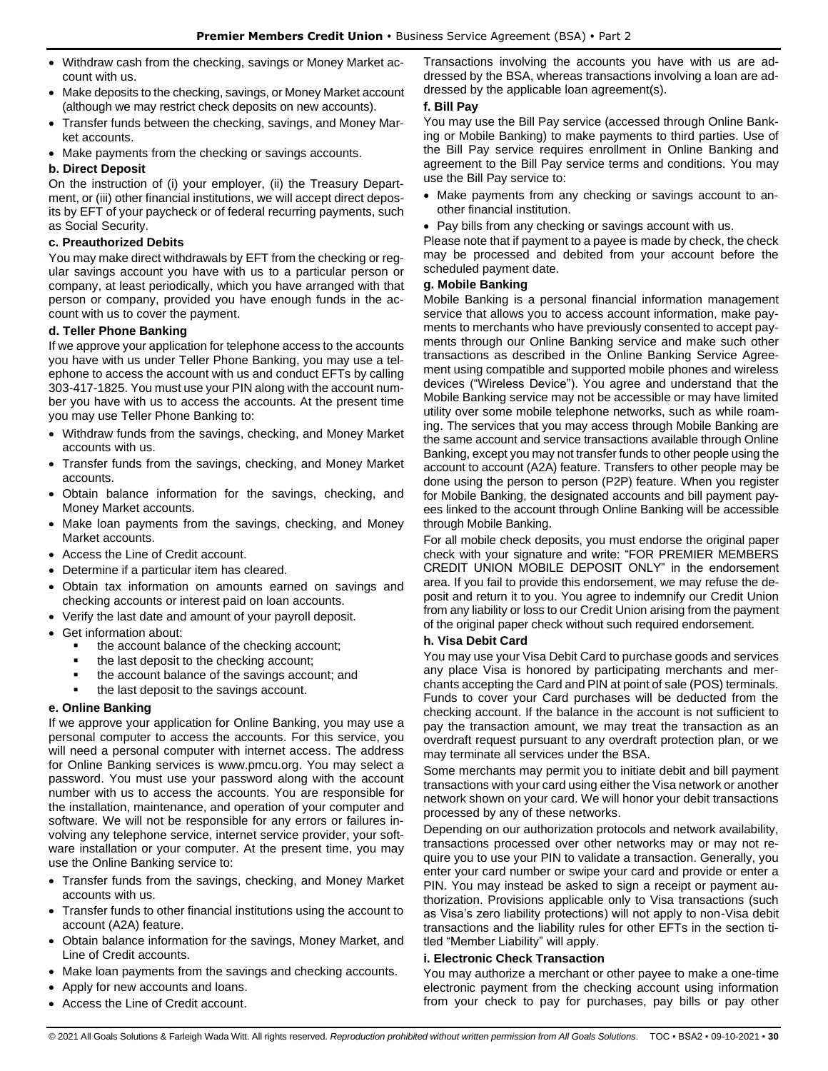- Withdraw cash from the checking, savings or Money Market account with us.
- Make deposits to the checking, savings, or Money Market account (although we may restrict check deposits on new accounts).
- Transfer funds between the checking, savings, and Money Market accounts.
- Make payments from the checking or savings accounts.

## **b. Direct Deposit**

On the instruction of (i) your employer, (ii) the Treasury Department, or (iii) other financial institutions, we will accept direct deposits by EFT of your paycheck or of federal recurring payments, such as Social Security.

## **c. Preauthorized Debits**

You may make direct withdrawals by EFT from the checking or regular savings account you have with us to a particular person or company, at least periodically, which you have arranged with that person or company, provided you have enough funds in the account with us to cover the payment.

## **d. Teller Phone Banking**

If we approve your application for telephone access to the accounts you have with us under Teller Phone Banking, you may use a telephone to access the account with us and conduct EFTs by calling 303-417-1825. You must use your PIN along with the account number you have with us to access the accounts. At the present time you may use Teller Phone Banking to:

- Withdraw funds from the savings, checking, and Money Market accounts with us.
- Transfer funds from the savings, checking, and Money Market accounts.
- Obtain balance information for the savings, checking, and Money Market accounts.
- Make loan payments from the savings, checking, and Money Market accounts.
- Access the Line of Credit account.
- Determine if a particular item has cleared.
- Obtain tax information on amounts earned on savings and checking accounts or interest paid on loan accounts.
- Verify the last date and amount of your payroll deposit.
- Get information about:
	- the account balance of the checking account;
	- the last deposit to the checking account;
	- the account balance of the savings account; and
	- the last deposit to the savings account.

## **e. Online Banking**

If we approve your application for Online Banking, you may use a personal computer to access the accounts. For this service, you will need a personal computer with internet access. The address for Online Banking services is www.pmcu.org. You may select a password. You must use your password along with the account number with us to access the accounts. You are responsible for the installation, maintenance, and operation of your computer and software. We will not be responsible for any errors or failures involving any telephone service, internet service provider, your software installation or your computer. At the present time, you may use the Online Banking service to:

- Transfer funds from the savings, checking, and Money Market accounts with us.
- Transfer funds to other financial institutions using the account to account (A2A) feature.
- Obtain balance information for the savings, Money Market, and Line of Credit accounts.
- Make loan payments from the savings and checking accounts.
- Apply for new accounts and loans.
- Access the Line of Credit account.

Transactions involving the accounts you have with us are addressed by the BSA, whereas transactions involving a loan are addressed by the applicable loan agreement(s).

## **f. Bill Pay**

You may use the Bill Pay service (accessed through Online Banking or Mobile Banking) to make payments to third parties. Use of the Bill Pay service requires enrollment in Online Banking and agreement to the Bill Pay service terms and conditions. You may use the Bill Pay service to:

- Make payments from any checking or savings account to another financial institution.
- Pay bills from any checking or savings account with us.

Please note that if payment to a payee is made by check, the check may be processed and debited from your account before the scheduled payment date.

## **g. Mobile Banking**

Mobile Banking is a personal financial information management service that allows you to access account information, make payments to merchants who have previously consented to accept payments through our Online Banking service and make such other transactions as described in the Online Banking Service Agreement using compatible and supported mobile phones and wireless devices ("Wireless Device"). You agree and understand that the Mobile Banking service may not be accessible or may have limited utility over some mobile telephone networks, such as while roaming. The services that you may access through Mobile Banking are the same account and service transactions available through Online Banking, except you may not transfer funds to other people using the account to account (A2A) feature. Transfers to other people may be done using the person to person (P2P) feature. When you register for Mobile Banking, the designated accounts and bill payment payees linked to the account through Online Banking will be accessible through Mobile Banking.

For all mobile check deposits, you must endorse the original paper check with your signature and write: "FOR PREMIER MEMBERS CREDIT UNION MOBILE DEPOSIT ONLY" in the endorsement area. If you fail to provide this endorsement, we may refuse the deposit and return it to you. You agree to indemnify our Credit Union from any liability or loss to our Credit Union arising from the payment of the original paper check without such required endorsement.

## **h. Visa Debit Card**

You may use your Visa Debit Card to purchase goods and services any place Visa is honored by participating merchants and merchants accepting the Card and PIN at point of sale (POS) terminals. Funds to cover your Card purchases will be deducted from the checking account. If the balance in the account is not sufficient to pay the transaction amount, we may treat the transaction as an overdraft request pursuant to any overdraft protection plan, or we may terminate all services under the BSA.

Some merchants may permit you to initiate debit and bill payment transactions with your card using either the Visa network or another network shown on your card. We will honor your debit transactions processed by any of these networks.

Depending on our authorization protocols and network availability, transactions processed over other networks may or may not require you to use your PIN to validate a transaction. Generally, you enter your card number or swipe your card and provide or enter a PIN. You may instead be asked to sign a receipt or payment authorization. Provisions applicable only to Visa transactions (such as Visa's zero liability protections) will not apply to non-Visa debit transactions and the liability rules for other EFTs in the section titled "Member Liability" will apply.

## **i. Electronic Check Transaction**

You may authorize a merchant or other payee to make a one-time electronic payment from the checking account using information from your check to pay for purchases, pay bills or pay other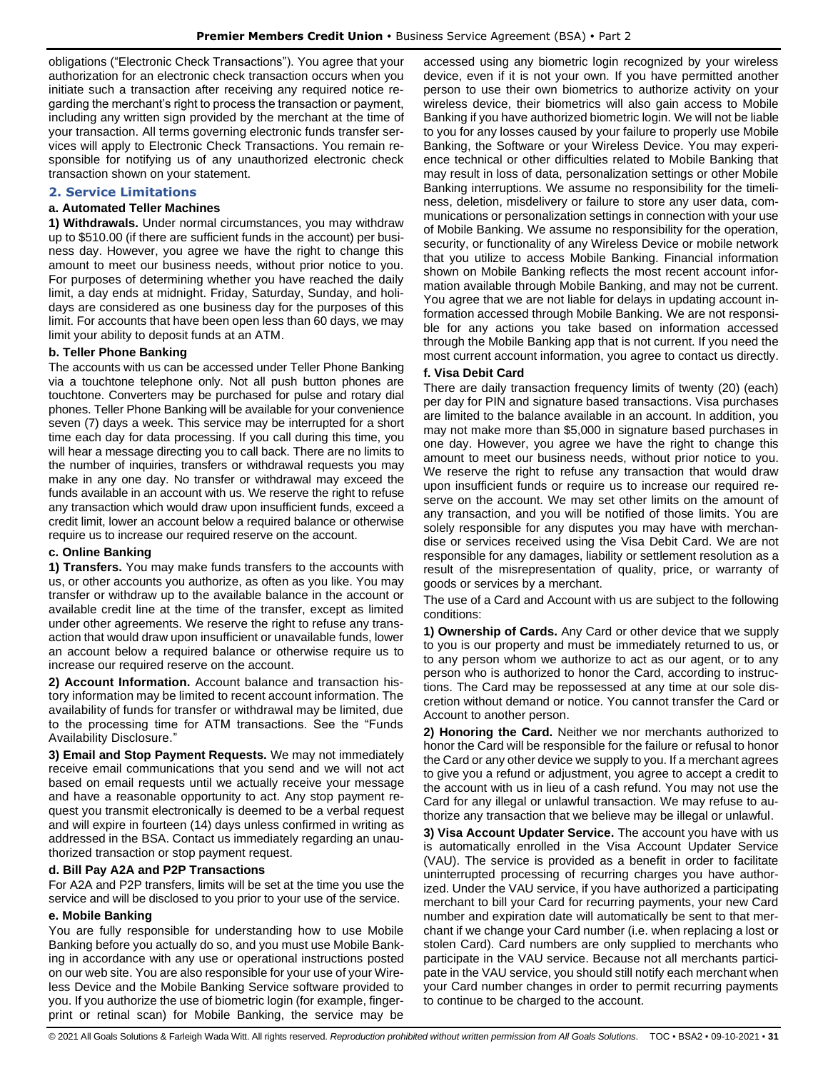obligations ("Electronic Check Transactions"). You agree that your authorization for an electronic check transaction occurs when you initiate such a transaction after receiving any required notice regarding the merchant's right to process the transaction or payment, including any written sign provided by the merchant at the time of your transaction. All terms governing electronic funds transfer services will apply to Electronic Check Transactions. You remain responsible for notifying us of any unauthorized electronic check transaction shown on your statement.

## <span id="page-30-0"></span>**2. Service Limitations**

## **a. Automated Teller Machines**

**1) Withdrawals.** Under normal circumstances, you may withdraw up to \$510.00 (if there are sufficient funds in the account) per business day. However, you agree we have the right to change this amount to meet our business needs, without prior notice to you. For purposes of determining whether you have reached the daily limit, a day ends at midnight. Friday, Saturday, Sunday, and holidays are considered as one business day for the purposes of this limit. For accounts that have been open less than 60 days, we may limit your ability to deposit funds at an ATM.

#### **b. Teller Phone Banking**

The accounts with us can be accessed under Teller Phone Banking via a touchtone telephone only. Not all push button phones are touchtone. Converters may be purchased for pulse and rotary dial phones. Teller Phone Banking will be available for your convenience seven (7) days a week. This service may be interrupted for a short time each day for data processing. If you call during this time, you will hear a message directing you to call back. There are no limits to the number of inquiries, transfers or withdrawal requests you may make in any one day. No transfer or withdrawal may exceed the funds available in an account with us. We reserve the right to refuse any transaction which would draw upon insufficient funds, exceed a credit limit, lower an account below a required balance or otherwise require us to increase our required reserve on the account.

#### **c. Online Banking**

**1) Transfers.** You may make funds transfers to the accounts with us, or other accounts you authorize, as often as you like. You may transfer or withdraw up to the available balance in the account or available credit line at the time of the transfer, except as limited under other agreements. We reserve the right to refuse any transaction that would draw upon insufficient or unavailable funds, lower an account below a required balance or otherwise require us to increase our required reserve on the account.

**2) Account Information.** Account balance and transaction history information may be limited to recent account information. The availability of funds for transfer or withdrawal may be limited, due to the processing time for ATM transactions. See the "Funds Availability Disclosure."

**3) Email and Stop Payment Requests.** We may not immediately receive email communications that you send and we will not act based on email requests until we actually receive your message and have a reasonable opportunity to act. Any stop payment request you transmit electronically is deemed to be a verbal request and will expire in fourteen (14) days unless confirmed in writing as addressed in the BSA. Contact us immediately regarding an unauthorized transaction or stop payment request.

#### **d. Bill Pay A2A and P2P Transactions**

For A2A and P2P transfers, limits will be set at the time you use the service and will be disclosed to you prior to your use of the service.

#### **e. Mobile Banking**

You are fully responsible for understanding how to use Mobile Banking before you actually do so, and you must use Mobile Banking in accordance with any use or operational instructions posted on our web site. You are also responsible for your use of your Wireless Device and the Mobile Banking Service software provided to you. If you authorize the use of biometric login (for example, fingerprint or retinal scan) for Mobile Banking, the service may be

accessed using any biometric login recognized by your wireless device, even if it is not your own. If you have permitted another person to use their own biometrics to authorize activity on your wireless device, their biometrics will also gain access to Mobile Banking if you have authorized biometric login. We will not be liable to you for any losses caused by your failure to properly use Mobile Banking, the Software or your Wireless Device. You may experience technical or other difficulties related to Mobile Banking that may result in loss of data, personalization settings or other Mobile Banking interruptions. We assume no responsibility for the timeliness, deletion, misdelivery or failure to store any user data, communications or personalization settings in connection with your use of Mobile Banking. We assume no responsibility for the operation, security, or functionality of any Wireless Device or mobile network that you utilize to access Mobile Banking. Financial information shown on Mobile Banking reflects the most recent account information available through Mobile Banking, and may not be current. You agree that we are not liable for delays in updating account information accessed through Mobile Banking. We are not responsible for any actions you take based on information accessed through the Mobile Banking app that is not current. If you need the most current account information, you agree to contact us directly.

## **f. Visa Debit Card**

There are daily transaction frequency limits of twenty (20) (each) per day for PIN and signature based transactions. Visa purchases are limited to the balance available in an account. In addition, you may not make more than \$5,000 in signature based purchases in one day. However, you agree we have the right to change this amount to meet our business needs, without prior notice to you. We reserve the right to refuse any transaction that would draw upon insufficient funds or require us to increase our required reserve on the account. We may set other limits on the amount of any transaction, and you will be notified of those limits. You are solely responsible for any disputes you may have with merchandise or services received using the Visa Debit Card. We are not responsible for any damages, liability or settlement resolution as a result of the misrepresentation of quality, price, or warranty of goods or services by a merchant.

The use of a Card and Account with us are subject to the following conditions:

**1) Ownership of Cards.** Any Card or other device that we supply to you is our property and must be immediately returned to us, or to any person whom we authorize to act as our agent, or to any person who is authorized to honor the Card, according to instructions. The Card may be repossessed at any time at our sole discretion without demand or notice. You cannot transfer the Card or Account to another person.

**2) Honoring the Card.** Neither we nor merchants authorized to honor the Card will be responsible for the failure or refusal to honor the Card or any other device we supply to you. If a merchant agrees to give you a refund or adjustment, you agree to accept a credit to the account with us in lieu of a cash refund. You may not use the Card for any illegal or unlawful transaction. We may refuse to authorize any transaction that we believe may be illegal or unlawful.

**3) Visa Account Updater Service.** The account you have with us is automatically enrolled in the Visa Account Updater Service (VAU). The service is provided as a benefit in order to facilitate uninterrupted processing of recurring charges you have authorized. Under the VAU service, if you have authorized a participating merchant to bill your Card for recurring payments, your new Card number and expiration date will automatically be sent to that merchant if we change your Card number (i.e. when replacing a lost or stolen Card). Card numbers are only supplied to merchants who participate in the VAU service. Because not all merchants participate in the VAU service, you should still notify each merchant when your Card number changes in order to permit recurring payments to continue to be charged to the account.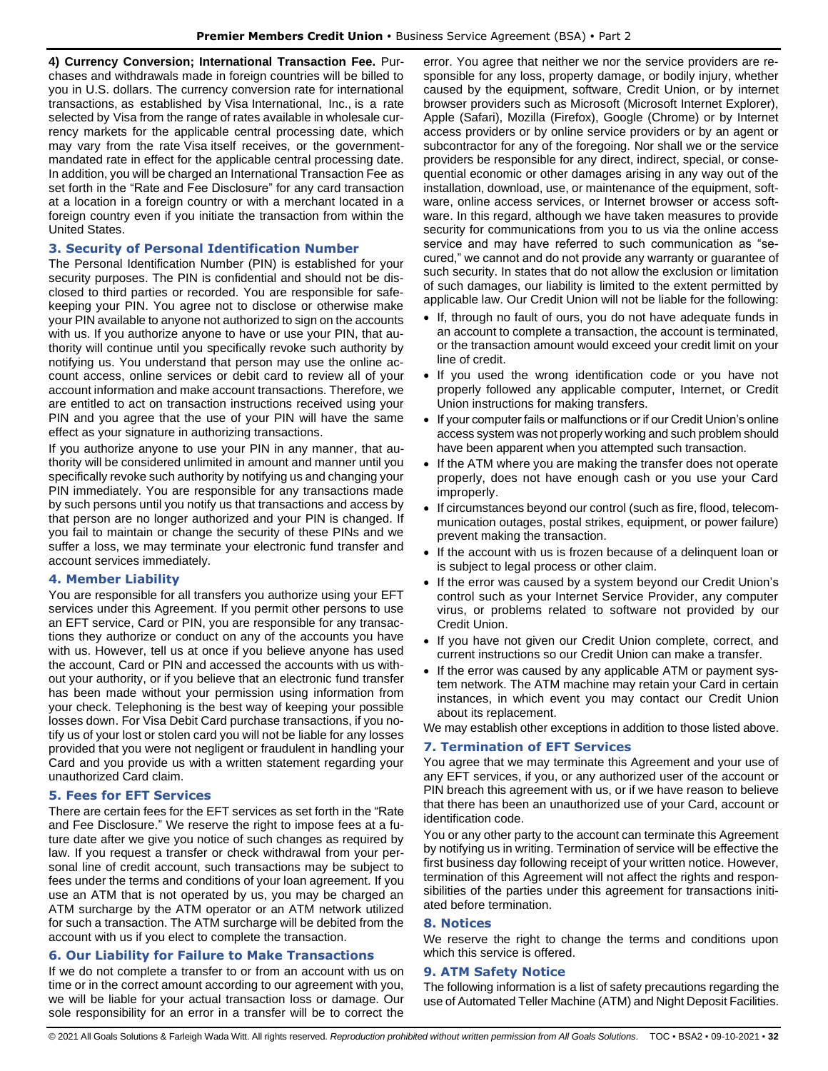**4) Currency Conversion; International Transaction Fee.** Purchases and withdrawals made in foreign countries will be billed to you in U.S. dollars. The currency conversion rate for international transactions, as established by Visa International, Inc., is a rate selected by Visa from the range of rates available in wholesale currency markets for the applicable central processing date, which may vary from the rate Visa itself receives, or the governmentmandated rate in effect for the applicable central processing date. In addition, you will be charged an International Transaction Fee as set forth in the "Rate and Fee Disclosure" for any card transaction at a location in a foreign country or with a merchant located in a foreign country even if you initiate the transaction from within the United States.

## <span id="page-31-0"></span>**3. Security of Personal Identification Number**

The Personal Identification Number (PIN) is established for your security purposes. The PIN is confidential and should not be disclosed to third parties or recorded. You are responsible for safekeeping your PIN. You agree not to disclose or otherwise make your PIN available to anyone not authorized to sign on the accounts with us. If you authorize anyone to have or use your PIN, that authority will continue until you specifically revoke such authority by notifying us. You understand that person may use the online account access, online services or debit card to review all of your account information and make account transactions. Therefore, we are entitled to act on transaction instructions received using your PIN and you agree that the use of your PIN will have the same effect as your signature in authorizing transactions.

If you authorize anyone to use your PIN in any manner, that authority will be considered unlimited in amount and manner until you specifically revoke such authority by notifying us and changing your PIN immediately. You are responsible for any transactions made by such persons until you notify us that transactions and access by that person are no longer authorized and your PIN is changed. If you fail to maintain or change the security of these PINs and we suffer a loss, we may terminate your electronic fund transfer and account services immediately.

## <span id="page-31-1"></span>**4. Member Liability**

You are responsible for all transfers you authorize using your EFT services under this Agreement. If you permit other persons to use an EFT service, Card or PIN, you are responsible for any transactions they authorize or conduct on any of the accounts you have with us. However, tell us at once if you believe anyone has used the account, Card or PIN and accessed the accounts with us without your authority, or if you believe that an electronic fund transfer has been made without your permission using information from your check. Telephoning is the best way of keeping your possible losses down. For Visa Debit Card purchase transactions, if you notify us of your lost or stolen card you will not be liable for any losses provided that you were not negligent or fraudulent in handling your Card and you provide us with a written statement regarding your unauthorized Card claim.

## <span id="page-31-2"></span>**5. Fees for EFT Services**

There are certain fees for the EFT services as set forth in the "Rate and Fee Disclosure." We reserve the right to impose fees at a future date after we give you notice of such changes as required by law. If you request a transfer or check withdrawal from your personal line of credit account, such transactions may be subject to fees under the terms and conditions of your loan agreement. If you use an ATM that is not operated by us, you may be charged an ATM surcharge by the ATM operator or an ATM network utilized for such a transaction. The ATM surcharge will be debited from the account with us if you elect to complete the transaction.

## <span id="page-31-3"></span>**6. Our Liability for Failure to Make Transactions**

If we do not complete a transfer to or from an account with us on time or in the correct amount according to our agreement with you, we will be liable for your actual transaction loss or damage. Our sole responsibility for an error in a transfer will be to correct the

error. You agree that neither we nor the service providers are responsible for any loss, property damage, or bodily injury, whether caused by the equipment, software, Credit Union, or by internet browser providers such as Microsoft (Microsoft Internet Explorer), Apple (Safari), Mozilla (Firefox), Google (Chrome) or by Internet access providers or by online service providers or by an agent or subcontractor for any of the foregoing. Nor shall we or the service providers be responsible for any direct, indirect, special, or consequential economic or other damages arising in any way out of the installation, download, use, or maintenance of the equipment, software, online access services, or Internet browser or access software. In this regard, although we have taken measures to provide security for communications from you to us via the online access service and may have referred to such communication as "secured," we cannot and do not provide any warranty or guarantee of such security. In states that do not allow the exclusion or limitation of such damages, our liability is limited to the extent permitted by applicable law. Our Credit Union will not be liable for the following:

- If, through no fault of ours, you do not have adequate funds in an account to complete a transaction, the account is terminated, or the transaction amount would exceed your credit limit on your line of credit.
- If you used the wrong identification code or you have not properly followed any applicable computer, Internet, or Credit Union instructions for making transfers.
- If your computer fails or malfunctions or if our Credit Union's online access system was not properly working and such problem should have been apparent when you attempted such transaction.
- If the ATM where you are making the transfer does not operate properly, does not have enough cash or you use your Card improperly.
- If circumstances beyond our control (such as fire, flood, telecommunication outages, postal strikes, equipment, or power failure) prevent making the transaction.
- If the account with us is frozen because of a delinquent loan or is subject to legal process or other claim.
- If the error was caused by a system beyond our Credit Union's control such as your Internet Service Provider, any computer virus, or problems related to software not provided by our Credit Union.
- If you have not given our Credit Union complete, correct, and current instructions so our Credit Union can make a transfer.
- If the error was caused by any applicable ATM or payment system network. The ATM machine may retain your Card in certain instances, in which event you may contact our Credit Union about its replacement.

We may establish other exceptions in addition to those listed above.

## <span id="page-31-4"></span>**7. Termination of EFT Services**

You agree that we may terminate this Agreement and your use of any EFT services, if you, or any authorized user of the account or PIN breach this agreement with us, or if we have reason to believe that there has been an unauthorized use of your Card, account or identification code.

You or any other party to the account can terminate this Agreement by notifying us in writing. Termination of service will be effective the first business day following receipt of your written notice. However, termination of this Agreement will not affect the rights and responsibilities of the parties under this agreement for transactions initiated before termination.

## <span id="page-31-5"></span>**8. Notices**

We reserve the right to change the terms and conditions upon which this service is offered.

#### <span id="page-31-6"></span>**9. ATM Safety Notice**

The following information is a list of safety precautions regarding the use of Automated Teller Machine (ATM) and Night Deposit Facilities.